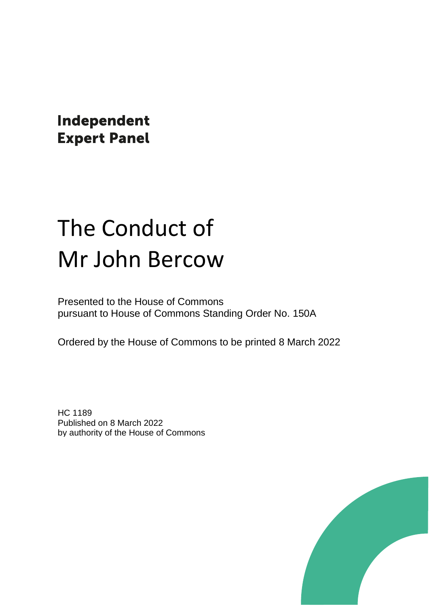Independent **Expert Panel** 

# The Conduct of Mr John Bercow

Presented to the House of Commons pursuant to House of Commons Standing Order No. 150A

Ordered by the House of Commons to be printed 8 March 2022

HC 1189 Published on 8 March 2022 by authority of the House of Commons

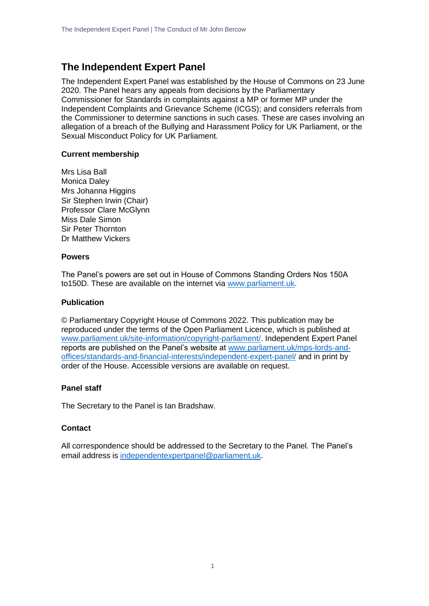### **The Independent Expert Panel**

The Independent Expert Panel was established by the House of Commons on 23 June 2020. The Panel hears any appeals from decisions by the Parliamentary Commissioner for Standards in complaints against a MP or former MP under the Independent Complaints and Grievance Scheme (ICGS); and considers referrals from the Commissioner to determine sanctions in such cases. These are cases involving an allegation of a breach of the Bullying and Harassment Policy for UK Parliament, or the Sexual Misconduct Policy for UK Parliament.

#### **Current membership**

Mrs Lisa Ball Monica Daley Mrs Johanna Higgins Sir Stephen Irwin (Chair) Professor Clare McGlynn Miss Dale Simon Sir Peter Thornton Dr Matthew Vickers

#### **Powers**

The Panel's powers are set out in House of Commons Standing Orders Nos 150A to150D. These are available on the internet via [www.parliament.uk.](http://www.parliament.uk/)

#### **Publication**

© Parliamentary Copyright House of Commons 2022. This publication may be reproduced under the terms of the Open Parliament Licence, which is published at [www.parliament.uk/site-information/copyright-parliament/.](http://www.parliament.uk/site-information/copyright-parliament/) Independent Expert Panel reports are published on the Panel's website at [www.parliament.uk/mps-lords-and](http://www.parliament.uk/mps-lords-and-offices/standards-and-financial-interests/independent-expert-panel/)[offices/standards-and-financial-interests/independent-expert-panel/](http://www.parliament.uk/mps-lords-and-offices/standards-and-financial-interests/independent-expert-panel/) and in print by order of the House. Accessible versions are available on request.

#### **Panel staff**

The Secretary to the Panel is Ian Bradshaw.

#### **Contact**

All correspondence should be addressed to the Secretary to the Panel. The Panel's email address is [independentexpertpanel@parliament.uk.](mailto:independentexpertpanel@parliament.uk)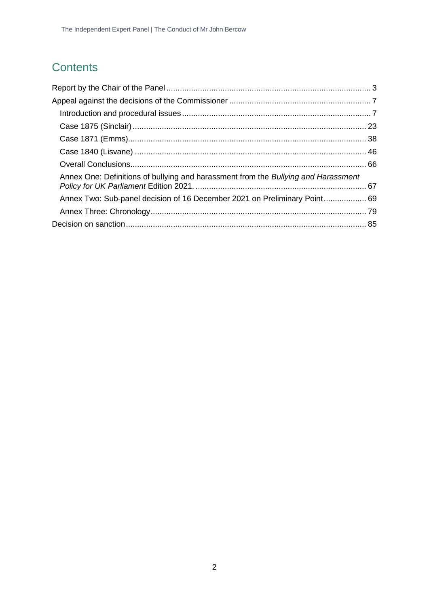### **Contents**

| Annex One: Definitions of bullying and harassment from the Bullying and Harassment |  |
|------------------------------------------------------------------------------------|--|
| Annex Two: Sub-panel decision of 16 December 2021 on Preliminary Point 69          |  |
|                                                                                    |  |
|                                                                                    |  |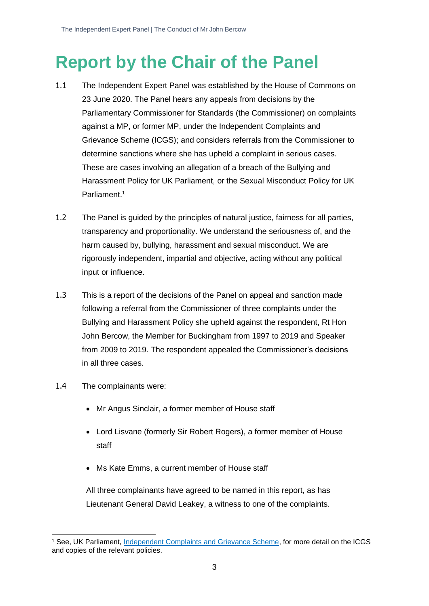# <span id="page-3-0"></span>**Report by the Chair of the Panel**

- 1.1 The Independent Expert Panel was established by the House of Commons on 23 June 2020. The Panel hears any appeals from decisions by the Parliamentary Commissioner for Standards (the Commissioner) on complaints against a MP, or former MP, under the Independent Complaints and Grievance Scheme (ICGS); and considers referrals from the Commissioner to determine sanctions where she has upheld a complaint in serious cases. These are cases involving an allegation of a breach of the Bullying and Harassment Policy for UK Parliament, or the Sexual Misconduct Policy for UK Parliament. 1
- 1.2 The Panel is guided by the principles of natural justice, fairness for all parties, transparency and proportionality. We understand the seriousness of, and the harm caused by, bullying, harassment and sexual misconduct. We are rigorously independent, impartial and objective, acting without any political input or influence.
- 1.3 This is a report of the decisions of the Panel on appeal and sanction made following a referral from the Commissioner of three complaints under the Bullying and Harassment Policy she upheld against the respondent, Rt Hon John Bercow, the Member for Buckingham from 1997 to 2019 and Speaker from 2009 to 2019. The respondent appealed the Commissioner's decisions in all three cases.
- 1.4 The complainants were:
	- Mr Angus Sinclair, a former member of House staff
	- Lord Lisvane (formerly Sir Robert Rogers), a former member of House staff
	- Ms Kate Emms, a current member of House staff

All three complainants have agreed to be named in this report, as has Lieutenant General David Leakey, a witness to one of the complaints.

<sup>1</sup> See, UK Parliament, [Independent Complaints and Grievance Scheme,](https://www.parliament.uk/about/independent-complaints-and-grievance-scheme/) for more detail on the ICGS and copies of the relevant policies.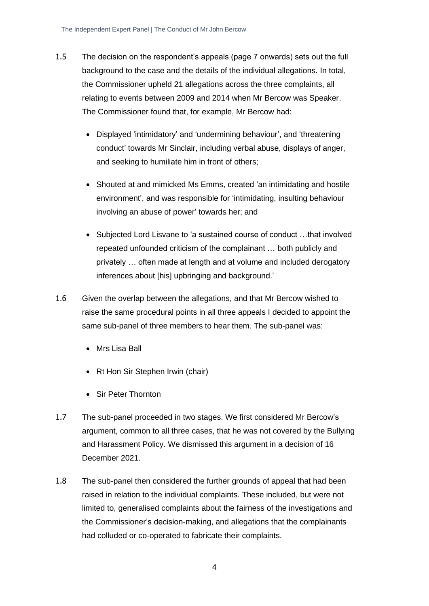- 1.5 The decision on the respondent's appeals (page 7 onwards) sets out the full background to the case and the details of the individual allegations. In total, the Commissioner upheld 21 allegations across the three complaints, all relating to events between 2009 and 2014 when Mr Bercow was Speaker. The Commissioner found that, for example, Mr Bercow had:
	- Displayed 'intimidatory' and 'undermining behaviour', and 'threatening conduct' towards Mr Sinclair, including verbal abuse, displays of anger, and seeking to humiliate him in front of others;
	- Shouted at and mimicked Ms Emms, created 'an intimidating and hostile environment', and was responsible for 'intimidating, insulting behaviour involving an abuse of power' towards her; and
	- Subjected Lord Lisvane to 'a sustained course of conduct …that involved repeated unfounded criticism of the complainant … both publicly and privately … often made at length and at volume and included derogatory inferences about [his] upbringing and background.'
- 1.6 Given the overlap between the allegations, and that Mr Bercow wished to raise the same procedural points in all three appeals I decided to appoint the same sub-panel of three members to hear them. The sub-panel was:
	- Mrs Lisa Ball
	- Rt Hon Sir Stephen Irwin (chair)
	- Sir Peter Thornton
- 1.7 The sub-panel proceeded in two stages. We first considered Mr Bercow's argument, common to all three cases, that he was not covered by the Bullying and Harassment Policy. We dismissed this argument in a decision of 16 December 2021.
- 1.8 The sub-panel then considered the further grounds of appeal that had been raised in relation to the individual complaints. These included, but were not limited to, generalised complaints about the fairness of the investigations and the Commissioner's decision-making, and allegations that the complainants had colluded or co-operated to fabricate their complaints.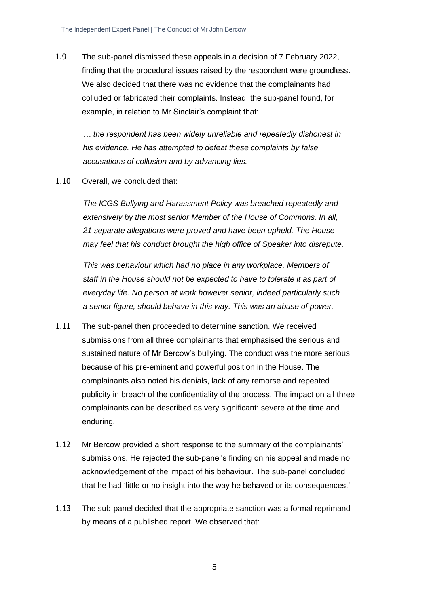1.9 The sub-panel dismissed these appeals in a decision of 7 February 2022, finding that the procedural issues raised by the respondent were groundless. We also decided that there was no evidence that the complainants had colluded or fabricated their complaints. Instead, the sub-panel found, for example, in relation to Mr Sinclair's complaint that:

*… the respondent has been widely unreliable and repeatedly dishonest in his evidence. He has attempted to defeat these complaints by false accusations of collusion and by advancing lies.* 

1.10 Overall, we concluded that:

*The ICGS Bullying and Harassment Policy was breached repeatedly and extensively by the most senior Member of the House of Commons. In all, 21 separate allegations were proved and have been upheld. The House may feel that his conduct brought the high office of Speaker into disrepute.*

*This was behaviour which had no place in any workplace. Members of staff in the House should not be expected to have to tolerate it as part of everyday life. No person at work however senior, indeed particularly such a senior figure, should behave in this way. This was an abuse of power.*

- 1.11 The sub-panel then proceeded to determine sanction. We received submissions from all three complainants that emphasised the serious and sustained nature of Mr Bercow's bullying. The conduct was the more serious because of his pre-eminent and powerful position in the House. The complainants also noted his denials, lack of any remorse and repeated publicity in breach of the confidentiality of the process. The impact on all three complainants can be described as very significant: severe at the time and enduring.
- 1.12 Mr Bercow provided a short response to the summary of the complainants' submissions. He rejected the sub-panel's finding on his appeal and made no acknowledgement of the impact of his behaviour. The sub-panel concluded that he had 'little or no insight into the way he behaved or its consequences.'
- 1.13 The sub-panel decided that the appropriate sanction was a formal reprimand by means of a published report. We observed that: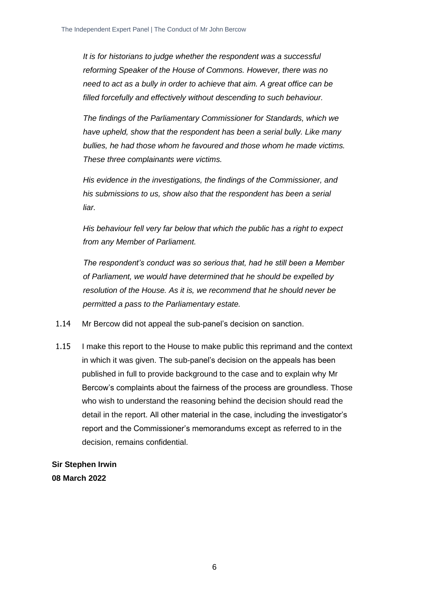*It is for historians to judge whether the respondent was a successful reforming Speaker of the House of Commons. However, there was no need to act as a bully in order to achieve that aim. A great office can be filled forcefully and effectively without descending to such behaviour.*

*The findings of the Parliamentary Commissioner for Standards, which we have upheld, show that the respondent has been a serial bully. Like many bullies, he had those whom he favoured and those whom he made victims. These three complainants were victims.* 

*His evidence in the investigations, the findings of the Commissioner, and his submissions to us, show also that the respondent has been a serial liar.*

*His behaviour fell very far below that which the public has a right to expect from any Member of Parliament.*

*The respondent's conduct was so serious that, had he still been a Member of Parliament, we would have determined that he should be expelled by resolution of the House. As it is, we recommend that he should never be permitted a pass to the Parliamentary estate.*

- 1.14 Mr Bercow did not appeal the sub-panel's decision on sanction.
- 1.15 I make this report to the House to make public this reprimand and the context in which it was given. The sub-panel's decision on the appeals has been published in full to provide background to the case and to explain why Mr Bercow's complaints about the fairness of the process are groundless. Those who wish to understand the reasoning behind the decision should read the detail in the report. All other material in the case, including the investigator's report and the Commissioner's memorandums except as referred to in the decision, remains confidential.

**Sir Stephen Irwin 08 March 2022**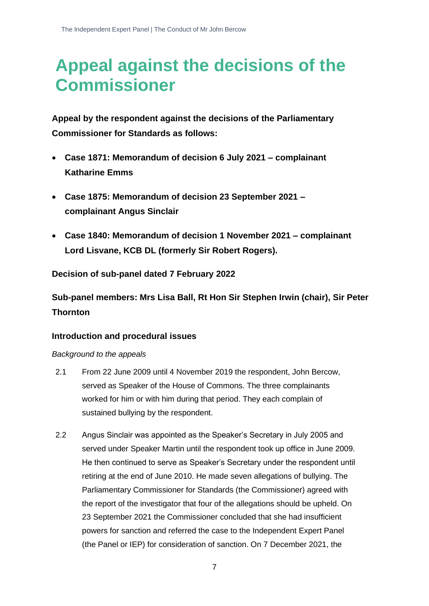## <span id="page-7-0"></span>**Appeal against the decisions of the Commissioner**

**Appeal by the respondent against the decisions of the Parliamentary Commissioner for Standards as follows:**

- **Case 1871: Memorandum of decision 6 July 2021 – complainant Katharine Emms**
- **Case 1875: Memorandum of decision 23 September 2021 – complainant Angus Sinclair**
- **Case 1840: Memorandum of decision 1 November 2021 – complainant Lord Lisvane, KCB DL (formerly Sir Robert Rogers).**

#### **Decision of sub-panel dated 7 February 2022**

**Sub-panel members: Mrs Lisa Ball, Rt Hon Sir Stephen Irwin (chair), Sir Peter Thornton**

#### <span id="page-7-1"></span>**Introduction and procedural issues**

#### *Background to the appeals*

- 2.1 From 22 June 2009 until 4 November 2019 the respondent, John Bercow, served as Speaker of the House of Commons. The three complainants worked for him or with him during that period. They each complain of sustained bullying by the respondent.
- 2.2 Angus Sinclair was appointed as the Speaker's Secretary in July 2005 and served under Speaker Martin until the respondent took up office in June 2009. He then continued to serve as Speaker's Secretary under the respondent until retiring at the end of June 2010. He made seven allegations of bullying. The Parliamentary Commissioner for Standards (the Commissioner) agreed with the report of the investigator that four of the allegations should be upheld. On 23 September 2021 the Commissioner concluded that she had insufficient powers for sanction and referred the case to the Independent Expert Panel (the Panel or IEP) for consideration of sanction. On 7 December 2021, the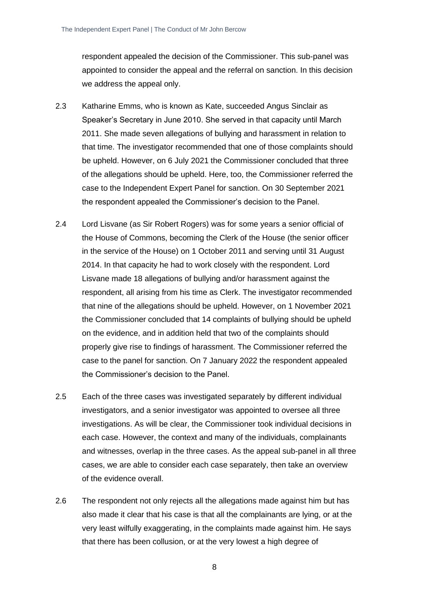respondent appealed the decision of the Commissioner. This sub-panel was appointed to consider the appeal and the referral on sanction. In this decision we address the appeal only.

- 2.3 Katharine Emms, who is known as Kate, succeeded Angus Sinclair as Speaker's Secretary in June 2010. She served in that capacity until March 2011. She made seven allegations of bullying and harassment in relation to that time. The investigator recommended that one of those complaints should be upheld. However, on 6 July 2021 the Commissioner concluded that three of the allegations should be upheld. Here, too, the Commissioner referred the case to the Independent Expert Panel for sanction. On 30 September 2021 the respondent appealed the Commissioner's decision to the Panel.
- 2.4 Lord Lisvane (as Sir Robert Rogers) was for some years a senior official of the House of Commons, becoming the Clerk of the House (the senior officer in the service of the House) on 1 October 2011 and serving until 31 August 2014. In that capacity he had to work closely with the respondent. Lord Lisvane made 18 allegations of bullying and/or harassment against the respondent, all arising from his time as Clerk. The investigator recommended that nine of the allegations should be upheld. However, on 1 November 2021 the Commissioner concluded that 14 complaints of bullying should be upheld on the evidence, and in addition held that two of the complaints should properly give rise to findings of harassment. The Commissioner referred the case to the panel for sanction. On 7 January 2022 the respondent appealed the Commissioner's decision to the Panel.
- 2.5 Each of the three cases was investigated separately by different individual investigators, and a senior investigator was appointed to oversee all three investigations. As will be clear, the Commissioner took individual decisions in each case. However, the context and many of the individuals, complainants and witnesses, overlap in the three cases. As the appeal sub-panel in all three cases, we are able to consider each case separately, then take an overview of the evidence overall.
- 2.6 The respondent not only rejects all the allegations made against him but has also made it clear that his case is that all the complainants are lying, or at the very least wilfully exaggerating, in the complaints made against him. He says that there has been collusion, or at the very lowest a high degree of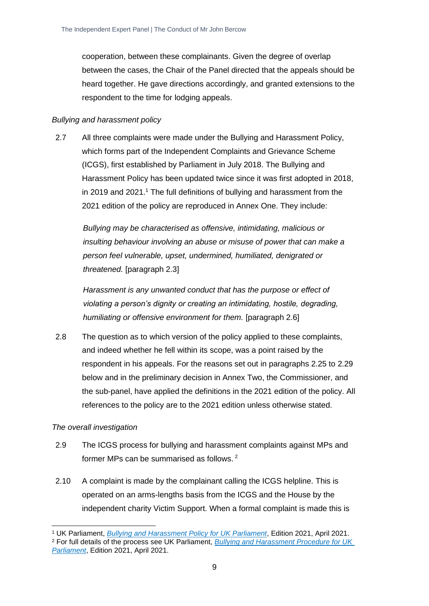cooperation, between these complainants. Given the degree of overlap between the cases, the Chair of the Panel directed that the appeals should be heard together. He gave directions accordingly, and granted extensions to the respondent to the time for lodging appeals.

#### *Bullying and harassment policy*

2.7 All three complaints were made under the Bullying and Harassment Policy, which forms part of the Independent Complaints and Grievance Scheme (ICGS), first established by Parliament in July 2018. The Bullying and Harassment Policy has been updated twice since it was first adopted in 2018, in 2019 and 2021.<sup>1</sup> The full definitions of bullying and harassment from the 2021 edition of the policy are reproduced in Annex One. They include:

*Bullying may be characterised as offensive, intimidating, malicious or insulting behaviour involving an abuse or misuse of power that can make a person feel vulnerable, upset, undermined, humiliated, denigrated or threatened.* [paragraph 2.3]

*Harassment is any unwanted conduct that has the purpose or effect of violating a person's dignity or creating an intimidating, hostile, degrading, humiliating or offensive environment for them.* [paragraph 2.6]

2.8 The question as to which version of the policy applied to these complaints, and indeed whether he fell within its scope, was a point raised by the respondent in his appeals. For the reasons set out in paragraphs 2.25 to 2.29 below and in the preliminary decision in Annex Two, the Commissioner, and the sub-panel, have applied the definitions in the 2021 edition of the policy. All references to the policy are to the 2021 edition unless otherwise stated.

#### *The overall investigation*

- 2.9 The ICGS process for bullying and harassment complaints against MPs and former MPs can be summarised as follows. <sup>2</sup>
- 2.10 A complaint is made by the complainant calling the ICGS helpline. This is operated on an arms-lengths basis from the ICGS and the House by the independent charity Victim Support. When a formal complaint is made this is

<sup>1</sup> UK Parliament, *[Bullying and Harassment Policy for UK Parliament](https://www.parliament.uk/globalassets/documents/conduct-in-parliament/bullying-and-harassment-policy.pdf)*, Edition 2021, April 2021. <sup>2</sup> For full details of the process see UK Parliament, *[Bullying and Harassment Procedure for UK](https://www.parliament.uk/globalassets/documents/conduct-in-parliament/bullying-and-harassment-policy.pdf)  [Parliament](https://www.parliament.uk/globalassets/documents/conduct-in-parliament/bullying-and-harassment-policy.pdf)*, Edition 2021, April 2021.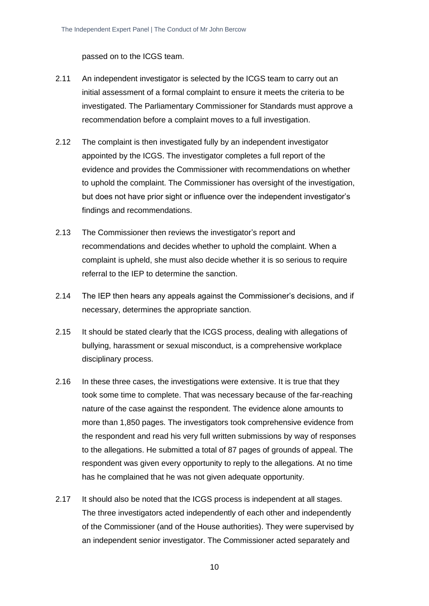passed on to the ICGS team.

- 2.11 An independent investigator is selected by the ICGS team to carry out an initial assessment of a formal complaint to ensure it meets the criteria to be investigated. The Parliamentary Commissioner for Standards must approve a recommendation before a complaint moves to a full investigation.
- 2.12 The complaint is then investigated fully by an independent investigator appointed by the ICGS. The investigator completes a full report of the evidence and provides the Commissioner with recommendations on whether to uphold the complaint. The Commissioner has oversight of the investigation, but does not have prior sight or influence over the independent investigator's findings and recommendations.
- 2.13 The Commissioner then reviews the investigator's report and recommendations and decides whether to uphold the complaint. When a complaint is upheld, she must also decide whether it is so serious to require referral to the IEP to determine the sanction.
- 2.14 The IEP then hears any appeals against the Commissioner's decisions, and if necessary, determines the appropriate sanction.
- 2.15 It should be stated clearly that the ICGS process, dealing with allegations of bullying, harassment or sexual misconduct, is a comprehensive workplace disciplinary process.
- 2.16 In these three cases, the investigations were extensive. It is true that they took some time to complete. That was necessary because of the far-reaching nature of the case against the respondent. The evidence alone amounts to more than 1,850 pages. The investigators took comprehensive evidence from the respondent and read his very full written submissions by way of responses to the allegations. He submitted a total of 87 pages of grounds of appeal. The respondent was given every opportunity to reply to the allegations. At no time has he complained that he was not given adequate opportunity.
- 2.17 It should also be noted that the ICGS process is independent at all stages. The three investigators acted independently of each other and independently of the Commissioner (and of the House authorities). They were supervised by an independent senior investigator. The Commissioner acted separately and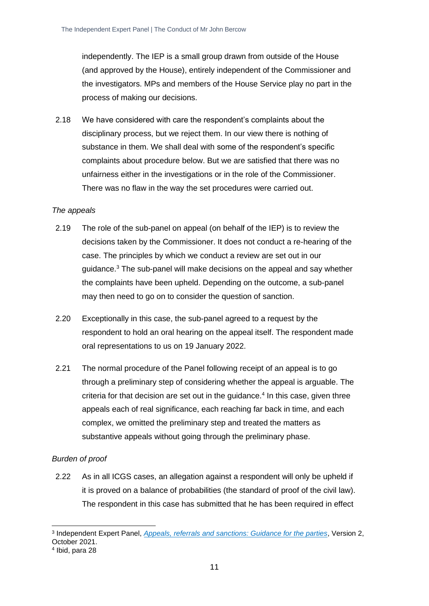independently. The IEP is a small group drawn from outside of the House (and approved by the House), entirely independent of the Commissioner and the investigators. MPs and members of the House Service play no part in the process of making our decisions.

2.18 We have considered with care the respondent's complaints about the disciplinary process, but we reject them. In our view there is nothing of substance in them. We shall deal with some of the respondent's specific complaints about procedure below. But we are satisfied that there was no unfairness either in the investigations or in the role of the Commissioner. There was no flaw in the way the set procedures were carried out.

#### *The appeals*

- 2.19 The role of the sub-panel on appeal (on behalf of the IEP) is to review the decisions taken by the Commissioner. It does not conduct a re-hearing of the case. The principles by which we conduct a review are set out in our guidance.<sup>3</sup> The sub-panel will make decisions on the appeal and say whether the complaints have been upheld. Depending on the outcome, a sub-panel may then need to go on to consider the question of sanction.
- 2.20 Exceptionally in this case, the sub-panel agreed to a request by the respondent to hold an oral hearing on the appeal itself. The respondent made oral representations to us on 19 January 2022.
- 2.21 The normal procedure of the Panel following receipt of an appeal is to go through a preliminary step of considering whether the appeal is arguable. The criteria for that decision are set out in the guidance. $4$  In this case, given three appeals each of real significance, each reaching far back in time, and each complex, we omitted the preliminary step and treated the matters as substantive appeals without going through the preliminary phase.

#### *Burden of proof*

2.22 As in all ICGS cases, an allegation against a respondent will only be upheld if it is proved on a balance of probabilities (the standard of proof of the civil law). The respondent in this case has submitted that he has been required in effect

<sup>3</sup> Independent Expert Panel, *[Appeals, referrals and sanctions: Guidance for the parties](https://www.parliament.uk/globalassets/mps-lords--offices/standards-and-financial-interests/independent-expert-panel/guidance-for-parties-on-appeals-referrals-and-sanctions-revised-october-2021.pdf)*, Version 2, October 2021. 4 Ibid, para 28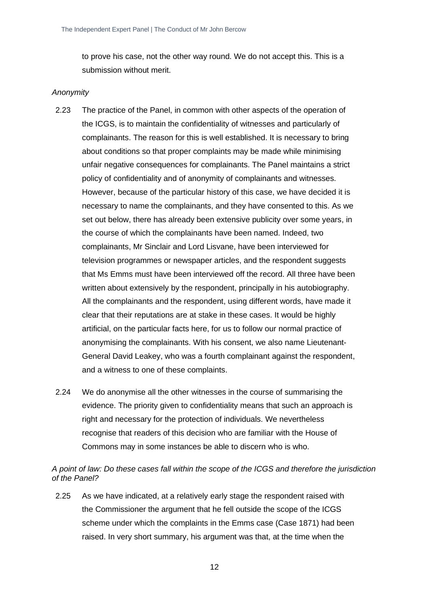to prove his case, not the other way round. We do not accept this. This is a submission without merit.

#### *Anonymity*

- 2.23 The practice of the Panel, in common with other aspects of the operation of the ICGS, is to maintain the confidentiality of witnesses and particularly of complainants. The reason for this is well established. It is necessary to bring about conditions so that proper complaints may be made while minimising unfair negative consequences for complainants. The Panel maintains a strict policy of confidentiality and of anonymity of complainants and witnesses. However, because of the particular history of this case, we have decided it is necessary to name the complainants, and they have consented to this. As we set out below, there has already been extensive publicity over some years, in the course of which the complainants have been named. Indeed, two complainants, Mr Sinclair and Lord Lisvane, have been interviewed for television programmes or newspaper articles, and the respondent suggests that Ms Emms must have been interviewed off the record. All three have been written about extensively by the respondent, principally in his autobiography. All the complainants and the respondent, using different words, have made it clear that their reputations are at stake in these cases. It would be highly artificial, on the particular facts here, for us to follow our normal practice of anonymising the complainants. With his consent, we also name Lieutenant-General David Leakey, who was a fourth complainant against the respondent, and a witness to one of these complaints.
- 2.24 We do anonymise all the other witnesses in the course of summarising the evidence. The priority given to confidentiality means that such an approach is right and necessary for the protection of individuals. We nevertheless recognise that readers of this decision who are familiar with the House of Commons may in some instances be able to discern who is who.

*A point of law: Do these cases fall within the scope of the ICGS and therefore the jurisdiction of the Panel?*

2.25 As we have indicated, at a relatively early stage the respondent raised with the Commissioner the argument that he fell outside the scope of the ICGS scheme under which the complaints in the Emms case (Case 1871) had been raised. In very short summary, his argument was that, at the time when the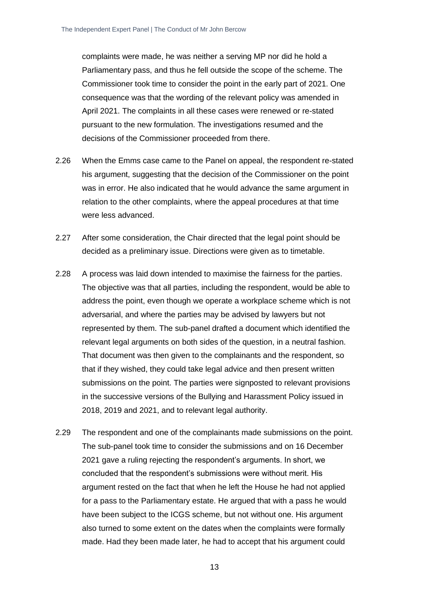complaints were made, he was neither a serving MP nor did he hold a Parliamentary pass, and thus he fell outside the scope of the scheme. The Commissioner took time to consider the point in the early part of 2021. One consequence was that the wording of the relevant policy was amended in April 2021. The complaints in all these cases were renewed or re-stated pursuant to the new formulation. The investigations resumed and the decisions of the Commissioner proceeded from there.

- 2.26 When the Emms case came to the Panel on appeal, the respondent re-stated his argument, suggesting that the decision of the Commissioner on the point was in error. He also indicated that he would advance the same argument in relation to the other complaints, where the appeal procedures at that time were less advanced.
- 2.27 After some consideration, the Chair directed that the legal point should be decided as a preliminary issue. Directions were given as to timetable.
- 2.28 A process was laid down intended to maximise the fairness for the parties. The objective was that all parties, including the respondent, would be able to address the point, even though we operate a workplace scheme which is not adversarial, and where the parties may be advised by lawyers but not represented by them. The sub-panel drafted a document which identified the relevant legal arguments on both sides of the question, in a neutral fashion. That document was then given to the complainants and the respondent, so that if they wished, they could take legal advice and then present written submissions on the point. The parties were signposted to relevant provisions in the successive versions of the Bullying and Harassment Policy issued in 2018, 2019 and 2021, and to relevant legal authority.
- 2.29 The respondent and one of the complainants made submissions on the point. The sub-panel took time to consider the submissions and on 16 December 2021 gave a ruling rejecting the respondent's arguments. In short, we concluded that the respondent's submissions were without merit. His argument rested on the fact that when he left the House he had not applied for a pass to the Parliamentary estate. He argued that with a pass he would have been subject to the ICGS scheme, but not without one. His argument also turned to some extent on the dates when the complaints were formally made. Had they been made later, he had to accept that his argument could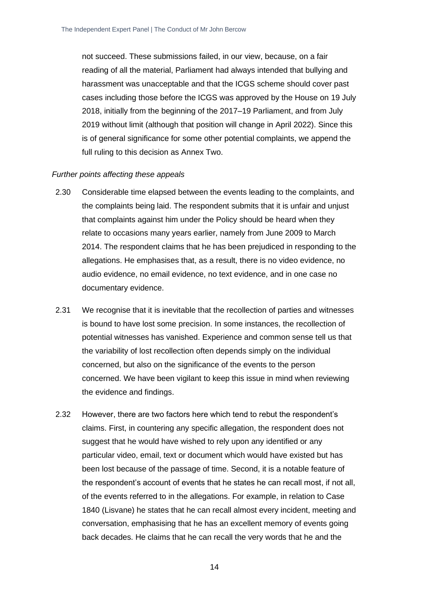not succeed. These submissions failed, in our view, because, on a fair reading of all the material, Parliament had always intended that bullying and harassment was unacceptable and that the ICGS scheme should cover past cases including those before the ICGS was approved by the House on 19 July 2018, initially from the beginning of the 2017–19 Parliament, and from July 2019 without limit (although that position will change in April 2022). Since this is of general significance for some other potential complaints, we append the full ruling to this decision as Annex Two.

#### *Further points affecting these appeals*

- 2.30 Considerable time elapsed between the events leading to the complaints, and the complaints being laid. The respondent submits that it is unfair and unjust that complaints against him under the Policy should be heard when they relate to occasions many years earlier, namely from June 2009 to March 2014. The respondent claims that he has been prejudiced in responding to the allegations. He emphasises that, as a result, there is no video evidence, no audio evidence, no email evidence, no text evidence, and in one case no documentary evidence.
- 2.31 We recognise that it is inevitable that the recollection of parties and witnesses is bound to have lost some precision. In some instances, the recollection of potential witnesses has vanished. Experience and common sense tell us that the variability of lost recollection often depends simply on the individual concerned, but also on the significance of the events to the person concerned. We have been vigilant to keep this issue in mind when reviewing the evidence and findings.
- 2.32 However, there are two factors here which tend to rebut the respondent's claims. First, in countering any specific allegation, the respondent does not suggest that he would have wished to rely upon any identified or any particular video, email, text or document which would have existed but has been lost because of the passage of time. Second, it is a notable feature of the respondent's account of events that he states he can recall most, if not all, of the events referred to in the allegations. For example, in relation to Case 1840 (Lisvane) he states that he can recall almost every incident, meeting and conversation, emphasising that he has an excellent memory of events going back decades. He claims that he can recall the very words that he and the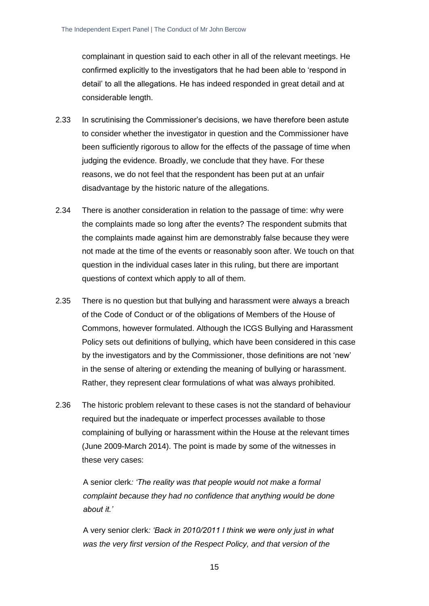complainant in question said to each other in all of the relevant meetings. He confirmed explicitly to the investigators that he had been able to 'respond in detail' to all the allegations. He has indeed responded in great detail and at considerable length.

- 2.33 In scrutinising the Commissioner's decisions, we have therefore been astute to consider whether the investigator in question and the Commissioner have been sufficiently rigorous to allow for the effects of the passage of time when judging the evidence. Broadly, we conclude that they have. For these reasons, we do not feel that the respondent has been put at an unfair disadvantage by the historic nature of the allegations.
- 2.34 There is another consideration in relation to the passage of time: why were the complaints made so long after the events? The respondent submits that the complaints made against him are demonstrably false because they were not made at the time of the events or reasonably soon after. We touch on that question in the individual cases later in this ruling, but there are important questions of context which apply to all of them.
- 2.35 There is no question but that bullying and harassment were always a breach of the Code of Conduct or of the obligations of Members of the House of Commons, however formulated. Although the ICGS Bullying and Harassment Policy sets out definitions of bullying, which have been considered in this case by the investigators and by the Commissioner, those definitions are not 'new' in the sense of altering or extending the meaning of bullying or harassment. Rather, they represent clear formulations of what was always prohibited.
- 2.36 The historic problem relevant to these cases is not the standard of behaviour required but the inadequate or imperfect processes available to those complaining of bullying or harassment within the House at the relevant times (June 2009-March 2014). The point is made by some of the witnesses in these very cases:

A senior clerk*: 'The reality was that people would not make a formal complaint because they had no confidence that anything would be done about it.'*

A very senior clerk*: 'Back in 2010/2011 I think we were only just in what was the very first version of the Respect Policy, and that version of the*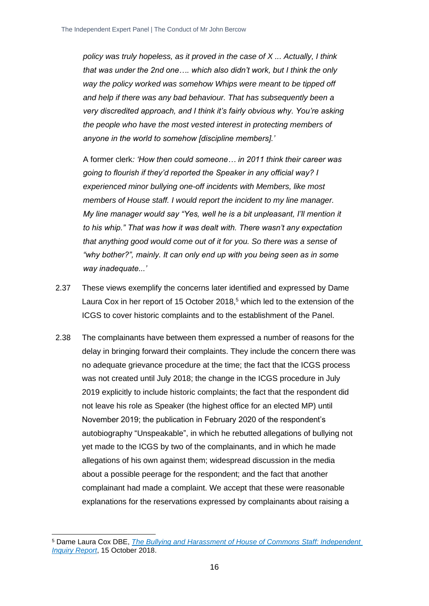*policy was truly hopeless, as it proved in the case of X ... Actually, I think that was under the 2nd one…. which also didn't work, but I think the only way the policy worked was somehow Whips were meant to be tipped off and help if there was any bad behaviour. That has subsequently been a very discredited approach, and I think it's fairly obvious why. You're asking the people who have the most vested interest in protecting members of anyone in the world to somehow [discipline members].'*

A former clerk*: 'How then could someone… in 2011 think their career was going to flourish if they'd reported the Speaker in any official way? I experienced minor bullying one-off incidents with Members, like most members of House staff. I would report the incident to my line manager. My line manager would say "Yes, well he is a bit unpleasant, I'll mention it to his whip." That was how it was dealt with. There wasn't any expectation that anything good would come out of it for you. So there was a sense of "why bother?", mainly. It can only end up with you being seen as in some way inadequate...'*

- 2.37 These views exemplify the concerns later identified and expressed by Dame Laura Cox in her report of 15 October 2018,<sup>5</sup> which led to the extension of the ICGS to cover historic complaints and to the establishment of the Panel.
- 2.38 The complainants have between them expressed a number of reasons for the delay in bringing forward their complaints. They include the concern there was no adequate grievance procedure at the time; the fact that the ICGS process was not created until July 2018; the change in the ICGS procedure in July 2019 explicitly to include historic complaints; the fact that the respondent did not leave his role as Speaker (the highest office for an elected MP) until November 2019; the publication in February 2020 of the respondent's autobiography "Unspeakable", in which he rebutted allegations of bullying not yet made to the ICGS by two of the complainants, and in which he made allegations of his own against them; widespread discussion in the media about a possible peerage for the respondent; and the fact that another complainant had made a complaint. We accept that these were reasonable explanations for the reservations expressed by complainants about raising a

<sup>5</sup> Dame Laura Cox DBE, *[The Bullying and Harassment of House of Commons Staff: Independent](https://www.parliament.uk/globalassets/documents/conduct-in-parliament/dame-laura-cox-independent-inquiry-report.pdf)  [Inquiry Report](https://www.parliament.uk/globalassets/documents/conduct-in-parliament/dame-laura-cox-independent-inquiry-report.pdf)*, 15 October 2018.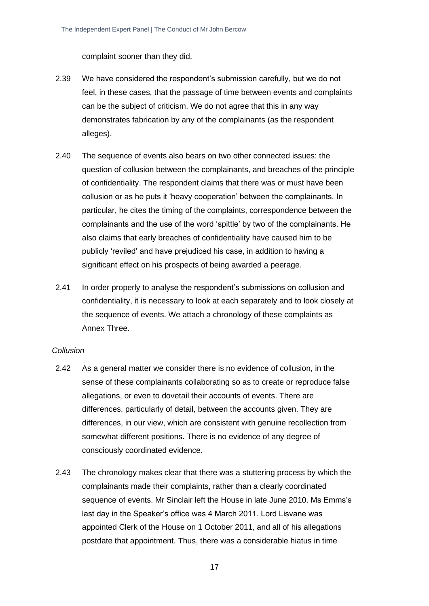complaint sooner than they did.

- 2.39 We have considered the respondent's submission carefully, but we do not feel, in these cases, that the passage of time between events and complaints can be the subject of criticism. We do not agree that this in any way demonstrates fabrication by any of the complainants (as the respondent alleges).
- 2.40 The sequence of events also bears on two other connected issues: the question of collusion between the complainants, and breaches of the principle of confidentiality. The respondent claims that there was or must have been collusion or as he puts it 'heavy cooperation' between the complainants. In particular, he cites the timing of the complaints, correspondence between the complainants and the use of the word 'spittle' by two of the complainants. He also claims that early breaches of confidentiality have caused him to be publicly 'reviled' and have prejudiced his case, in addition to having a significant effect on his prospects of being awarded a peerage.
- 2.41 In order properly to analyse the respondent's submissions on collusion and confidentiality, it is necessary to look at each separately and to look closely at the sequence of events. We attach a chronology of these complaints as Annex Three.

#### *Collusion*

- 2.42 As a general matter we consider there is no evidence of collusion, in the sense of these complainants collaborating so as to create or reproduce false allegations, or even to dovetail their accounts of events. There are differences, particularly of detail, between the accounts given. They are differences, in our view, which are consistent with genuine recollection from somewhat different positions. There is no evidence of any degree of consciously coordinated evidence.
- 2.43 The chronology makes clear that there was a stuttering process by which the complainants made their complaints, rather than a clearly coordinated sequence of events. Mr Sinclair left the House in late June 2010. Ms Emms's last day in the Speaker's office was 4 March 2011. Lord Lisvane was appointed Clerk of the House on 1 October 2011, and all of his allegations postdate that appointment. Thus, there was a considerable hiatus in time
	- 17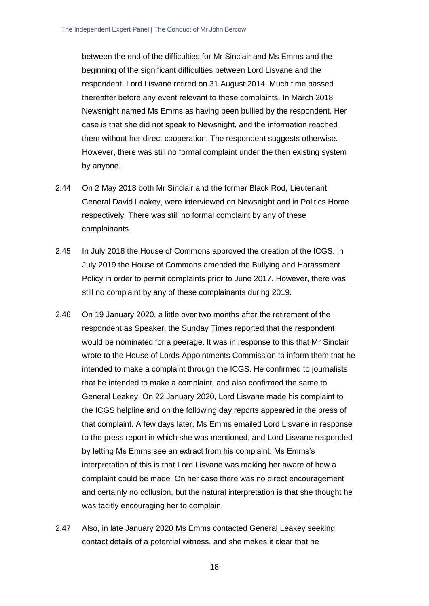between the end of the difficulties for Mr Sinclair and Ms Emms and the beginning of the significant difficulties between Lord Lisvane and the respondent. Lord Lisvane retired on 31 August 2014. Much time passed thereafter before any event relevant to these complaints. In March 2018 Newsnight named Ms Emms as having been bullied by the respondent. Her case is that she did not speak to Newsnight, and the information reached them without her direct cooperation. The respondent suggests otherwise. However, there was still no formal complaint under the then existing system by anyone.

- 2.44 On 2 May 2018 both Mr Sinclair and the former Black Rod, Lieutenant General David Leakey, were interviewed on Newsnight and in Politics Home respectively. There was still no formal complaint by any of these complainants.
- 2.45 In July 2018 the House of Commons approved the creation of the ICGS. In July 2019 the House of Commons amended the Bullying and Harassment Policy in order to permit complaints prior to June 2017. However, there was still no complaint by any of these complainants during 2019.
- 2.46 On 19 January 2020, a little over two months after the retirement of the respondent as Speaker, the Sunday Times reported that the respondent would be nominated for a peerage. It was in response to this that Mr Sinclair wrote to the House of Lords Appointments Commission to inform them that he intended to make a complaint through the ICGS. He confirmed to journalists that he intended to make a complaint, and also confirmed the same to General Leakey. On 22 January 2020, Lord Lisvane made his complaint to the ICGS helpline and on the following day reports appeared in the press of that complaint. A few days later, Ms Emms emailed Lord Lisvane in response to the press report in which she was mentioned, and Lord Lisvane responded by letting Ms Emms see an extract from his complaint. Ms Emms's interpretation of this is that Lord Lisvane was making her aware of how a complaint could be made. On her case there was no direct encouragement and certainly no collusion, but the natural interpretation is that she thought he was tacitly encouraging her to complain.
- 2.47 Also, in late January 2020 Ms Emms contacted General Leakey seeking contact details of a potential witness, and she makes it clear that he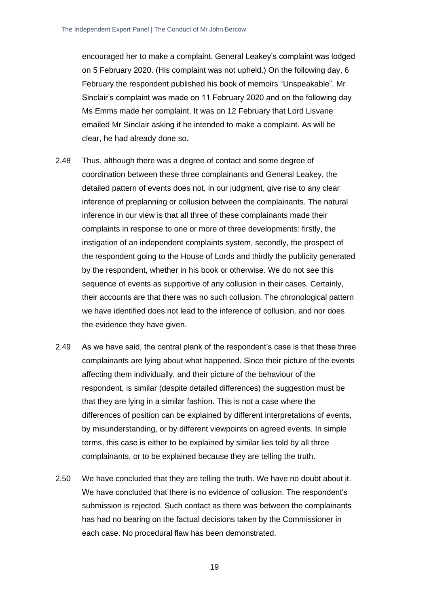encouraged her to make a complaint. General Leakey's complaint was lodged on 5 February 2020. (His complaint was not upheld.) On the following day, 6 February the respondent published his book of memoirs "Unspeakable". Mr Sinclair's complaint was made on 11 February 2020 and on the following day Ms Emms made her complaint. It was on 12 February that Lord Lisvane emailed Mr Sinclair asking if he intended to make a complaint. As will be clear, he had already done so.

- 2.48 Thus, although there was a degree of contact and some degree of coordination between these three complainants and General Leakey, the detailed pattern of events does not, in our judgment, give rise to any clear inference of preplanning or collusion between the complainants. The natural inference in our view is that all three of these complainants made their complaints in response to one or more of three developments: firstly, the instigation of an independent complaints system, secondly, the prospect of the respondent going to the House of Lords and thirdly the publicity generated by the respondent, whether in his book or otherwise. We do not see this sequence of events as supportive of any collusion in their cases. Certainly, their accounts are that there was no such collusion. The chronological pattern we have identified does not lead to the inference of collusion, and nor does the evidence they have given.
- 2.49 As we have said, the central plank of the respondent's case is that these three complainants are lying about what happened. Since their picture of the events affecting them individually, and their picture of the behaviour of the respondent, is similar (despite detailed differences) the suggestion must be that they are lying in a similar fashion. This is not a case where the differences of position can be explained by different interpretations of events, by misunderstanding, or by different viewpoints on agreed events. In simple terms, this case is either to be explained by similar lies told by all three complainants, or to be explained because they are telling the truth.
- 2.50 We have concluded that they are telling the truth. We have no doubt about it. We have concluded that there is no evidence of collusion. The respondent's submission is rejected. Such contact as there was between the complainants has had no bearing on the factual decisions taken by the Commissioner in each case. No procedural flaw has been demonstrated.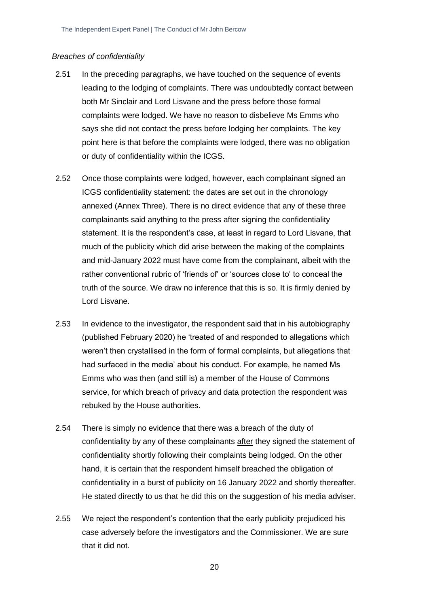#### *Breaches of confidentiality*

- 2.51 In the preceding paragraphs, we have touched on the sequence of events leading to the lodging of complaints. There was undoubtedly contact between both Mr Sinclair and Lord Lisvane and the press before those formal complaints were lodged. We have no reason to disbelieve Ms Emms who says she did not contact the press before lodging her complaints. The key point here is that before the complaints were lodged, there was no obligation or duty of confidentiality within the ICGS.
- 2.52 Once those complaints were lodged, however, each complainant signed an ICGS confidentiality statement: the dates are set out in the chronology annexed (Annex Three). There is no direct evidence that any of these three complainants said anything to the press after signing the confidentiality statement. It is the respondent's case, at least in regard to Lord Lisvane, that much of the publicity which did arise between the making of the complaints and mid-January 2022 must have come from the complainant, albeit with the rather conventional rubric of 'friends of' or 'sources close to' to conceal the truth of the source. We draw no inference that this is so. It is firmly denied by Lord Lisvane.
- 2.53 In evidence to the investigator, the respondent said that in his autobiography (published February 2020) he 'treated of and responded to allegations which weren't then crystallised in the form of formal complaints, but allegations that had surfaced in the media' about his conduct. For example, he named Ms Emms who was then (and still is) a member of the House of Commons service, for which breach of privacy and data protection the respondent was rebuked by the House authorities.
- 2.54 There is simply no evidence that there was a breach of the duty of confidentiality by any of these complainants after they signed the statement of confidentiality shortly following their complaints being lodged. On the other hand, it is certain that the respondent himself breached the obligation of confidentiality in a burst of publicity on 16 January 2022 and shortly thereafter. He stated directly to us that he did this on the suggestion of his media adviser.
- 2.55 We reject the respondent's contention that the early publicity prejudiced his case adversely before the investigators and the Commissioner. We are sure that it did not.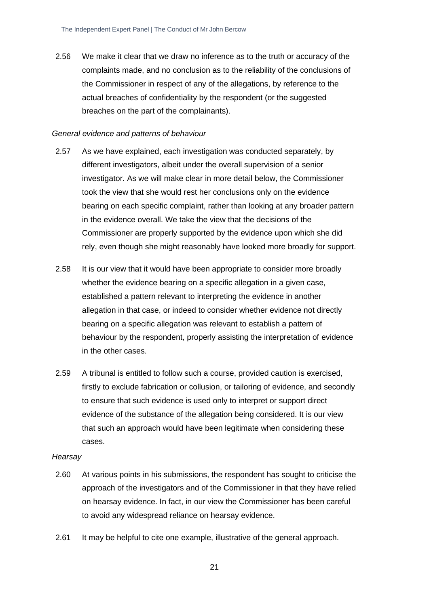2.56 We make it clear that we draw no inference as to the truth or accuracy of the complaints made, and no conclusion as to the reliability of the conclusions of the Commissioner in respect of any of the allegations, by reference to the actual breaches of confidentiality by the respondent (or the suggested breaches on the part of the complainants).

#### *General evidence and patterns of behaviour*

- 2.57 As we have explained, each investigation was conducted separately, by different investigators, albeit under the overall supervision of a senior investigator. As we will make clear in more detail below, the Commissioner took the view that she would rest her conclusions only on the evidence bearing on each specific complaint, rather than looking at any broader pattern in the evidence overall. We take the view that the decisions of the Commissioner are properly supported by the evidence upon which she did rely, even though she might reasonably have looked more broadly for support.
- 2.58 It is our view that it would have been appropriate to consider more broadly whether the evidence bearing on a specific allegation in a given case, established a pattern relevant to interpreting the evidence in another allegation in that case, or indeed to consider whether evidence not directly bearing on a specific allegation was relevant to establish a pattern of behaviour by the respondent, properly assisting the interpretation of evidence in the other cases.
- 2.59 A tribunal is entitled to follow such a course, provided caution is exercised, firstly to exclude fabrication or collusion, or tailoring of evidence, and secondly to ensure that such evidence is used only to interpret or support direct evidence of the substance of the allegation being considered. It is our view that such an approach would have been legitimate when considering these cases.

#### *Hearsay*

- 2.60 At various points in his submissions, the respondent has sought to criticise the approach of the investigators and of the Commissioner in that they have relied on hearsay evidence. In fact, in our view the Commissioner has been careful to avoid any widespread reliance on hearsay evidence.
- 2.61 It may be helpful to cite one example, illustrative of the general approach.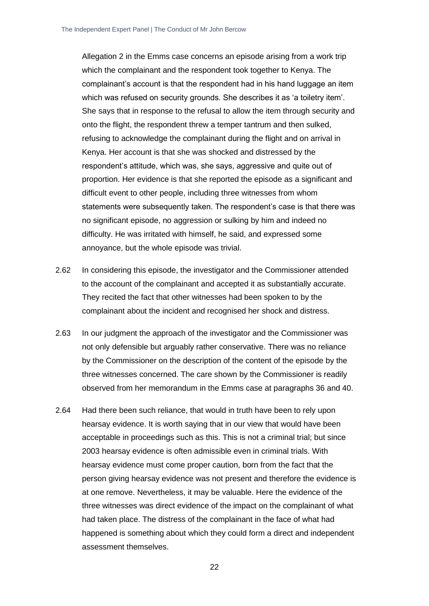Allegation 2 in the Emms case concerns an episode arising from a work trip which the complainant and the respondent took together to Kenya. The complainant's account is that the respondent had in his hand luggage an item which was refused on security grounds. She describes it as 'a toiletry item'. She says that in response to the refusal to allow the item through security and onto the flight, the respondent threw a temper tantrum and then sulked, refusing to acknowledge the complainant during the flight and on arrival in Kenya. Her account is that she was shocked and distressed by the respondent's attitude, which was, she says, aggressive and quite out of proportion. Her evidence is that she reported the episode as a significant and difficult event to other people, including three witnesses from whom statements were subsequently taken. The respondent's case is that there was no significant episode, no aggression or sulking by him and indeed no difficulty. He was irritated with himself, he said, and expressed some annoyance, but the whole episode was trivial.

- 2.62 In considering this episode, the investigator and the Commissioner attended to the account of the complainant and accepted it as substantially accurate. They recited the fact that other witnesses had been spoken to by the complainant about the incident and recognised her shock and distress.
- 2.63 In our judgment the approach of the investigator and the Commissioner was not only defensible but arguably rather conservative. There was no reliance by the Commissioner on the description of the content of the episode by the three witnesses concerned. The care shown by the Commissioner is readily observed from her memorandum in the Emms case at paragraphs 36 and 40.
- 2.64 Had there been such reliance, that would in truth have been to rely upon hearsay evidence. It is worth saying that in our view that would have been acceptable in proceedings such as this. This is not a criminal trial; but since 2003 hearsay evidence is often admissible even in criminal trials. With hearsay evidence must come proper caution, born from the fact that the person giving hearsay evidence was not present and therefore the evidence is at one remove. Nevertheless, it may be valuable. Here the evidence of the three witnesses was direct evidence of the impact on the complainant of what had taken place. The distress of the complainant in the face of what had happened is something about which they could form a direct and independent assessment themselves.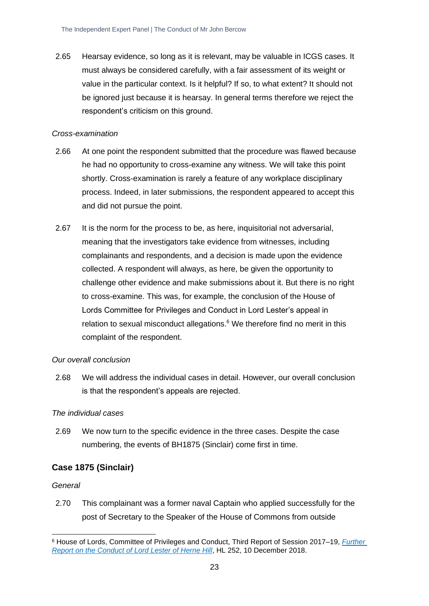2.65 Hearsay evidence, so long as it is relevant, may be valuable in ICGS cases. It must always be considered carefully, with a fair assessment of its weight or value in the particular context. Is it helpful? If so, to what extent? It should not be ignored just because it is hearsay. In general terms therefore we reject the respondent's criticism on this ground.

#### *Cross-examination*

- 2.66 At one point the respondent submitted that the procedure was flawed because he had no opportunity to cross-examine any witness. We will take this point shortly. Cross-examination is rarely a feature of any workplace disciplinary process. Indeed, in later submissions, the respondent appeared to accept this and did not pursue the point.
- 2.67 It is the norm for the process to be, as here, inquisitorial not adversarial, meaning that the investigators take evidence from witnesses, including complainants and respondents, and a decision is made upon the evidence collected. A respondent will always, as here, be given the opportunity to challenge other evidence and make submissions about it. But there is no right to cross-examine. This was, for example, the conclusion of the House of Lords Committee for Privileges and Conduct in Lord Lester's appeal in relation to sexual misconduct allegations. $6$  We therefore find no merit in this complaint of the respondent.

#### *Our overall conclusion*

2.68 We will address the individual cases in detail. However, our overall conclusion is that the respondent's appeals are rejected.

#### *The individual cases*

2.69 We now turn to the specific evidence in the three cases. Despite the case numbering, the events of BH1875 (Sinclair) come first in time.

#### <span id="page-23-0"></span>**Case 1875 (Sinclair)**

#### *General*

2.70 This complainant was a former naval Captain who applied successfully for the post of Secretary to the Speaker of the House of Commons from outside

<sup>6</sup> House of Lords, Committee of Privileges and Conduct, Third Report of Session 2017–19, *[Further](https://publications.parliament.uk/pa/ld201719/ldselect/ldprivi/252/252.pdf)  [Report on the Conduct of Lord Lester of Herne Hill](https://publications.parliament.uk/pa/ld201719/ldselect/ldprivi/252/252.pdf)*, HL 252, 10 December 2018.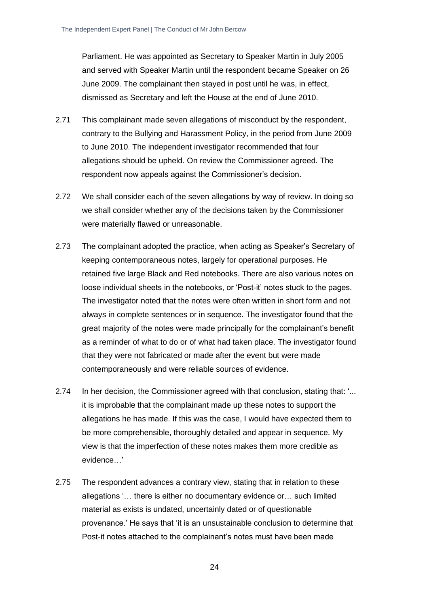Parliament. He was appointed as Secretary to Speaker Martin in July 2005 and served with Speaker Martin until the respondent became Speaker on 26 June 2009. The complainant then stayed in post until he was, in effect, dismissed as Secretary and left the House at the end of June 2010.

- 2.71 This complainant made seven allegations of misconduct by the respondent, contrary to the Bullying and Harassment Policy, in the period from June 2009 to June 2010. The independent investigator recommended that four allegations should be upheld. On review the Commissioner agreed. The respondent now appeals against the Commissioner's decision.
- 2.72 We shall consider each of the seven allegations by way of review. In doing so we shall consider whether any of the decisions taken by the Commissioner were materially flawed or unreasonable.
- 2.73 The complainant adopted the practice, when acting as Speaker's Secretary of keeping contemporaneous notes, largely for operational purposes. He retained five large Black and Red notebooks. There are also various notes on loose individual sheets in the notebooks, or 'Post-it' notes stuck to the pages. The investigator noted that the notes were often written in short form and not always in complete sentences or in sequence. The investigator found that the great majority of the notes were made principally for the complainant's benefit as a reminder of what to do or of what had taken place. The investigator found that they were not fabricated or made after the event but were made contemporaneously and were reliable sources of evidence.
- 2.74 In her decision, the Commissioner agreed with that conclusion, stating that: '... it is improbable that the complainant made up these notes to support the allegations he has made. If this was the case, I would have expected them to be more comprehensible, thoroughly detailed and appear in sequence. My view is that the imperfection of these notes makes them more credible as evidence…'
- 2.75 The respondent advances a contrary view, stating that in relation to these allegations '… there is either no documentary evidence or… such limited material as exists is undated, uncertainly dated or of questionable provenance.' He says that 'it is an unsustainable conclusion to determine that Post-it notes attached to the complainant's notes must have been made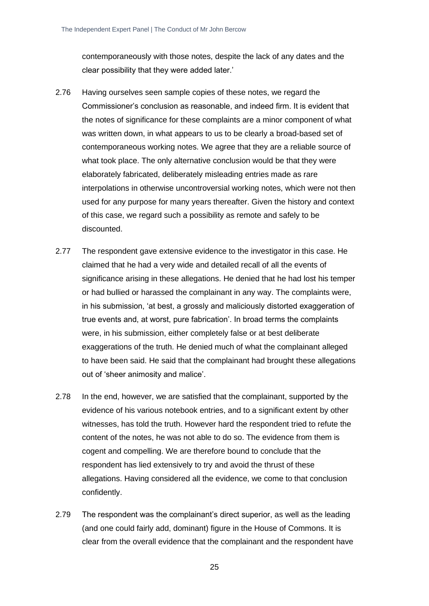contemporaneously with those notes, despite the lack of any dates and the clear possibility that they were added later.'

- 2.76 Having ourselves seen sample copies of these notes, we regard the Commissioner's conclusion as reasonable, and indeed firm. It is evident that the notes of significance for these complaints are a minor component of what was written down, in what appears to us to be clearly a broad-based set of contemporaneous working notes. We agree that they are a reliable source of what took place. The only alternative conclusion would be that they were elaborately fabricated, deliberately misleading entries made as rare interpolations in otherwise uncontroversial working notes, which were not then used for any purpose for many years thereafter. Given the history and context of this case, we regard such a possibility as remote and safely to be discounted.
- 2.77 The respondent gave extensive evidence to the investigator in this case. He claimed that he had a very wide and detailed recall of all the events of significance arising in these allegations. He denied that he had lost his temper or had bullied or harassed the complainant in any way. The complaints were, in his submission, 'at best, a grossly and maliciously distorted exaggeration of true events and, at worst, pure fabrication'. In broad terms the complaints were, in his submission, either completely false or at best deliberate exaggerations of the truth. He denied much of what the complainant alleged to have been said. He said that the complainant had brought these allegations out of 'sheer animosity and malice'.
- 2.78 In the end, however, we are satisfied that the complainant, supported by the evidence of his various notebook entries, and to a significant extent by other witnesses, has told the truth. However hard the respondent tried to refute the content of the notes, he was not able to do so. The evidence from them is cogent and compelling. We are therefore bound to conclude that the respondent has lied extensively to try and avoid the thrust of these allegations. Having considered all the evidence, we come to that conclusion confidently.
- 2.79 The respondent was the complainant's direct superior, as well as the leading (and one could fairly add, dominant) figure in the House of Commons. It is clear from the overall evidence that the complainant and the respondent have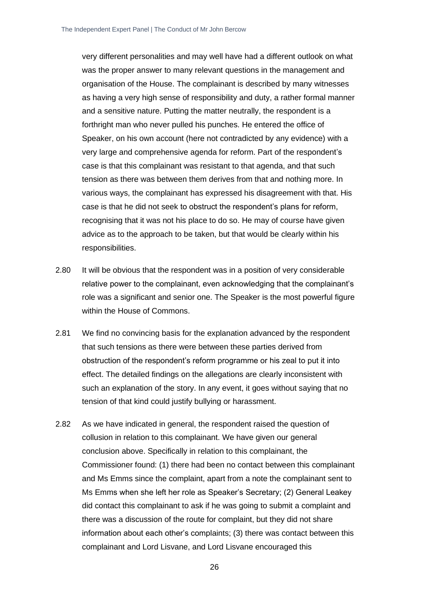very different personalities and may well have had a different outlook on what was the proper answer to many relevant questions in the management and organisation of the House. The complainant is described by many witnesses as having a very high sense of responsibility and duty, a rather formal manner and a sensitive nature. Putting the matter neutrally, the respondent is a forthright man who never pulled his punches. He entered the office of Speaker, on his own account (here not contradicted by any evidence) with a very large and comprehensive agenda for reform. Part of the respondent's case is that this complainant was resistant to that agenda, and that such tension as there was between them derives from that and nothing more. In various ways, the complainant has expressed his disagreement with that. His case is that he did not seek to obstruct the respondent's plans for reform, recognising that it was not his place to do so. He may of course have given advice as to the approach to be taken, but that would be clearly within his responsibilities.

- 2.80 It will be obvious that the respondent was in a position of very considerable relative power to the complainant, even acknowledging that the complainant's role was a significant and senior one. The Speaker is the most powerful figure within the House of Commons.
- 2.81 We find no convincing basis for the explanation advanced by the respondent that such tensions as there were between these parties derived from obstruction of the respondent's reform programme or his zeal to put it into effect. The detailed findings on the allegations are clearly inconsistent with such an explanation of the story. In any event, it goes without saying that no tension of that kind could justify bullying or harassment.
- 2.82 As we have indicated in general, the respondent raised the question of collusion in relation to this complainant. We have given our general conclusion above. Specifically in relation to this complainant, the Commissioner found: (1) there had been no contact between this complainant and Ms Emms since the complaint, apart from a note the complainant sent to Ms Emms when she left her role as Speaker's Secretary; (2) General Leakey did contact this complainant to ask if he was going to submit a complaint and there was a discussion of the route for complaint, but they did not share information about each other's complaints; (3) there was contact between this complainant and Lord Lisvane, and Lord Lisvane encouraged this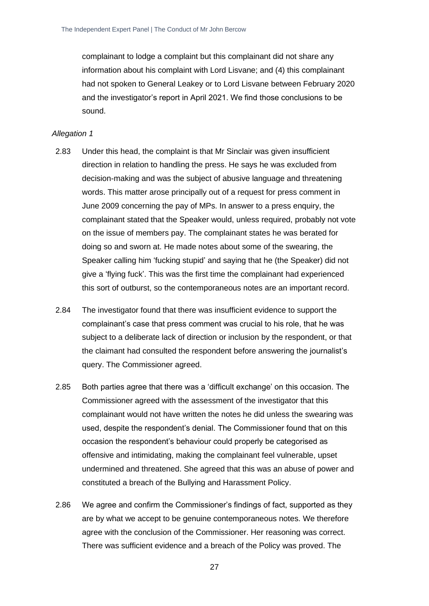complainant to lodge a complaint but this complainant did not share any information about his complaint with Lord Lisvane; and (4) this complainant had not spoken to General Leakey or to Lord Lisvane between February 2020 and the investigator's report in April 2021. We find those conclusions to be sound.

- 2.83 Under this head, the complaint is that Mr Sinclair was given insufficient direction in relation to handling the press. He says he was excluded from decision-making and was the subject of abusive language and threatening words. This matter arose principally out of a request for press comment in June 2009 concerning the pay of MPs. In answer to a press enquiry, the complainant stated that the Speaker would, unless required, probably not vote on the issue of members pay. The complainant states he was berated for doing so and sworn at. He made notes about some of the swearing, the Speaker calling him 'fucking stupid' and saying that he (the Speaker) did not give a 'flying fuck'. This was the first time the complainant had experienced this sort of outburst, so the contemporaneous notes are an important record.
- 2.84 The investigator found that there was insufficient evidence to support the complainant's case that press comment was crucial to his role, that he was subject to a deliberate lack of direction or inclusion by the respondent, or that the claimant had consulted the respondent before answering the journalist's query. The Commissioner agreed.
- 2.85 Both parties agree that there was a 'difficult exchange' on this occasion. The Commissioner agreed with the assessment of the investigator that this complainant would not have written the notes he did unless the swearing was used, despite the respondent's denial. The Commissioner found that on this occasion the respondent's behaviour could properly be categorised as offensive and intimidating, making the complainant feel vulnerable, upset undermined and threatened. She agreed that this was an abuse of power and constituted a breach of the Bullying and Harassment Policy.
- 2.86 We agree and confirm the Commissioner's findings of fact, supported as they are by what we accept to be genuine contemporaneous notes. We therefore agree with the conclusion of the Commissioner. Her reasoning was correct. There was sufficient evidence and a breach of the Policy was proved. The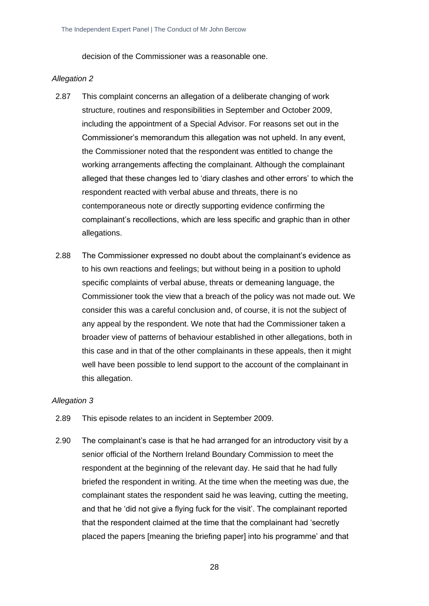decision of the Commissioner was a reasonable one.

#### *Allegation 2*

- 2.87 This complaint concerns an allegation of a deliberate changing of work structure, routines and responsibilities in September and October 2009, including the appointment of a Special Advisor. For reasons set out in the Commissioner's memorandum this allegation was not upheld. In any event, the Commissioner noted that the respondent was entitled to change the working arrangements affecting the complainant. Although the complainant alleged that these changes led to 'diary clashes and other errors' to which the respondent reacted with verbal abuse and threats, there is no contemporaneous note or directly supporting evidence confirming the complainant's recollections, which are less specific and graphic than in other allegations.
- 2.88 The Commissioner expressed no doubt about the complainant's evidence as to his own reactions and feelings; but without being in a position to uphold specific complaints of verbal abuse, threats or demeaning language, the Commissioner took the view that a breach of the policy was not made out. We consider this was a careful conclusion and, of course, it is not the subject of any appeal by the respondent. We note that had the Commissioner taken a broader view of patterns of behaviour established in other allegations, both in this case and in that of the other complainants in these appeals, then it might well have been possible to lend support to the account of the complainant in this allegation.

- 2.89 This episode relates to an incident in September 2009.
- 2.90 The complainant's case is that he had arranged for an introductory visit by a senior official of the Northern Ireland Boundary Commission to meet the respondent at the beginning of the relevant day. He said that he had fully briefed the respondent in writing. At the time when the meeting was due, the complainant states the respondent said he was leaving, cutting the meeting, and that he 'did not give a flying fuck for the visit'. The complainant reported that the respondent claimed at the time that the complainant had 'secretly placed the papers [meaning the briefing paper] into his programme' and that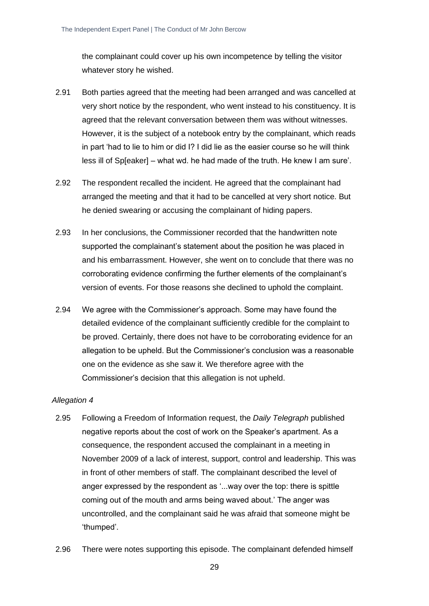the complainant could cover up his own incompetence by telling the visitor whatever story he wished.

- 2.91 Both parties agreed that the meeting had been arranged and was cancelled at very short notice by the respondent, who went instead to his constituency. It is agreed that the relevant conversation between them was without witnesses. However, it is the subject of a notebook entry by the complainant, which reads in part 'had to lie to him or did I? I did lie as the easier course so he will think less ill of Sp[eaker] – what wd. he had made of the truth. He knew I am sure'.
- 2.92 The respondent recalled the incident. He agreed that the complainant had arranged the meeting and that it had to be cancelled at very short notice. But he denied swearing or accusing the complainant of hiding papers.
- 2.93 In her conclusions, the Commissioner recorded that the handwritten note supported the complainant's statement about the position he was placed in and his embarrassment. However, she went on to conclude that there was no corroborating evidence confirming the further elements of the complainant's version of events. For those reasons she declined to uphold the complaint.
- 2.94 We agree with the Commissioner's approach. Some may have found the detailed evidence of the complainant sufficiently credible for the complaint to be proved. Certainly, there does not have to be corroborating evidence for an allegation to be upheld. But the Commissioner's conclusion was a reasonable one on the evidence as she saw it. We therefore agree with the Commissioner's decision that this allegation is not upheld.

- 2.95 Following a Freedom of Information request, the *Daily Telegraph* published negative reports about the cost of work on the Speaker's apartment. As a consequence, the respondent accused the complainant in a meeting in November 2009 of a lack of interest, support, control and leadership. This was in front of other members of staff. The complainant described the level of anger expressed by the respondent as '...way over the top: there is spittle coming out of the mouth and arms being waved about.' The anger was uncontrolled, and the complainant said he was afraid that someone might be 'thumped'.
- 2.96 There were notes supporting this episode. The complainant defended himself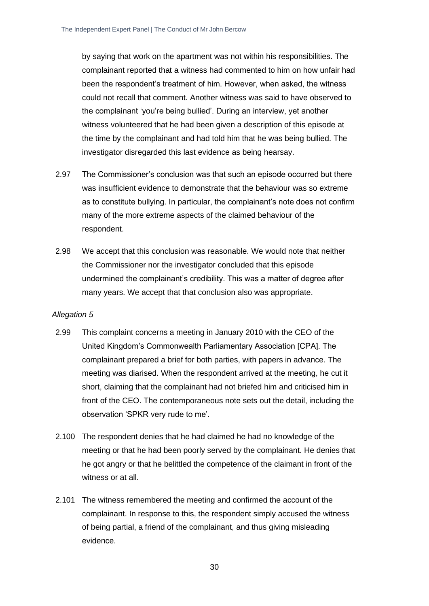by saying that work on the apartment was not within his responsibilities. The complainant reported that a witness had commented to him on how unfair had been the respondent's treatment of him. However, when asked, the witness could not recall that comment. Another witness was said to have observed to the complainant 'you're being bullied'. During an interview, yet another witness volunteered that he had been given a description of this episode at the time by the complainant and had told him that he was being bullied. The investigator disregarded this last evidence as being hearsay.

- 2.97 The Commissioner's conclusion was that such an episode occurred but there was insufficient evidence to demonstrate that the behaviour was so extreme as to constitute bullying. In particular, the complainant's note does not confirm many of the more extreme aspects of the claimed behaviour of the respondent.
- 2.98 We accept that this conclusion was reasonable. We would note that neither the Commissioner nor the investigator concluded that this episode undermined the complainant's credibility. This was a matter of degree after many years. We accept that that conclusion also was appropriate.

- 2.99 This complaint concerns a meeting in January 2010 with the CEO of the United Kingdom's Commonwealth Parliamentary Association [CPA]. The complainant prepared a brief for both parties, with papers in advance. The meeting was diarised. When the respondent arrived at the meeting, he cut it short, claiming that the complainant had not briefed him and criticised him in front of the CEO. The contemporaneous note sets out the detail, including the observation 'SPKR very rude to me'.
- 2.100 The respondent denies that he had claimed he had no knowledge of the meeting or that he had been poorly served by the complainant. He denies that he got angry or that he belittled the competence of the claimant in front of the witness or at all.
- 2.101 The witness remembered the meeting and confirmed the account of the complainant. In response to this, the respondent simply accused the witness of being partial, a friend of the complainant, and thus giving misleading evidence.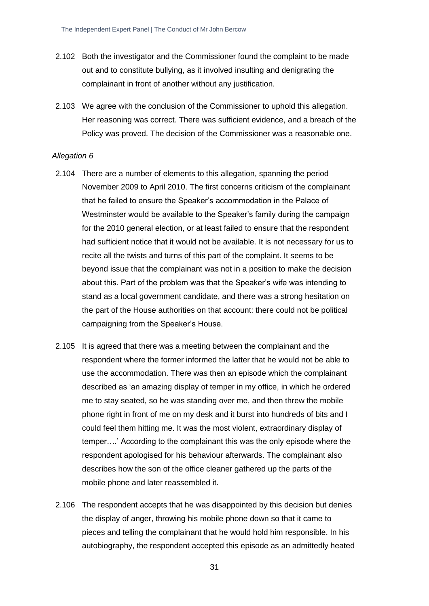- 2.102 Both the investigator and the Commissioner found the complaint to be made out and to constitute bullying, as it involved insulting and denigrating the complainant in front of another without any justification.
- 2.103 We agree with the conclusion of the Commissioner to uphold this allegation. Her reasoning was correct. There was sufficient evidence, and a breach of the Policy was proved. The decision of the Commissioner was a reasonable one.

#### *Allegation 6*

- 2.104 There are a number of elements to this allegation, spanning the period November 2009 to April 2010. The first concerns criticism of the complainant that he failed to ensure the Speaker's accommodation in the Palace of Westminster would be available to the Speaker's family during the campaign for the 2010 general election, or at least failed to ensure that the respondent had sufficient notice that it would not be available. It is not necessary for us to recite all the twists and turns of this part of the complaint. It seems to be beyond issue that the complainant was not in a position to make the decision about this. Part of the problem was that the Speaker's wife was intending to stand as a local government candidate, and there was a strong hesitation on the part of the House authorities on that account: there could not be political campaigning from the Speaker's House.
- 2.105 It is agreed that there was a meeting between the complainant and the respondent where the former informed the latter that he would not be able to use the accommodation. There was then an episode which the complainant described as 'an amazing display of temper in my office, in which he ordered me to stay seated, so he was standing over me, and then threw the mobile phone right in front of me on my desk and it burst into hundreds of bits and I could feel them hitting me. It was the most violent, extraordinary display of temper….' According to the complainant this was the only episode where the respondent apologised for his behaviour afterwards. The complainant also describes how the son of the office cleaner gathered up the parts of the mobile phone and later reassembled it.
- 2.106 The respondent accepts that he was disappointed by this decision but denies the display of anger, throwing his mobile phone down so that it came to pieces and telling the complainant that he would hold him responsible. In his autobiography, the respondent accepted this episode as an admittedly heated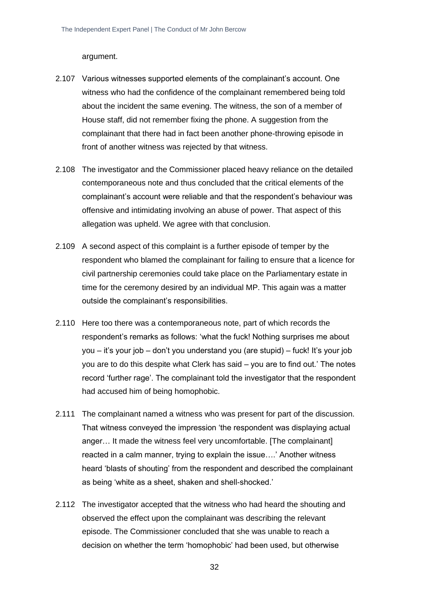argument.

- 2.107 Various witnesses supported elements of the complainant's account. One witness who had the confidence of the complainant remembered being told about the incident the same evening. The witness, the son of a member of House staff, did not remember fixing the phone. A suggestion from the complainant that there had in fact been another phone-throwing episode in front of another witness was rejected by that witness.
- 2.108 The investigator and the Commissioner placed heavy reliance on the detailed contemporaneous note and thus concluded that the critical elements of the complainant's account were reliable and that the respondent's behaviour was offensive and intimidating involving an abuse of power. That aspect of this allegation was upheld. We agree with that conclusion.
- 2.109 A second aspect of this complaint is a further episode of temper by the respondent who blamed the complainant for failing to ensure that a licence for civil partnership ceremonies could take place on the Parliamentary estate in time for the ceremony desired by an individual MP. This again was a matter outside the complainant's responsibilities.
- 2.110 Here too there was a contemporaneous note, part of which records the respondent's remarks as follows: 'what the fuck! Nothing surprises me about you – it's your job – don't you understand you (are stupid) – fuck! It's your job you are to do this despite what Clerk has said – you are to find out.' The notes record 'further rage'. The complainant told the investigator that the respondent had accused him of being homophobic.
- 2.111 The complainant named a witness who was present for part of the discussion. That witness conveyed the impression 'the respondent was displaying actual anger… It made the witness feel very uncomfortable. [The complainant] reacted in a calm manner, trying to explain the issue….' Another witness heard 'blasts of shouting' from the respondent and described the complainant as being 'white as a sheet, shaken and shell-shocked.'
- 2.112 The investigator accepted that the witness who had heard the shouting and observed the effect upon the complainant was describing the relevant episode. The Commissioner concluded that she was unable to reach a decision on whether the term 'homophobic' had been used, but otherwise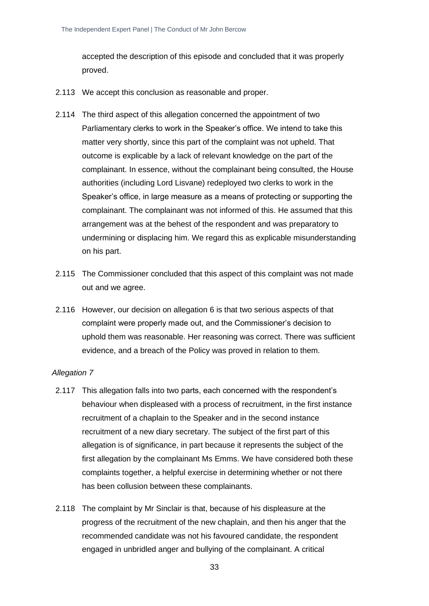accepted the description of this episode and concluded that it was properly proved.

- 2.113 We accept this conclusion as reasonable and proper.
- 2.114 The third aspect of this allegation concerned the appointment of two Parliamentary clerks to work in the Speaker's office. We intend to take this matter very shortly, since this part of the complaint was not upheld. That outcome is explicable by a lack of relevant knowledge on the part of the complainant. In essence, without the complainant being consulted, the House authorities (including Lord Lisvane) redeployed two clerks to work in the Speaker's office, in large measure as a means of protecting or supporting the complainant. The complainant was not informed of this. He assumed that this arrangement was at the behest of the respondent and was preparatory to undermining or displacing him. We regard this as explicable misunderstanding on his part.
- 2.115 The Commissioner concluded that this aspect of this complaint was not made out and we agree.
- 2.116 However, our decision on allegation 6 is that two serious aspects of that complaint were properly made out, and the Commissioner's decision to uphold them was reasonable. Her reasoning was correct. There was sufficient evidence, and a breach of the Policy was proved in relation to them.

- 2.117 This allegation falls into two parts, each concerned with the respondent's behaviour when displeased with a process of recruitment, in the first instance recruitment of a chaplain to the Speaker and in the second instance recruitment of a new diary secretary. The subject of the first part of this allegation is of significance, in part because it represents the subject of the first allegation by the complainant Ms Emms. We have considered both these complaints together, a helpful exercise in determining whether or not there has been collusion between these complainants.
- 2.118 The complaint by Mr Sinclair is that, because of his displeasure at the progress of the recruitment of the new chaplain, and then his anger that the recommended candidate was not his favoured candidate, the respondent engaged in unbridled anger and bullying of the complainant. A critical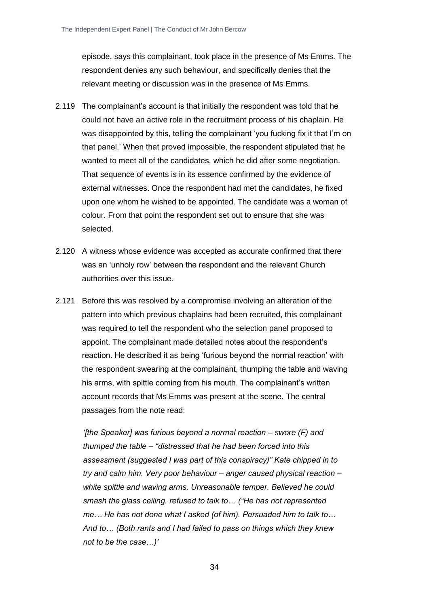episode, says this complainant, took place in the presence of Ms Emms. The respondent denies any such behaviour, and specifically denies that the relevant meeting or discussion was in the presence of Ms Emms.

- 2.119 The complainant's account is that initially the respondent was told that he could not have an active role in the recruitment process of his chaplain. He was disappointed by this, telling the complainant 'you fucking fix it that I'm on that panel.' When that proved impossible, the respondent stipulated that he wanted to meet all of the candidates, which he did after some negotiation. That sequence of events is in its essence confirmed by the evidence of external witnesses. Once the respondent had met the candidates, he fixed upon one whom he wished to be appointed. The candidate was a woman of colour. From that point the respondent set out to ensure that she was selected.
- 2.120 A witness whose evidence was accepted as accurate confirmed that there was an 'unholy row' between the respondent and the relevant Church authorities over this issue.
- 2.121 Before this was resolved by a compromise involving an alteration of the pattern into which previous chaplains had been recruited, this complainant was required to tell the respondent who the selection panel proposed to appoint. The complainant made detailed notes about the respondent's reaction. He described it as being 'furious beyond the normal reaction' with the respondent swearing at the complainant, thumping the table and waving his arms, with spittle coming from his mouth. The complainant's written account records that Ms Emms was present at the scene. The central passages from the note read:

*'[the Speaker] was furious beyond a normal reaction – swore (F) and thumped the table – "distressed that he had been forced into this assessment (suggested I was part of this conspiracy)" Kate chipped in to try and calm him. Very poor behaviour – anger caused physical reaction – white spittle and waving arms. Unreasonable temper. Believed he could smash the glass ceiling. refused to talk to… ("He has not represented me… He has not done what I asked (of him). Persuaded him to talk to… And to… (Both rants and I had failed to pass on things which they knew not to be the case…)'*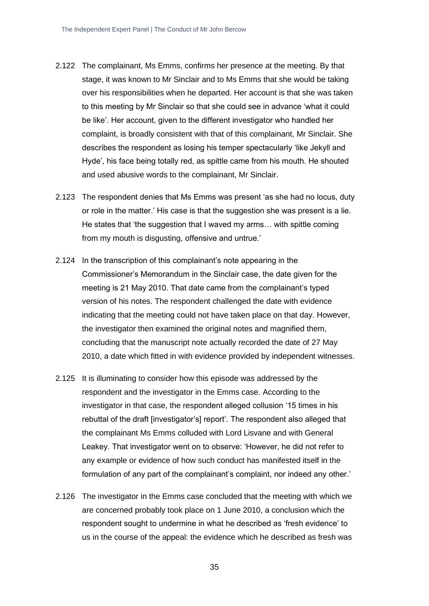- 2.122 The complainant, Ms Emms, confirms her presence at the meeting. By that stage, it was known to Mr Sinclair and to Ms Emms that she would be taking over his responsibilities when he departed. Her account is that she was taken to this meeting by Mr Sinclair so that she could see in advance 'what it could be like'. Her account, given to the different investigator who handled her complaint, is broadly consistent with that of this complainant, Mr Sinclair. She describes the respondent as losing his temper spectacularly 'like Jekyll and Hyde', his face being totally red, as spittle came from his mouth. He shouted and used abusive words to the complainant, Mr Sinclair.
- 2.123 The respondent denies that Ms Emms was present 'as she had no locus, duty or role in the matter.' His case is that the suggestion she was present is a lie. He states that 'the suggestion that I waved my arms… with spittle coming from my mouth is disgusting, offensive and untrue.'
- 2.124 In the transcription of this complainant's note appearing in the Commissioner's Memorandum in the Sinclair case, the date given for the meeting is 21 May 2010. That date came from the complainant's typed version of his notes. The respondent challenged the date with evidence indicating that the meeting could not have taken place on that day. However, the investigator then examined the original notes and magnified them, concluding that the manuscript note actually recorded the date of 27 May 2010, a date which fitted in with evidence provided by independent witnesses.
- 2.125 It is illuminating to consider how this episode was addressed by the respondent and the investigator in the Emms case. According to the investigator in that case, the respondent alleged collusion '15 times in his rebuttal of the draft [investigator's] report'. The respondent also alleged that the complainant Ms Emms colluded with Lord Lisvane and with General Leakey. That investigator went on to observe: 'However, he did not refer to any example or evidence of how such conduct has manifested itself in the formulation of any part of the complainant's complaint, nor indeed any other.'
- 2.126 The investigator in the Emms case concluded that the meeting with which we are concerned probably took place on 1 June 2010, a conclusion which the respondent sought to undermine in what he described as 'fresh evidence' to us in the course of the appeal: the evidence which he described as fresh was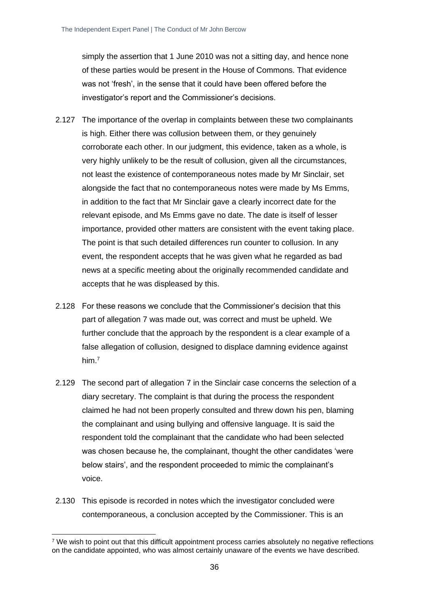simply the assertion that 1 June 2010 was not a sitting day, and hence none of these parties would be present in the House of Commons. That evidence was not 'fresh', in the sense that it could have been offered before the investigator's report and the Commissioner's decisions.

- 2.127 The importance of the overlap in complaints between these two complainants is high. Either there was collusion between them, or they genuinely corroborate each other. In our judgment, this evidence, taken as a whole, is very highly unlikely to be the result of collusion, given all the circumstances, not least the existence of contemporaneous notes made by Mr Sinclair, set alongside the fact that no contemporaneous notes were made by Ms Emms, in addition to the fact that Mr Sinclair gave a clearly incorrect date for the relevant episode, and Ms Emms gave no date. The date is itself of lesser importance, provided other matters are consistent with the event taking place. The point is that such detailed differences run counter to collusion. In any event, the respondent accepts that he was given what he regarded as bad news at a specific meeting about the originally recommended candidate and accepts that he was displeased by this.
- 2.128 For these reasons we conclude that the Commissioner's decision that this part of allegation 7 was made out, was correct and must be upheld. We further conclude that the approach by the respondent is a clear example of a false allegation of collusion, designed to displace damning evidence against him.<sup>7</sup>
- 2.129 The second part of allegation 7 in the Sinclair case concerns the selection of a diary secretary. The complaint is that during the process the respondent claimed he had not been properly consulted and threw down his pen, blaming the complainant and using bullying and offensive language. It is said the respondent told the complainant that the candidate who had been selected was chosen because he, the complainant, thought the other candidates 'were below stairs', and the respondent proceeded to mimic the complainant's voice.
- 2.130 This episode is recorded in notes which the investigator concluded were contemporaneous, a conclusion accepted by the Commissioner. This is an

<sup>7</sup> We wish to point out that this difficult appointment process carries absolutely no negative reflections on the candidate appointed, who was almost certainly unaware of the events we have described.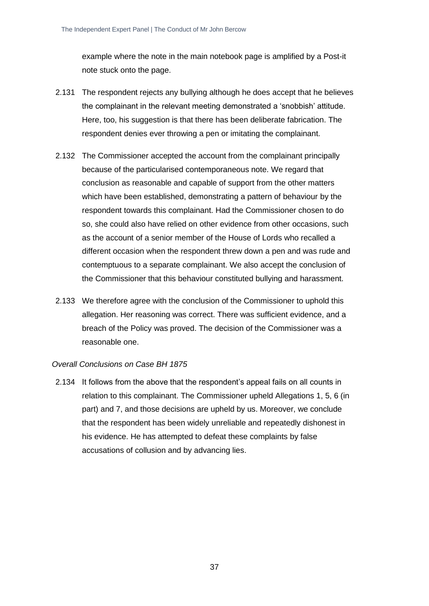example where the note in the main notebook page is amplified by a Post-it note stuck onto the page.

- 2.131 The respondent rejects any bullying although he does accept that he believes the complainant in the relevant meeting demonstrated a 'snobbish' attitude. Here, too, his suggestion is that there has been deliberate fabrication. The respondent denies ever throwing a pen or imitating the complainant.
- 2.132 The Commissioner accepted the account from the complainant principally because of the particularised contemporaneous note. We regard that conclusion as reasonable and capable of support from the other matters which have been established, demonstrating a pattern of behaviour by the respondent towards this complainant. Had the Commissioner chosen to do so, she could also have relied on other evidence from other occasions, such as the account of a senior member of the House of Lords who recalled a different occasion when the respondent threw down a pen and was rude and contemptuous to a separate complainant. We also accept the conclusion of the Commissioner that this behaviour constituted bullying and harassment.
- 2.133 We therefore agree with the conclusion of the Commissioner to uphold this allegation. Her reasoning was correct. There was sufficient evidence, and a breach of the Policy was proved. The decision of the Commissioner was a reasonable one.

#### *Overall Conclusions on Case BH 1875*

2.134 It follows from the above that the respondent's appeal fails on all counts in relation to this complainant. The Commissioner upheld Allegations 1, 5, 6 (in part) and 7, and those decisions are upheld by us. Moreover, we conclude that the respondent has been widely unreliable and repeatedly dishonest in his evidence. He has attempted to defeat these complaints by false accusations of collusion and by advancing lies.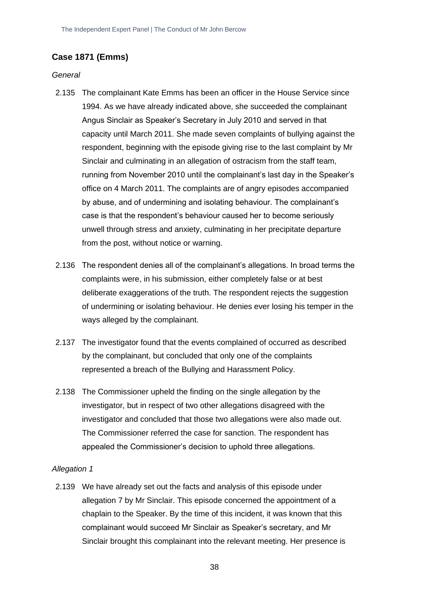# **Case 1871 (Emms)**

#### *General*

- 2.135 The complainant Kate Emms has been an officer in the House Service since 1994. As we have already indicated above, she succeeded the complainant Angus Sinclair as Speaker's Secretary in July 2010 and served in that capacity until March 2011. She made seven complaints of bullying against the respondent, beginning with the episode giving rise to the last complaint by Mr Sinclair and culminating in an allegation of ostracism from the staff team, running from November 2010 until the complainant's last day in the Speaker's office on 4 March 2011. The complaints are of angry episodes accompanied by abuse, and of undermining and isolating behaviour. The complainant's case is that the respondent's behaviour caused her to become seriously unwell through stress and anxiety, culminating in her precipitate departure from the post, without notice or warning.
- 2.136 The respondent denies all of the complainant's allegations. In broad terms the complaints were, in his submission, either completely false or at best deliberate exaggerations of the truth. The respondent rejects the suggestion of undermining or isolating behaviour. He denies ever losing his temper in the ways alleged by the complainant.
- 2.137 The investigator found that the events complained of occurred as described by the complainant, but concluded that only one of the complaints represented a breach of the Bullying and Harassment Policy.
- 2.138 The Commissioner upheld the finding on the single allegation by the investigator, but in respect of two other allegations disagreed with the investigator and concluded that those two allegations were also made out. The Commissioner referred the case for sanction. The respondent has appealed the Commissioner's decision to uphold three allegations.

#### *Allegation 1*

2.139 We have already set out the facts and analysis of this episode under allegation 7 by Mr Sinclair. This episode concerned the appointment of a chaplain to the Speaker. By the time of this incident, it was known that this complainant would succeed Mr Sinclair as Speaker's secretary, and Mr Sinclair brought this complainant into the relevant meeting. Her presence is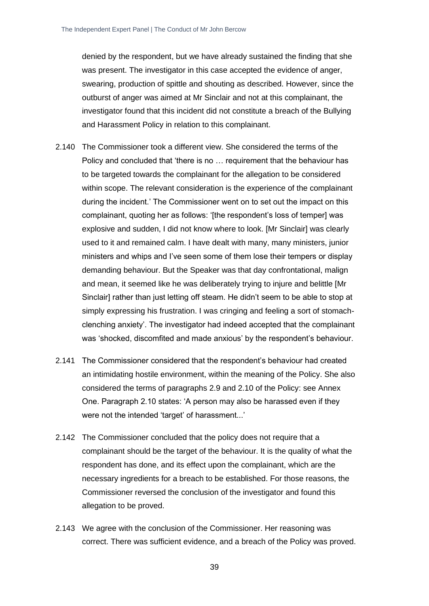denied by the respondent, but we have already sustained the finding that she was present. The investigator in this case accepted the evidence of anger, swearing, production of spittle and shouting as described. However, since the outburst of anger was aimed at Mr Sinclair and not at this complainant, the investigator found that this incident did not constitute a breach of the Bullying and Harassment Policy in relation to this complainant.

- 2.140 The Commissioner took a different view. She considered the terms of the Policy and concluded that 'there is no … requirement that the behaviour has to be targeted towards the complainant for the allegation to be considered within scope. The relevant consideration is the experience of the complainant during the incident.' The Commissioner went on to set out the impact on this complainant, quoting her as follows: '[the respondent's loss of temper] was explosive and sudden, I did not know where to look. [Mr Sinclair] was clearly used to it and remained calm. I have dealt with many, many ministers, junior ministers and whips and I've seen some of them lose their tempers or display demanding behaviour. But the Speaker was that day confrontational, malign and mean, it seemed like he was deliberately trying to injure and belittle [Mr Sinclair] rather than just letting off steam. He didn't seem to be able to stop at simply expressing his frustration. I was cringing and feeling a sort of stomachclenching anxiety'. The investigator had indeed accepted that the complainant was 'shocked, discomfited and made anxious' by the respondent's behaviour.
- 2.141 The Commissioner considered that the respondent's behaviour had created an intimidating hostile environment, within the meaning of the Policy. She also considered the terms of paragraphs 2.9 and 2.10 of the Policy: see Annex One. Paragraph 2.10 states: 'A person may also be harassed even if they were not the intended 'target' of harassment...'
- 2.142 The Commissioner concluded that the policy does not require that a complainant should be the target of the behaviour. It is the quality of what the respondent has done, and its effect upon the complainant, which are the necessary ingredients for a breach to be established. For those reasons, the Commissioner reversed the conclusion of the investigator and found this allegation to be proved.
- 2.143 We agree with the conclusion of the Commissioner. Her reasoning was correct. There was sufficient evidence, and a breach of the Policy was proved.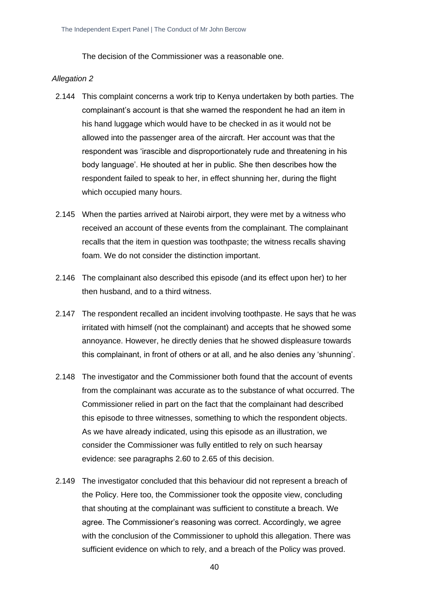The decision of the Commissioner was a reasonable one.

- 2.144 This complaint concerns a work trip to Kenya undertaken by both parties. The complainant's account is that she warned the respondent he had an item in his hand luggage which would have to be checked in as it would not be allowed into the passenger area of the aircraft. Her account was that the respondent was 'irascible and disproportionately rude and threatening in his body language'. He shouted at her in public. She then describes how the respondent failed to speak to her, in effect shunning her, during the flight which occupied many hours.
- 2.145 When the parties arrived at Nairobi airport, they were met by a witness who received an account of these events from the complainant. The complainant recalls that the item in question was toothpaste; the witness recalls shaving foam. We do not consider the distinction important.
- 2.146 The complainant also described this episode (and its effect upon her) to her then husband, and to a third witness.
- 2.147 The respondent recalled an incident involving toothpaste. He says that he was irritated with himself (not the complainant) and accepts that he showed some annoyance. However, he directly denies that he showed displeasure towards this complainant, in front of others or at all, and he also denies any 'shunning'.
- 2.148 The investigator and the Commissioner both found that the account of events from the complainant was accurate as to the substance of what occurred. The Commissioner relied in part on the fact that the complainant had described this episode to three witnesses, something to which the respondent objects. As we have already indicated, using this episode as an illustration, we consider the Commissioner was fully entitled to rely on such hearsay evidence: see paragraphs 2.60 to 2.65 of this decision.
- 2.149 The investigator concluded that this behaviour did not represent a breach of the Policy. Here too, the Commissioner took the opposite view, concluding that shouting at the complainant was sufficient to constitute a breach. We agree. The Commissioner's reasoning was correct. Accordingly, we agree with the conclusion of the Commissioner to uphold this allegation. There was sufficient evidence on which to rely, and a breach of the Policy was proved.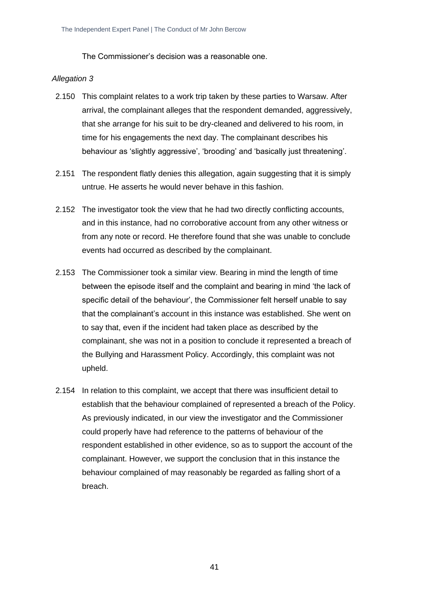The Commissioner's decision was a reasonable one.

- 2.150 This complaint relates to a work trip taken by these parties to Warsaw. After arrival, the complainant alleges that the respondent demanded, aggressively, that she arrange for his suit to be dry-cleaned and delivered to his room, in time for his engagements the next day. The complainant describes his behaviour as 'slightly aggressive', 'brooding' and 'basically just threatening'.
- 2.151 The respondent flatly denies this allegation, again suggesting that it is simply untrue. He asserts he would never behave in this fashion.
- 2.152 The investigator took the view that he had two directly conflicting accounts, and in this instance, had no corroborative account from any other witness or from any note or record. He therefore found that she was unable to conclude events had occurred as described by the complainant.
- 2.153 The Commissioner took a similar view. Bearing in mind the length of time between the episode itself and the complaint and bearing in mind 'the lack of specific detail of the behaviour', the Commissioner felt herself unable to say that the complainant's account in this instance was established. She went on to say that, even if the incident had taken place as described by the complainant, she was not in a position to conclude it represented a breach of the Bullying and Harassment Policy. Accordingly, this complaint was not upheld.
- 2.154 In relation to this complaint, we accept that there was insufficient detail to establish that the behaviour complained of represented a breach of the Policy. As previously indicated, in our view the investigator and the Commissioner could properly have had reference to the patterns of behaviour of the respondent established in other evidence, so as to support the account of the complainant. However, we support the conclusion that in this instance the behaviour complained of may reasonably be regarded as falling short of a breach.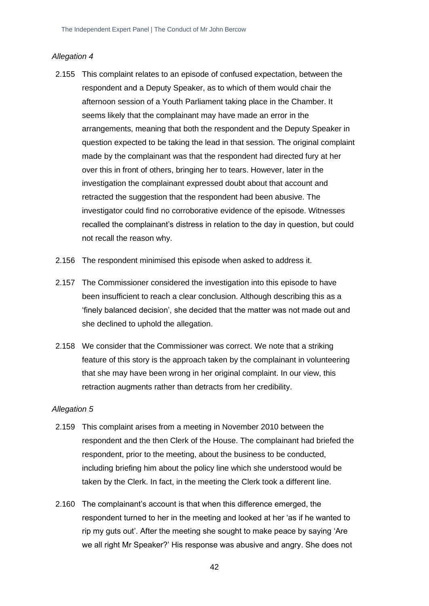#### *Allegation 4*

- 2.155 This complaint relates to an episode of confused expectation, between the respondent and a Deputy Speaker, as to which of them would chair the afternoon session of a Youth Parliament taking place in the Chamber. It seems likely that the complainant may have made an error in the arrangements, meaning that both the respondent and the Deputy Speaker in question expected to be taking the lead in that session. The original complaint made by the complainant was that the respondent had directed fury at her over this in front of others, bringing her to tears. However, later in the investigation the complainant expressed doubt about that account and retracted the suggestion that the respondent had been abusive. The investigator could find no corroborative evidence of the episode. Witnesses recalled the complainant's distress in relation to the day in question, but could not recall the reason why.
- 2.156 The respondent minimised this episode when asked to address it.
- 2.157 The Commissioner considered the investigation into this episode to have been insufficient to reach a clear conclusion. Although describing this as a 'finely balanced decision', she decided that the matter was not made out and she declined to uphold the allegation.
- 2.158 We consider that the Commissioner was correct. We note that a striking feature of this story is the approach taken by the complainant in volunteering that she may have been wrong in her original complaint. In our view, this retraction augments rather than detracts from her credibility.

- 2.159 This complaint arises from a meeting in November 2010 between the respondent and the then Clerk of the House. The complainant had briefed the respondent, prior to the meeting, about the business to be conducted, including briefing him about the policy line which she understood would be taken by the Clerk. In fact, in the meeting the Clerk took a different line.
- 2.160 The complainant's account is that when this difference emerged, the respondent turned to her in the meeting and looked at her 'as if he wanted to rip my guts out'. After the meeting she sought to make peace by saying 'Are we all right Mr Speaker?' His response was abusive and angry. She does not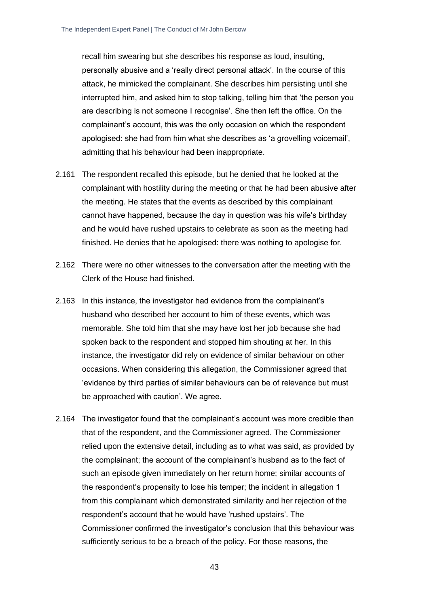recall him swearing but she describes his response as loud, insulting, personally abusive and a 'really direct personal attack'. In the course of this attack, he mimicked the complainant. She describes him persisting until she interrupted him, and asked him to stop talking, telling him that 'the person you are describing is not someone I recognise'. She then left the office. On the complainant's account, this was the only occasion on which the respondent apologised: she had from him what she describes as 'a grovelling voicemail', admitting that his behaviour had been inappropriate.

- 2.161 The respondent recalled this episode, but he denied that he looked at the complainant with hostility during the meeting or that he had been abusive after the meeting. He states that the events as described by this complainant cannot have happened, because the day in question was his wife's birthday and he would have rushed upstairs to celebrate as soon as the meeting had finished. He denies that he apologised: there was nothing to apologise for.
- 2.162 There were no other witnesses to the conversation after the meeting with the Clerk of the House had finished.
- 2.163 In this instance, the investigator had evidence from the complainant's husband who described her account to him of these events, which was memorable. She told him that she may have lost her job because she had spoken back to the respondent and stopped him shouting at her. In this instance, the investigator did rely on evidence of similar behaviour on other occasions. When considering this allegation, the Commissioner agreed that 'evidence by third parties of similar behaviours can be of relevance but must be approached with caution'. We agree.
- 2.164 The investigator found that the complainant's account was more credible than that of the respondent, and the Commissioner agreed. The Commissioner relied upon the extensive detail, including as to what was said, as provided by the complainant; the account of the complainant's husband as to the fact of such an episode given immediately on her return home; similar accounts of the respondent's propensity to lose his temper; the incident in allegation 1 from this complainant which demonstrated similarity and her rejection of the respondent's account that he would have 'rushed upstairs'. The Commissioner confirmed the investigator's conclusion that this behaviour was sufficiently serious to be a breach of the policy. For those reasons, the

43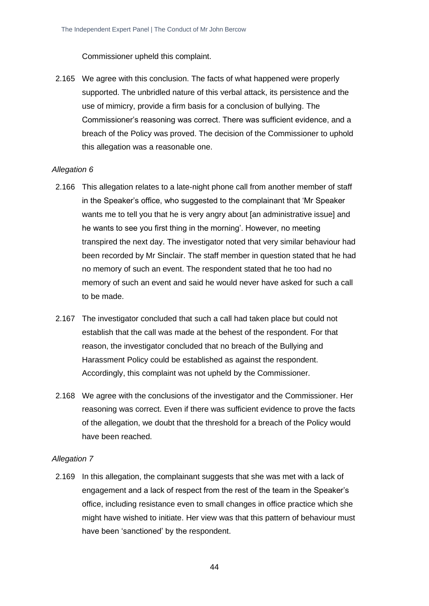Commissioner upheld this complaint.

2.165 We agree with this conclusion. The facts of what happened were properly supported. The unbridled nature of this verbal attack, its persistence and the use of mimicry, provide a firm basis for a conclusion of bullying. The Commissioner's reasoning was correct. There was sufficient evidence, and a breach of the Policy was proved. The decision of the Commissioner to uphold this allegation was a reasonable one.

#### *Allegation 6*

- 2.166 This allegation relates to a late-night phone call from another member of staff in the Speaker's office, who suggested to the complainant that 'Mr Speaker wants me to tell you that he is very angry about [an administrative issue] and he wants to see you first thing in the morning'. However, no meeting transpired the next day. The investigator noted that very similar behaviour had been recorded by Mr Sinclair. The staff member in question stated that he had no memory of such an event. The respondent stated that he too had no memory of such an event and said he would never have asked for such a call to be made.
- 2.167 The investigator concluded that such a call had taken place but could not establish that the call was made at the behest of the respondent. For that reason, the investigator concluded that no breach of the Bullying and Harassment Policy could be established as against the respondent. Accordingly, this complaint was not upheld by the Commissioner.
- 2.168 We agree with the conclusions of the investigator and the Commissioner. Her reasoning was correct. Even if there was sufficient evidence to prove the facts of the allegation, we doubt that the threshold for a breach of the Policy would have been reached.

#### *Allegation 7*

2.169 In this allegation, the complainant suggests that she was met with a lack of engagement and a lack of respect from the rest of the team in the Speaker's office, including resistance even to small changes in office practice which she might have wished to initiate. Her view was that this pattern of behaviour must have been 'sanctioned' by the respondent.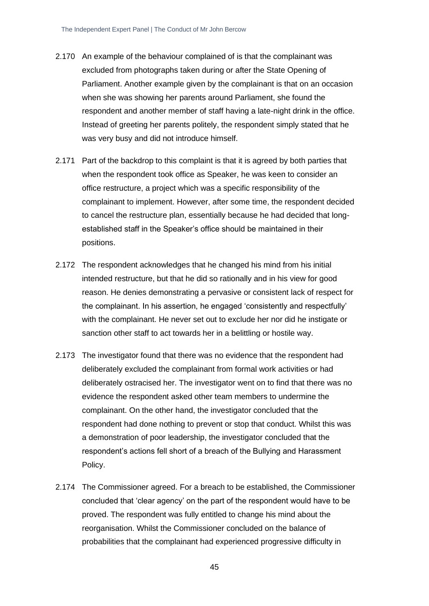- 2.170 An example of the behaviour complained of is that the complainant was excluded from photographs taken during or after the State Opening of Parliament. Another example given by the complainant is that on an occasion when she was showing her parents around Parliament, she found the respondent and another member of staff having a late-night drink in the office. Instead of greeting her parents politely, the respondent simply stated that he was very busy and did not introduce himself.
- 2.171 Part of the backdrop to this complaint is that it is agreed by both parties that when the respondent took office as Speaker, he was keen to consider an office restructure, a project which was a specific responsibility of the complainant to implement. However, after some time, the respondent decided to cancel the restructure plan, essentially because he had decided that longestablished staff in the Speaker's office should be maintained in their positions.
- 2.172 The respondent acknowledges that he changed his mind from his initial intended restructure, but that he did so rationally and in his view for good reason. He denies demonstrating a pervasive or consistent lack of respect for the complainant. In his assertion, he engaged 'consistently and respectfully' with the complainant. He never set out to exclude her nor did he instigate or sanction other staff to act towards her in a belittling or hostile way.
- 2.173 The investigator found that there was no evidence that the respondent had deliberately excluded the complainant from formal work activities or had deliberately ostracised her. The investigator went on to find that there was no evidence the respondent asked other team members to undermine the complainant. On the other hand, the investigator concluded that the respondent had done nothing to prevent or stop that conduct. Whilst this was a demonstration of poor leadership, the investigator concluded that the respondent's actions fell short of a breach of the Bullying and Harassment Policy.
- 2.174 The Commissioner agreed. For a breach to be established, the Commissioner concluded that 'clear agency' on the part of the respondent would have to be proved. The respondent was fully entitled to change his mind about the reorganisation. Whilst the Commissioner concluded on the balance of probabilities that the complainant had experienced progressive difficulty in

45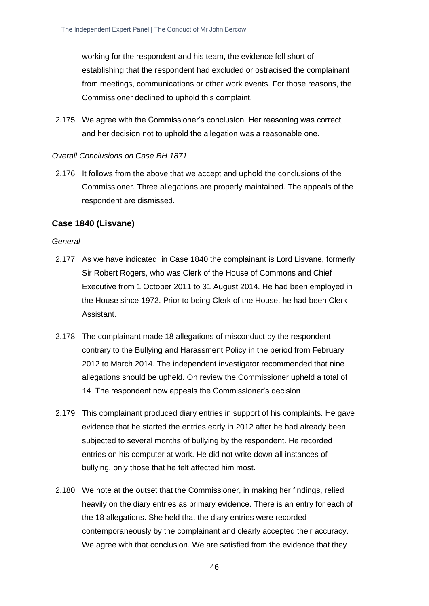working for the respondent and his team, the evidence fell short of establishing that the respondent had excluded or ostracised the complainant from meetings, communications or other work events. For those reasons, the Commissioner declined to uphold this complaint.

2.175 We agree with the Commissioner's conclusion. Her reasoning was correct, and her decision not to uphold the allegation was a reasonable one.

#### *Overall Conclusions on Case BH 1871*

2.176 It follows from the above that we accept and uphold the conclusions of the Commissioner. Three allegations are properly maintained. The appeals of the respondent are dismissed.

#### **Case 1840 (Lisvane)**

#### *General*

- 2.177 As we have indicated, in Case 1840 the complainant is Lord Lisvane, formerly Sir Robert Rogers, who was Clerk of the House of Commons and Chief Executive from 1 October 2011 to 31 August 2014. He had been employed in the House since 1972. Prior to being Clerk of the House, he had been Clerk Assistant.
- 2.178 The complainant made 18 allegations of misconduct by the respondent contrary to the Bullying and Harassment Policy in the period from February 2012 to March 2014. The independent investigator recommended that nine allegations should be upheld. On review the Commissioner upheld a total of 14. The respondent now appeals the Commissioner's decision.
- 2.179 This complainant produced diary entries in support of his complaints. He gave evidence that he started the entries early in 2012 after he had already been subjected to several months of bullying by the respondent. He recorded entries on his computer at work. He did not write down all instances of bullying, only those that he felt affected him most.
- 2.180 We note at the outset that the Commissioner, in making her findings, relied heavily on the diary entries as primary evidence. There is an entry for each of the 18 allegations. She held that the diary entries were recorded contemporaneously by the complainant and clearly accepted their accuracy. We agree with that conclusion. We are satisfied from the evidence that they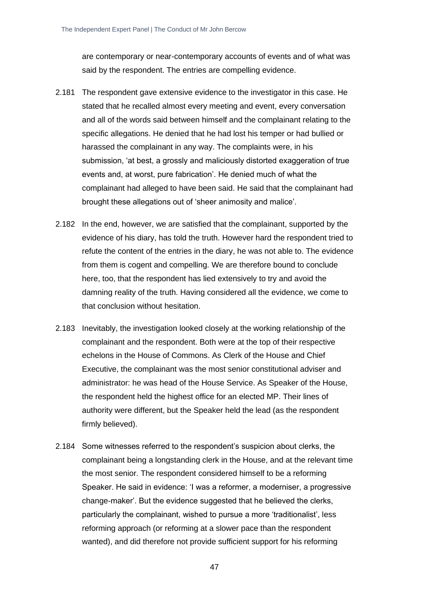are contemporary or near-contemporary accounts of events and of what was said by the respondent. The entries are compelling evidence.

- 2.181 The respondent gave extensive evidence to the investigator in this case. He stated that he recalled almost every meeting and event, every conversation and all of the words said between himself and the complainant relating to the specific allegations. He denied that he had lost his temper or had bullied or harassed the complainant in any way. The complaints were, in his submission, 'at best, a grossly and maliciously distorted exaggeration of true events and, at worst, pure fabrication'. He denied much of what the complainant had alleged to have been said. He said that the complainant had brought these allegations out of 'sheer animosity and malice'.
- 2.182 In the end, however, we are satisfied that the complainant, supported by the evidence of his diary, has told the truth. However hard the respondent tried to refute the content of the entries in the diary, he was not able to. The evidence from them is cogent and compelling. We are therefore bound to conclude here, too, that the respondent has lied extensively to try and avoid the damning reality of the truth. Having considered all the evidence, we come to that conclusion without hesitation.
- 2.183 Inevitably, the investigation looked closely at the working relationship of the complainant and the respondent. Both were at the top of their respective echelons in the House of Commons. As Clerk of the House and Chief Executive, the complainant was the most senior constitutional adviser and administrator: he was head of the House Service. As Speaker of the House, the respondent held the highest office for an elected MP. Their lines of authority were different, but the Speaker held the lead (as the respondent firmly believed).
- 2.184 Some witnesses referred to the respondent's suspicion about clerks, the complainant being a longstanding clerk in the House, and at the relevant time the most senior. The respondent considered himself to be a reforming Speaker. He said in evidence: 'I was a reformer, a moderniser, a progressive change-maker'. But the evidence suggested that he believed the clerks, particularly the complainant, wished to pursue a more 'traditionalist', less reforming approach (or reforming at a slower pace than the respondent wanted), and did therefore not provide sufficient support for his reforming

47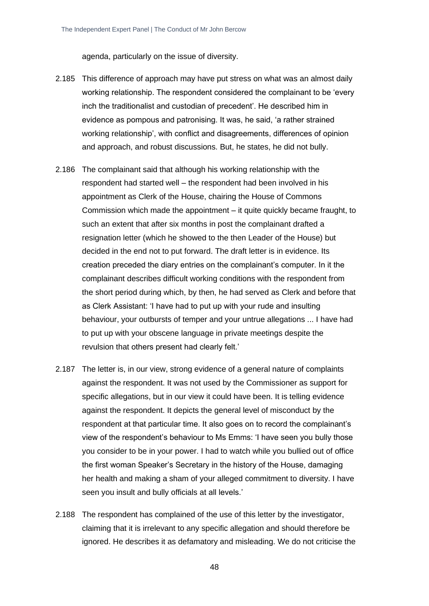agenda, particularly on the issue of diversity.

- 2.185 This difference of approach may have put stress on what was an almost daily working relationship. The respondent considered the complainant to be 'every inch the traditionalist and custodian of precedent'. He described him in evidence as pompous and patronising. It was, he said, 'a rather strained working relationship', with conflict and disagreements, differences of opinion and approach, and robust discussions. But, he states, he did not bully.
- 2.186 The complainant said that although his working relationship with the respondent had started well – the respondent had been involved in his appointment as Clerk of the House, chairing the House of Commons Commission which made the appointment – it quite quickly became fraught, to such an extent that after six months in post the complainant drafted a resignation letter (which he showed to the then Leader of the House) but decided in the end not to put forward. The draft letter is in evidence. Its creation preceded the diary entries on the complainant's computer. In it the complainant describes difficult working conditions with the respondent from the short period during which, by then, he had served as Clerk and before that as Clerk Assistant: 'I have had to put up with your rude and insulting behaviour, your outbursts of temper and your untrue allegations ... I have had to put up with your obscene language in private meetings despite the revulsion that others present had clearly felt.'
- 2.187 The letter is, in our view, strong evidence of a general nature of complaints against the respondent. It was not used by the Commissioner as support for specific allegations, but in our view it could have been. It is telling evidence against the respondent. It depicts the general level of misconduct by the respondent at that particular time. It also goes on to record the complainant's view of the respondent's behaviour to Ms Emms: 'I have seen you bully those you consider to be in your power. I had to watch while you bullied out of office the first woman Speaker's Secretary in the history of the House, damaging her health and making a sham of your alleged commitment to diversity. I have seen you insult and bully officials at all levels.'
- 2.188 The respondent has complained of the use of this letter by the investigator, claiming that it is irrelevant to any specific allegation and should therefore be ignored. He describes it as defamatory and misleading. We do not criticise the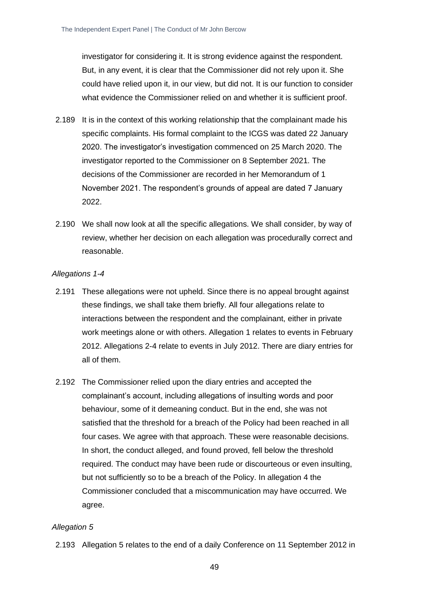investigator for considering it. It is strong evidence against the respondent. But, in any event, it is clear that the Commissioner did not rely upon it. She could have relied upon it, in our view, but did not. It is our function to consider what evidence the Commissioner relied on and whether it is sufficient proof.

- 2.189 It is in the context of this working relationship that the complainant made his specific complaints. His formal complaint to the ICGS was dated 22 January 2020. The investigator's investigation commenced on 25 March 2020. The investigator reported to the Commissioner on 8 September 2021. The decisions of the Commissioner are recorded in her Memorandum of 1 November 2021. The respondent's grounds of appeal are dated 7 January 2022.
- 2.190 We shall now look at all the specific allegations. We shall consider, by way of review, whether her decision on each allegation was procedurally correct and reasonable.

#### *Allegations 1-4*

- 2.191 These allegations were not upheld. Since there is no appeal brought against these findings, we shall take them briefly. All four allegations relate to interactions between the respondent and the complainant, either in private work meetings alone or with others. Allegation 1 relates to events in February 2012. Allegations 2-4 relate to events in July 2012. There are diary entries for all of them.
- 2.192 The Commissioner relied upon the diary entries and accepted the complainant's account, including allegations of insulting words and poor behaviour, some of it demeaning conduct. But in the end, she was not satisfied that the threshold for a breach of the Policy had been reached in all four cases. We agree with that approach. These were reasonable decisions. In short, the conduct alleged, and found proved, fell below the threshold required. The conduct may have been rude or discourteous or even insulting, but not sufficiently so to be a breach of the Policy. In allegation 4 the Commissioner concluded that a miscommunication may have occurred. We agree.

#### *Allegation 5*

2.193 Allegation 5 relates to the end of a daily Conference on 11 September 2012 in

49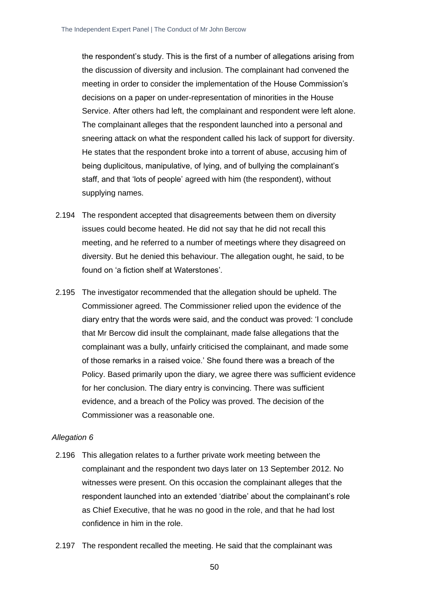the respondent's study. This is the first of a number of allegations arising from the discussion of diversity and inclusion. The complainant had convened the meeting in order to consider the implementation of the House Commission's decisions on a paper on under-representation of minorities in the House Service. After others had left, the complainant and respondent were left alone. The complainant alleges that the respondent launched into a personal and sneering attack on what the respondent called his lack of support for diversity. He states that the respondent broke into a torrent of abuse, accusing him of being duplicitous, manipulative, of lying, and of bullying the complainant's staff, and that 'lots of people' agreed with him (the respondent), without supplying names.

- 2.194 The respondent accepted that disagreements between them on diversity issues could become heated. He did not say that he did not recall this meeting, and he referred to a number of meetings where they disagreed on diversity. But he denied this behaviour. The allegation ought, he said, to be found on 'a fiction shelf at Waterstones'.
- 2.195 The investigator recommended that the allegation should be upheld. The Commissioner agreed. The Commissioner relied upon the evidence of the diary entry that the words were said, and the conduct was proved: 'I conclude that Mr Bercow did insult the complainant, made false allegations that the complainant was a bully, unfairly criticised the complainant, and made some of those remarks in a raised voice.' She found there was a breach of the Policy. Based primarily upon the diary, we agree there was sufficient evidence for her conclusion. The diary entry is convincing. There was sufficient evidence, and a breach of the Policy was proved. The decision of the Commissioner was a reasonable one.

- 2.196 This allegation relates to a further private work meeting between the complainant and the respondent two days later on 13 September 2012. No witnesses were present. On this occasion the complainant alleges that the respondent launched into an extended 'diatribe' about the complainant's role as Chief Executive, that he was no good in the role, and that he had lost confidence in him in the role.
- 2.197 The respondent recalled the meeting. He said that the complainant was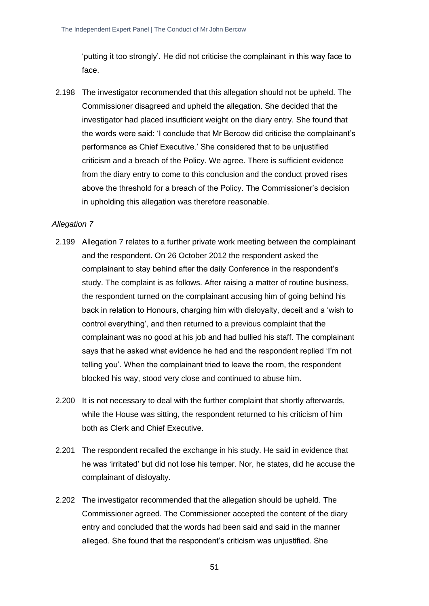'putting it too strongly'. He did not criticise the complainant in this way face to face.

2.198 The investigator recommended that this allegation should not be upheld. The Commissioner disagreed and upheld the allegation. She decided that the investigator had placed insufficient weight on the diary entry. She found that the words were said: 'I conclude that Mr Bercow did criticise the complainant's performance as Chief Executive.' She considered that to be unjustified criticism and a breach of the Policy. We agree. There is sufficient evidence from the diary entry to come to this conclusion and the conduct proved rises above the threshold for a breach of the Policy. The Commissioner's decision in upholding this allegation was therefore reasonable.

#### *Allegation 7*

- 2.199 Allegation 7 relates to a further private work meeting between the complainant and the respondent. On 26 October 2012 the respondent asked the complainant to stay behind after the daily Conference in the respondent's study. The complaint is as follows. After raising a matter of routine business, the respondent turned on the complainant accusing him of going behind his back in relation to Honours, charging him with disloyalty, deceit and a 'wish to control everything', and then returned to a previous complaint that the complainant was no good at his job and had bullied his staff. The complainant says that he asked what evidence he had and the respondent replied 'I'm not telling you'. When the complainant tried to leave the room, the respondent blocked his way, stood very close and continued to abuse him.
- 2.200 It is not necessary to deal with the further complaint that shortly afterwards, while the House was sitting, the respondent returned to his criticism of him both as Clerk and Chief Executive.
- 2.201 The respondent recalled the exchange in his study. He said in evidence that he was 'irritated' but did not lose his temper. Nor, he states, did he accuse the complainant of disloyalty.
- 2.202 The investigator recommended that the allegation should be upheld. The Commissioner agreed. The Commissioner accepted the content of the diary entry and concluded that the words had been said and said in the manner alleged. She found that the respondent's criticism was unjustified. She

51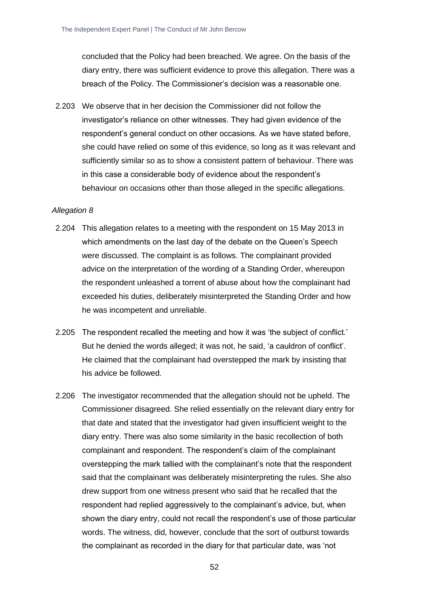concluded that the Policy had been breached. We agree. On the basis of the diary entry, there was sufficient evidence to prove this allegation. There was a breach of the Policy. The Commissioner's decision was a reasonable one.

2.203 We observe that in her decision the Commissioner did not follow the investigator's reliance on other witnesses. They had given evidence of the respondent's general conduct on other occasions. As we have stated before, she could have relied on some of this evidence, so long as it was relevant and sufficiently similar so as to show a consistent pattern of behaviour. There was in this case a considerable body of evidence about the respondent's behaviour on occasions other than those alleged in the specific allegations.

- 2.204 This allegation relates to a meeting with the respondent on 15 May 2013 in which amendments on the last day of the debate on the Queen's Speech were discussed. The complaint is as follows. The complainant provided advice on the interpretation of the wording of a Standing Order, whereupon the respondent unleashed a torrent of abuse about how the complainant had exceeded his duties, deliberately misinterpreted the Standing Order and how he was incompetent and unreliable.
- 2.205 The respondent recalled the meeting and how it was 'the subject of conflict.' But he denied the words alleged; it was not, he said, 'a cauldron of conflict'. He claimed that the complainant had overstepped the mark by insisting that his advice be followed.
- 2.206 The investigator recommended that the allegation should not be upheld. The Commissioner disagreed. She relied essentially on the relevant diary entry for that date and stated that the investigator had given insufficient weight to the diary entry. There was also some similarity in the basic recollection of both complainant and respondent. The respondent's claim of the complainant overstepping the mark tallied with the complainant's note that the respondent said that the complainant was deliberately misinterpreting the rules. She also drew support from one witness present who said that he recalled that the respondent had replied aggressively to the complainant's advice, but, when shown the diary entry, could not recall the respondent's use of those particular words. The witness, did, however, conclude that the sort of outburst towards the complainant as recorded in the diary for that particular date, was 'not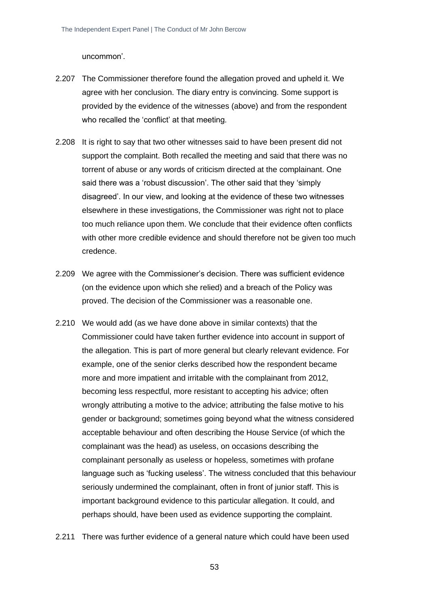uncommon'.

- 2.207 The Commissioner therefore found the allegation proved and upheld it. We agree with her conclusion. The diary entry is convincing. Some support is provided by the evidence of the witnesses (above) and from the respondent who recalled the 'conflict' at that meeting.
- 2.208 It is right to say that two other witnesses said to have been present did not support the complaint. Both recalled the meeting and said that there was no torrent of abuse or any words of criticism directed at the complainant. One said there was a 'robust discussion'. The other said that they 'simply disagreed'. In our view, and looking at the evidence of these two witnesses elsewhere in these investigations, the Commissioner was right not to place too much reliance upon them. We conclude that their evidence often conflicts with other more credible evidence and should therefore not be given too much credence.
- 2.209 We agree with the Commissioner's decision. There was sufficient evidence (on the evidence upon which she relied) and a breach of the Policy was proved. The decision of the Commissioner was a reasonable one.
- 2.210 We would add (as we have done above in similar contexts) that the Commissioner could have taken further evidence into account in support of the allegation. This is part of more general but clearly relevant evidence. For example, one of the senior clerks described how the respondent became more and more impatient and irritable with the complainant from 2012, becoming less respectful, more resistant to accepting his advice; often wrongly attributing a motive to the advice; attributing the false motive to his gender or background; sometimes going beyond what the witness considered acceptable behaviour and often describing the House Service (of which the complainant was the head) as useless, on occasions describing the complainant personally as useless or hopeless, sometimes with profane language such as 'fucking useless'. The witness concluded that this behaviour seriously undermined the complainant, often in front of junior staff. This is important background evidence to this particular allegation. It could, and perhaps should, have been used as evidence supporting the complaint.
- 2.211 There was further evidence of a general nature which could have been used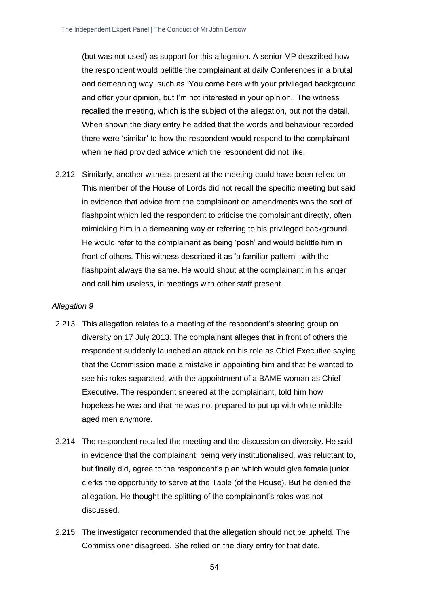(but was not used) as support for this allegation. A senior MP described how the respondent would belittle the complainant at daily Conferences in a brutal and demeaning way, such as 'You come here with your privileged background and offer your opinion, but I'm not interested in your opinion.' The witness recalled the meeting, which is the subject of the allegation, but not the detail. When shown the diary entry he added that the words and behaviour recorded there were 'similar' to how the respondent would respond to the complainant when he had provided advice which the respondent did not like.

2.212 Similarly, another witness present at the meeting could have been relied on. This member of the House of Lords did not recall the specific meeting but said in evidence that advice from the complainant on amendments was the sort of flashpoint which led the respondent to criticise the complainant directly, often mimicking him in a demeaning way or referring to his privileged background. He would refer to the complainant as being 'posh' and would belittle him in front of others. This witness described it as 'a familiar pattern', with the flashpoint always the same. He would shout at the complainant in his anger and call him useless, in meetings with other staff present.

- 2.213 This allegation relates to a meeting of the respondent's steering group on diversity on 17 July 2013. The complainant alleges that in front of others the respondent suddenly launched an attack on his role as Chief Executive saying that the Commission made a mistake in appointing him and that he wanted to see his roles separated, with the appointment of a BAME woman as Chief Executive. The respondent sneered at the complainant, told him how hopeless he was and that he was not prepared to put up with white middleaged men anymore.
- 2.214 The respondent recalled the meeting and the discussion on diversity. He said in evidence that the complainant, being very institutionalised, was reluctant to, but finally did, agree to the respondent's plan which would give female junior clerks the opportunity to serve at the Table (of the House). But he denied the allegation. He thought the splitting of the complainant's roles was not discussed.
- 2.215 The investigator recommended that the allegation should not be upheld. The Commissioner disagreed. She relied on the diary entry for that date,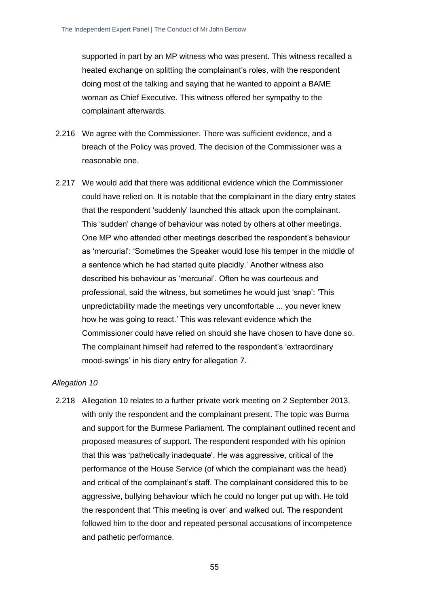supported in part by an MP witness who was present. This witness recalled a heated exchange on splitting the complainant's roles, with the respondent doing most of the talking and saying that he wanted to appoint a BAME woman as Chief Executive. This witness offered her sympathy to the complainant afterwards.

- 2.216 We agree with the Commissioner. There was sufficient evidence, and a breach of the Policy was proved. The decision of the Commissioner was a reasonable one.
- 2.217 We would add that there was additional evidence which the Commissioner could have relied on. It is notable that the complainant in the diary entry states that the respondent 'suddenly' launched this attack upon the complainant. This 'sudden' change of behaviour was noted by others at other meetings. One MP who attended other meetings described the respondent's behaviour as 'mercurial': 'Sometimes the Speaker would lose his temper in the middle of a sentence which he had started quite placidly.' Another witness also described his behaviour as 'mercurial'. Often he was courteous and professional, said the witness, but sometimes he would just 'snap': 'This unpredictability made the meetings very uncomfortable ... you never knew how he was going to react.' This was relevant evidence which the Commissioner could have relied on should she have chosen to have done so. The complainant himself had referred to the respondent's 'extraordinary mood-swings' in his diary entry for allegation 7.

#### *Allegation 10*

2.218 Allegation 10 relates to a further private work meeting on 2 September 2013, with only the respondent and the complainant present. The topic was Burma and support for the Burmese Parliament. The complainant outlined recent and proposed measures of support. The respondent responded with his opinion that this was 'pathetically inadequate'. He was aggressive, critical of the performance of the House Service (of which the complainant was the head) and critical of the complainant's staff. The complainant considered this to be aggressive, bullying behaviour which he could no longer put up with. He told the respondent that 'This meeting is over' and walked out. The respondent followed him to the door and repeated personal accusations of incompetence and pathetic performance.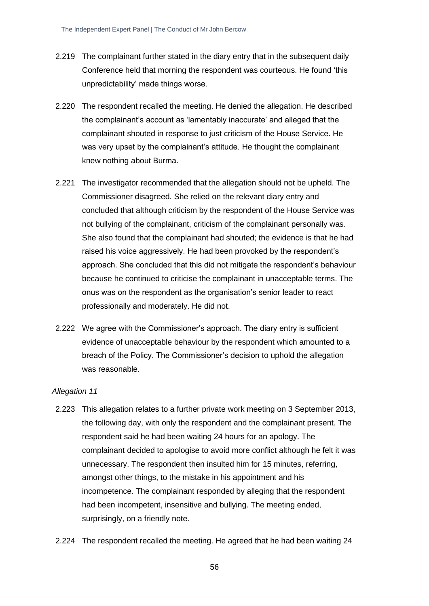- 2.219 The complainant further stated in the diary entry that in the subsequent daily Conference held that morning the respondent was courteous. He found 'this unpredictability' made things worse.
- 2.220 The respondent recalled the meeting. He denied the allegation. He described the complainant's account as 'lamentably inaccurate' and alleged that the complainant shouted in response to just criticism of the House Service. He was very upset by the complainant's attitude. He thought the complainant knew nothing about Burma.
- 2.221 The investigator recommended that the allegation should not be upheld. The Commissioner disagreed. She relied on the relevant diary entry and concluded that although criticism by the respondent of the House Service was not bullying of the complainant, criticism of the complainant personally was. She also found that the complainant had shouted; the evidence is that he had raised his voice aggressively. He had been provoked by the respondent's approach. She concluded that this did not mitigate the respondent's behaviour because he continued to criticise the complainant in unacceptable terms. The onus was on the respondent as the organisation's senior leader to react professionally and moderately. He did not.
- 2.222 We agree with the Commissioner's approach. The diary entry is sufficient evidence of unacceptable behaviour by the respondent which amounted to a breach of the Policy. The Commissioner's decision to uphold the allegation was reasonable.

- 2.223 This allegation relates to a further private work meeting on 3 September 2013, the following day, with only the respondent and the complainant present. The respondent said he had been waiting 24 hours for an apology. The complainant decided to apologise to avoid more conflict although he felt it was unnecessary. The respondent then insulted him for 15 minutes, referring, amongst other things, to the mistake in his appointment and his incompetence. The complainant responded by alleging that the respondent had been incompetent, insensitive and bullying. The meeting ended, surprisingly, on a friendly note.
- 2.224 The respondent recalled the meeting. He agreed that he had been waiting 24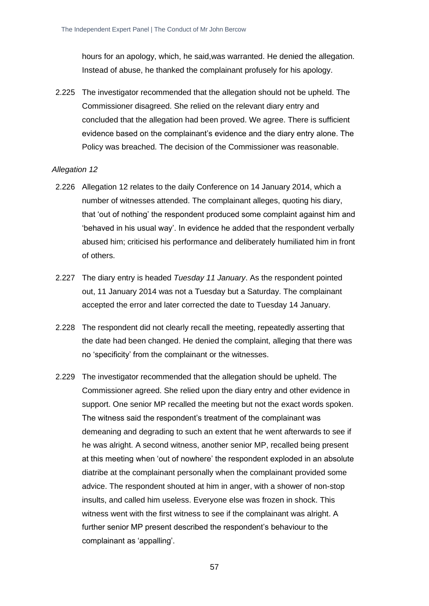hours for an apology, which, he said,was warranted. He denied the allegation. Instead of abuse, he thanked the complainant profusely for his apology.

2.225 The investigator recommended that the allegation should not be upheld. The Commissioner disagreed. She relied on the relevant diary entry and concluded that the allegation had been proved. We agree. There is sufficient evidence based on the complainant's evidence and the diary entry alone. The Policy was breached. The decision of the Commissioner was reasonable.

- 2.226 Allegation 12 relates to the daily Conference on 14 January 2014, which a number of witnesses attended. The complainant alleges, quoting his diary, that 'out of nothing' the respondent produced some complaint against him and 'behaved in his usual way'. In evidence he added that the respondent verbally abused him; criticised his performance and deliberately humiliated him in front of others.
- 2.227 The diary entry is headed *Tuesday 11 January*. As the respondent pointed out, 11 January 2014 was not a Tuesday but a Saturday. The complainant accepted the error and later corrected the date to Tuesday 14 January.
- 2.228 The respondent did not clearly recall the meeting, repeatedly asserting that the date had been changed. He denied the complaint, alleging that there was no 'specificity' from the complainant or the witnesses.
- 2.229 The investigator recommended that the allegation should be upheld. The Commissioner agreed. She relied upon the diary entry and other evidence in support. One senior MP recalled the meeting but not the exact words spoken. The witness said the respondent's treatment of the complainant was demeaning and degrading to such an extent that he went afterwards to see if he was alright. A second witness, another senior MP, recalled being present at this meeting when 'out of nowhere' the respondent exploded in an absolute diatribe at the complainant personally when the complainant provided some advice. The respondent shouted at him in anger, with a shower of non-stop insults, and called him useless. Everyone else was frozen in shock. This witness went with the first witness to see if the complainant was alright. A further senior MP present described the respondent's behaviour to the complainant as 'appalling'.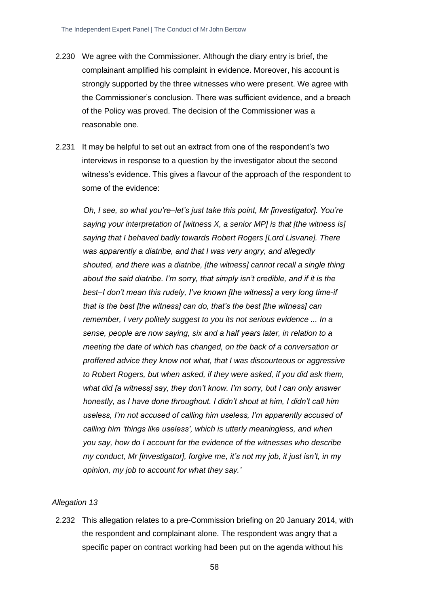- 2.230 We agree with the Commissioner. Although the diary entry is brief, the complainant amplified his complaint in evidence. Moreover, his account is strongly supported by the three witnesses who were present. We agree with the Commissioner's conclusion. There was sufficient evidence, and a breach of the Policy was proved. The decision of the Commissioner was a reasonable one.
- 2.231 It may be helpful to set out an extract from one of the respondent's two interviews in response to a question by the investigator about the second witness's evidence. This gives a flavour of the approach of the respondent to some of the evidence:

*Oh, I see, so what you're–let's just take this point, Mr [investigator]. You're saying your interpretation of [witness X, a senior MP] is that [the witness is] saying that I behaved badly towards Robert Rogers [Lord Lisvane]. There was apparently a diatribe, and that I was very angry, and allegedly shouted, and there was a diatribe, [the witness] cannot recall a single thing about the said diatribe. I'm sorry, that simply isn't credible, and if it is the best–I don't mean this rudely, I've known [the witness] a very long time-if that is the best [the witness] can do, that's the best [the witness] can remember, I very politely suggest to you its not serious evidence ... In a sense, people are now saying, six and a half years later, in relation to a meeting the date of which has changed, on the back of a conversation or proffered advice they know not what, that I was discourteous or aggressive to Robert Rogers, but when asked, if they were asked, if you did ask them, what did [a witness] say, they don't know. I'm sorry, but I can only answer honestly, as I have done throughout. I didn't shout at him, I didn't call him useless, I'm not accused of calling him useless, I'm apparently accused of calling him 'things like useless', which is utterly meaningless, and when you say, how do I account for the evidence of the witnesses who describe my conduct, Mr [investigator], forgive me, it's not my job, it just isn't, in my opinion, my job to account for what they say.'*

#### *Allegation 13*

2.232 This allegation relates to a pre-Commission briefing on 20 January 2014, with the respondent and complainant alone. The respondent was angry that a specific paper on contract working had been put on the agenda without his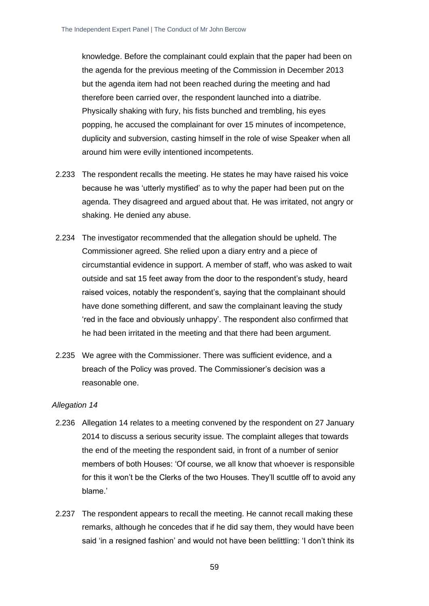knowledge. Before the complainant could explain that the paper had been on the agenda for the previous meeting of the Commission in December 2013 but the agenda item had not been reached during the meeting and had therefore been carried over, the respondent launched into a diatribe. Physically shaking with fury, his fists bunched and trembling, his eyes popping, he accused the complainant for over 15 minutes of incompetence, duplicity and subversion, casting himself in the role of wise Speaker when all around him were evilly intentioned incompetents.

- 2.233 The respondent recalls the meeting. He states he may have raised his voice because he was 'utterly mystified' as to why the paper had been put on the agenda. They disagreed and argued about that. He was irritated, not angry or shaking. He denied any abuse.
- 2.234 The investigator recommended that the allegation should be upheld. The Commissioner agreed. She relied upon a diary entry and a piece of circumstantial evidence in support. A member of staff, who was asked to wait outside and sat 15 feet away from the door to the respondent's study, heard raised voices, notably the respondent's, saying that the complainant should have done something different, and saw the complainant leaving the study 'red in the face and obviously unhappy'. The respondent also confirmed that he had been irritated in the meeting and that there had been argument.
- 2.235 We agree with the Commissioner. There was sufficient evidence, and a breach of the Policy was proved. The Commissioner's decision was a reasonable one.

- 2.236 Allegation 14 relates to a meeting convened by the respondent on 27 January 2014 to discuss a serious security issue. The complaint alleges that towards the end of the meeting the respondent said, in front of a number of senior members of both Houses: 'Of course, we all know that whoever is responsible for this it won't be the Clerks of the two Houses. They'll scuttle off to avoid any blame.'
- 2.237 The respondent appears to recall the meeting. He cannot recall making these remarks, although he concedes that if he did say them, they would have been said 'in a resigned fashion' and would not have been belittling: 'I don't think its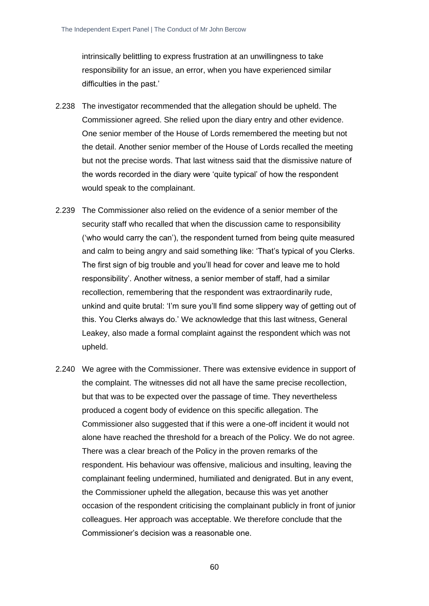intrinsically belittling to express frustration at an unwillingness to take responsibility for an issue, an error, when you have experienced similar difficulties in the past.'

- 2.238 The investigator recommended that the allegation should be upheld. The Commissioner agreed. She relied upon the diary entry and other evidence. One senior member of the House of Lords remembered the meeting but not the detail. Another senior member of the House of Lords recalled the meeting but not the precise words. That last witness said that the dismissive nature of the words recorded in the diary were 'quite typical' of how the respondent would speak to the complainant.
- 2.239 The Commissioner also relied on the evidence of a senior member of the security staff who recalled that when the discussion came to responsibility ('who would carry the can'), the respondent turned from being quite measured and calm to being angry and said something like: 'That's typical of you Clerks. The first sign of big trouble and you'll head for cover and leave me to hold responsibility'. Another witness, a senior member of staff, had a similar recollection, remembering that the respondent was extraordinarily rude, unkind and quite brutal: 'I'm sure you'll find some slippery way of getting out of this. You Clerks always do.' We acknowledge that this last witness, General Leakey, also made a formal complaint against the respondent which was not upheld.
- 2.240 We agree with the Commissioner. There was extensive evidence in support of the complaint. The witnesses did not all have the same precise recollection, but that was to be expected over the passage of time. They nevertheless produced a cogent body of evidence on this specific allegation. The Commissioner also suggested that if this were a one-off incident it would not alone have reached the threshold for a breach of the Policy. We do not agree. There was a clear breach of the Policy in the proven remarks of the respondent. His behaviour was offensive, malicious and insulting, leaving the complainant feeling undermined, humiliated and denigrated. But in any event, the Commissioner upheld the allegation, because this was yet another occasion of the respondent criticising the complainant publicly in front of junior colleagues. Her approach was acceptable. We therefore conclude that the Commissioner's decision was a reasonable one.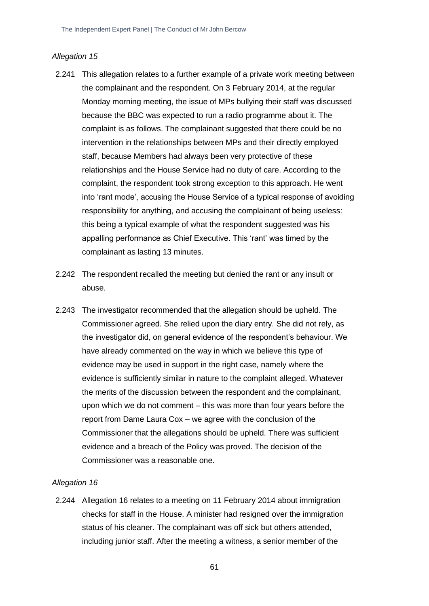#### *Allegation 15*

- 2.241 This allegation relates to a further example of a private work meeting between the complainant and the respondent. On 3 February 2014, at the regular Monday morning meeting, the issue of MPs bullying their staff was discussed because the BBC was expected to run a radio programme about it. The complaint is as follows. The complainant suggested that there could be no intervention in the relationships between MPs and their directly employed staff, because Members had always been very protective of these relationships and the House Service had no duty of care. According to the complaint, the respondent took strong exception to this approach. He went into 'rant mode', accusing the House Service of a typical response of avoiding responsibility for anything, and accusing the complainant of being useless: this being a typical example of what the respondent suggested was his appalling performance as Chief Executive. This 'rant' was timed by the complainant as lasting 13 minutes.
- 2.242 The respondent recalled the meeting but denied the rant or any insult or abuse.
- 2.243 The investigator recommended that the allegation should be upheld. The Commissioner agreed. She relied upon the diary entry. She did not rely, as the investigator did, on general evidence of the respondent's behaviour. We have already commented on the way in which we believe this type of evidence may be used in support in the right case, namely where the evidence is sufficiently similar in nature to the complaint alleged. Whatever the merits of the discussion between the respondent and the complainant, upon which we do not comment – this was more than four years before the report from Dame Laura Cox – we agree with the conclusion of the Commissioner that the allegations should be upheld. There was sufficient evidence and a breach of the Policy was proved. The decision of the Commissioner was a reasonable one.

#### *Allegation 16*

2.244 Allegation 16 relates to a meeting on 11 February 2014 about immigration checks for staff in the House. A minister had resigned over the immigration status of his cleaner. The complainant was off sick but others attended, including junior staff. After the meeting a witness, a senior member of the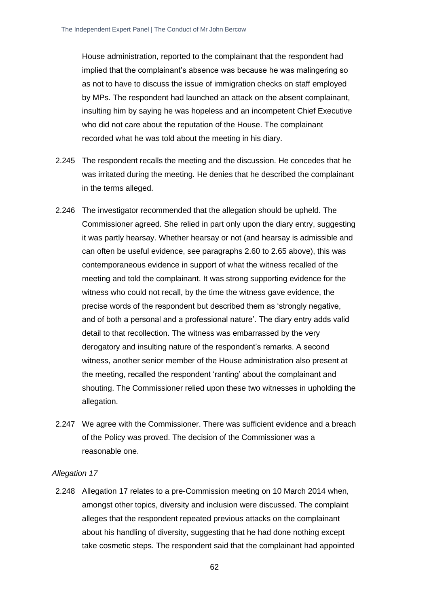House administration, reported to the complainant that the respondent had implied that the complainant's absence was because he was malingering so as not to have to discuss the issue of immigration checks on staff employed by MPs. The respondent had launched an attack on the absent complainant, insulting him by saying he was hopeless and an incompetent Chief Executive who did not care about the reputation of the House. The complainant recorded what he was told about the meeting in his diary.

- 2.245 The respondent recalls the meeting and the discussion. He concedes that he was irritated during the meeting. He denies that he described the complainant in the terms alleged.
- 2.246 The investigator recommended that the allegation should be upheld. The Commissioner agreed. She relied in part only upon the diary entry, suggesting it was partly hearsay. Whether hearsay or not (and hearsay is admissible and can often be useful evidence, see paragraphs 2.60 to 2.65 above), this was contemporaneous evidence in support of what the witness recalled of the meeting and told the complainant. It was strong supporting evidence for the witness who could not recall, by the time the witness gave evidence, the precise words of the respondent but described them as 'strongly negative, and of both a personal and a professional nature'. The diary entry adds valid detail to that recollection. The witness was embarrassed by the very derogatory and insulting nature of the respondent's remarks. A second witness, another senior member of the House administration also present at the meeting, recalled the respondent 'ranting' about the complainant and shouting. The Commissioner relied upon these two witnesses in upholding the allegation.
- 2.247 We agree with the Commissioner. There was sufficient evidence and a breach of the Policy was proved. The decision of the Commissioner was a reasonable one.

#### *Allegation 17*

2.248 Allegation 17 relates to a pre-Commission meeting on 10 March 2014 when, amongst other topics, diversity and inclusion were discussed. The complaint alleges that the respondent repeated previous attacks on the complainant about his handling of diversity, suggesting that he had done nothing except take cosmetic steps. The respondent said that the complainant had appointed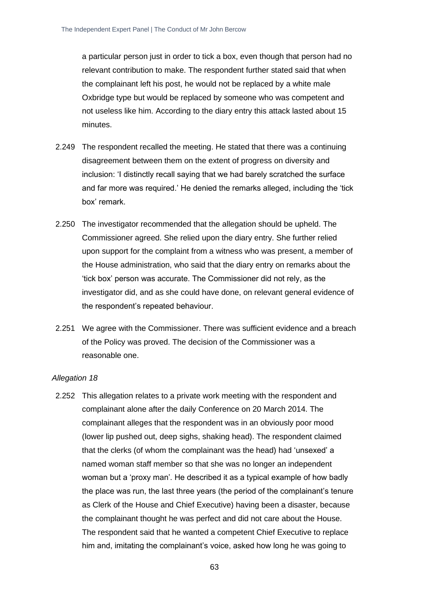a particular person just in order to tick a box, even though that person had no relevant contribution to make. The respondent further stated said that when the complainant left his post, he would not be replaced by a white male Oxbridge type but would be replaced by someone who was competent and not useless like him. According to the diary entry this attack lasted about 15 minutes.

- 2.249 The respondent recalled the meeting. He stated that there was a continuing disagreement between them on the extent of progress on diversity and inclusion: 'I distinctly recall saying that we had barely scratched the surface and far more was required.' He denied the remarks alleged, including the 'tick box' remark.
- 2.250 The investigator recommended that the allegation should be upheld. The Commissioner agreed. She relied upon the diary entry. She further relied upon support for the complaint from a witness who was present, a member of the House administration, who said that the diary entry on remarks about the 'tick box' person was accurate. The Commissioner did not rely, as the investigator did, and as she could have done, on relevant general evidence of the respondent's repeated behaviour.
- 2.251 We agree with the Commissioner. There was sufficient evidence and a breach of the Policy was proved. The decision of the Commissioner was a reasonable one.

#### *Allegation 18*

2.252 This allegation relates to a private work meeting with the respondent and complainant alone after the daily Conference on 20 March 2014. The complainant alleges that the respondent was in an obviously poor mood (lower lip pushed out, deep sighs, shaking head). The respondent claimed that the clerks (of whom the complainant was the head) had 'unsexed' a named woman staff member so that she was no longer an independent woman but a 'proxy man'. He described it as a typical example of how badly the place was run, the last three years (the period of the complainant's tenure as Clerk of the House and Chief Executive) having been a disaster, because the complainant thought he was perfect and did not care about the House. The respondent said that he wanted a competent Chief Executive to replace him and, imitating the complainant's voice, asked how long he was going to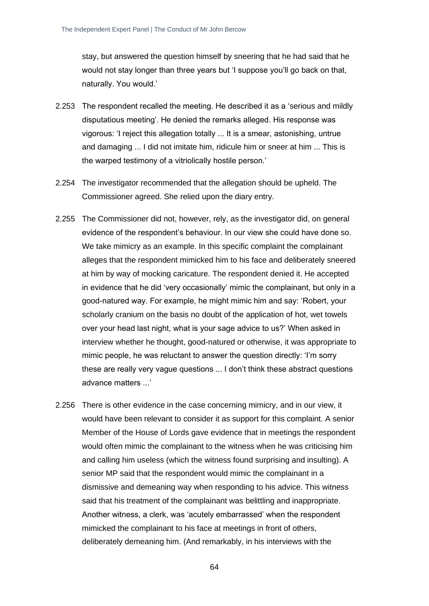stay, but answered the question himself by sneering that he had said that he would not stay longer than three years but 'I suppose you'll go back on that, naturally. You would.'

- 2.253 The respondent recalled the meeting. He described it as a 'serious and mildly disputatious meeting'. He denied the remarks alleged. His response was vigorous: 'I reject this allegation totally ... It is a smear, astonishing, untrue and damaging ... I did not imitate him, ridicule him or sneer at him ... This is the warped testimony of a vitriolically hostile person.'
- 2.254 The investigator recommended that the allegation should be upheld. The Commissioner agreed. She relied upon the diary entry.
- 2.255 The Commissioner did not, however, rely, as the investigator did, on general evidence of the respondent's behaviour. In our view she could have done so. We take mimicry as an example. In this specific complaint the complainant alleges that the respondent mimicked him to his face and deliberately sneered at him by way of mocking caricature. The respondent denied it. He accepted in evidence that he did 'very occasionally' mimic the complainant, but only in a good-natured way. For example, he might mimic him and say: 'Robert, your scholarly cranium on the basis no doubt of the application of hot, wet towels over your head last night, what is your sage advice to us?' When asked in interview whether he thought, good-natured or otherwise, it was appropriate to mimic people, he was reluctant to answer the question directly: 'I'm sorry these are really very vague questions ... I don't think these abstract questions advance matters ...'
- 2.256 There is other evidence in the case concerning mimicry, and in our view, it would have been relevant to consider it as support for this complaint. A senior Member of the House of Lords gave evidence that in meetings the respondent would often mimic the complainant to the witness when he was criticising him and calling him useless (which the witness found surprising and insulting). A senior MP said that the respondent would mimic the complainant in a dismissive and demeaning way when responding to his advice. This witness said that his treatment of the complainant was belittling and inappropriate. Another witness, a clerk, was 'acutely embarrassed' when the respondent mimicked the complainant to his face at meetings in front of others, deliberately demeaning him. (And remarkably, in his interviews with the

64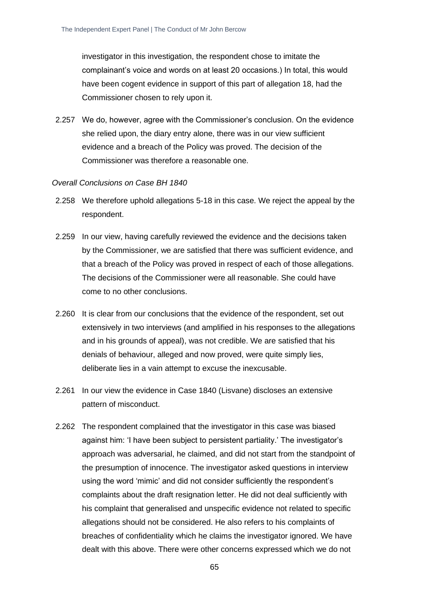investigator in this investigation, the respondent chose to imitate the complainant's voice and words on at least 20 occasions.) In total, this would have been cogent evidence in support of this part of allegation 18, had the Commissioner chosen to rely upon it.

2.257 We do, however, agree with the Commissioner's conclusion. On the evidence she relied upon, the diary entry alone, there was in our view sufficient evidence and a breach of the Policy was proved. The decision of the Commissioner was therefore a reasonable one.

#### *Overall Conclusions on Case BH 1840*

- 2.258 We therefore uphold allegations 5-18 in this case. We reject the appeal by the respondent.
- 2.259 In our view, having carefully reviewed the evidence and the decisions taken by the Commissioner, we are satisfied that there was sufficient evidence, and that a breach of the Policy was proved in respect of each of those allegations. The decisions of the Commissioner were all reasonable. She could have come to no other conclusions.
- 2.260 It is clear from our conclusions that the evidence of the respondent, set out extensively in two interviews (and amplified in his responses to the allegations and in his grounds of appeal), was not credible. We are satisfied that his denials of behaviour, alleged and now proved, were quite simply lies, deliberate lies in a vain attempt to excuse the inexcusable.
- 2.261 In our view the evidence in Case 1840 (Lisvane) discloses an extensive pattern of misconduct.
- 2.262 The respondent complained that the investigator in this case was biased against him: 'I have been subject to persistent partiality.' The investigator's approach was adversarial, he claimed, and did not start from the standpoint of the presumption of innocence. The investigator asked questions in interview using the word 'mimic' and did not consider sufficiently the respondent's complaints about the draft resignation letter. He did not deal sufficiently with his complaint that generalised and unspecific evidence not related to specific allegations should not be considered. He also refers to his complaints of breaches of confidentiality which he claims the investigator ignored. We have dealt with this above. There were other concerns expressed which we do not

65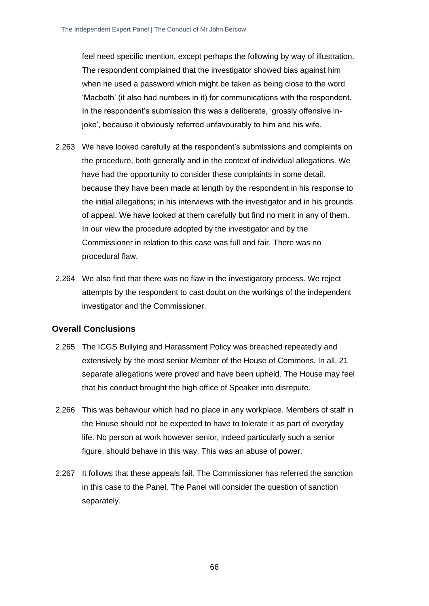feel need specific mention, except perhaps the following by way of illustration. The respondent complained that the investigator showed bias against him when he used a password which might be taken as being close to the word 'Macbeth' (it also had numbers in it) for communications with the respondent. In the respondent's submission this was a deliberate, 'grossly offensive injoke', because it obviously referred unfavourably to him and his wife.

- 2.263 We have looked carefully at the respondent's submissions and complaints on the procedure, both generally and in the context of individual allegations. We have had the opportunity to consider these complaints in some detail, because they have been made at length by the respondent in his response to the initial allegations; in his interviews with the investigator and in his grounds of appeal. We have looked at them carefully but find no merit in any of them. In our view the procedure adopted by the investigator and by the Commissioner in relation to this case was full and fair. There was no procedural flaw.
- 2.264 We also find that there was no flaw in the investigatory process. We reject attempts by the respondent to cast doubt on the workings of the independent investigator and the Commissioner.

## **Overall Conclusions**

- 2.265 The ICGS Bullying and Harassment Policy was breached repeatedly and extensively by the most senior Member of the House of Commons. In all, 21 separate allegations were proved and have been upheld. The House may feel that his conduct brought the high office of Speaker into disrepute.
- 2.266 This was behaviour which had no place in any workplace. Members of staff in the House should not be expected to have to tolerate it as part of everyday life. No person at work however senior, indeed particularly such a senior figure, should behave in this way. This was an abuse of power.
- 2.267 It follows that these appeals fail. The Commissioner has referred the sanction in this case to the Panel. The Panel will consider the question of sanction separately.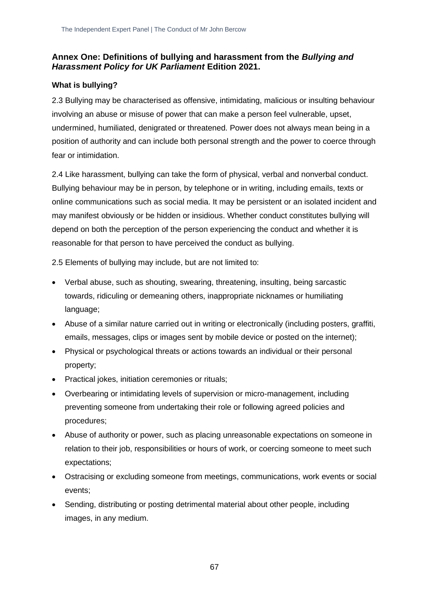## **Annex One: Definitions of bullying and harassment from the** *Bullying and Harassment Policy for UK Parliament* **Edition 2021.**

## **What is bullying?**

2.3 Bullying may be characterised as offensive, intimidating, malicious or insulting behaviour involving an abuse or misuse of power that can make a person feel vulnerable, upset, undermined, humiliated, denigrated or threatened. Power does not always mean being in a position of authority and can include both personal strength and the power to coerce through fear or intimidation.

2.4 Like harassment, bullying can take the form of physical, verbal and nonverbal conduct. Bullying behaviour may be in person, by telephone or in writing, including emails, texts or online communications such as social media. It may be persistent or an isolated incident and may manifest obviously or be hidden or insidious. Whether conduct constitutes bullying will depend on both the perception of the person experiencing the conduct and whether it is reasonable for that person to have perceived the conduct as bullying.

2.5 Elements of bullying may include, but are not limited to:

- Verbal abuse, such as shouting, swearing, threatening, insulting, being sarcastic towards, ridiculing or demeaning others, inappropriate nicknames or humiliating language;
- Abuse of a similar nature carried out in writing or electronically (including posters, graffiti, emails, messages, clips or images sent by mobile device or posted on the internet);
- Physical or psychological threats or actions towards an individual or their personal property;
- Practical jokes, initiation ceremonies or rituals;
- Overbearing or intimidating levels of supervision or micro-management, including preventing someone from undertaking their role or following agreed policies and procedures;
- Abuse of authority or power, such as placing unreasonable expectations on someone in relation to their job, responsibilities or hours of work, or coercing someone to meet such expectations;
- Ostracising or excluding someone from meetings, communications, work events or social events;
- Sending, distributing or posting detrimental material about other people, including images, in any medium.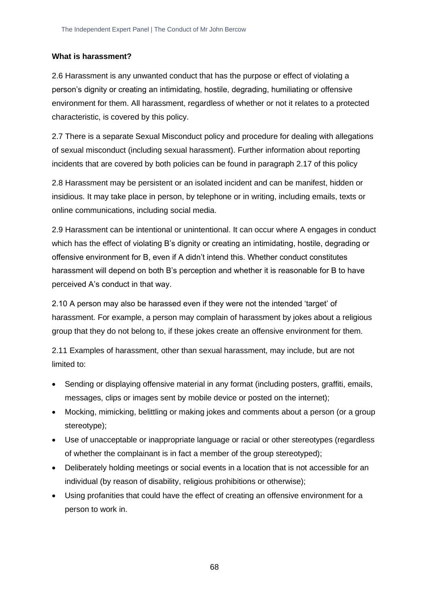## **What is harassment?**

2.6 Harassment is any unwanted conduct that has the purpose or effect of violating a person's dignity or creating an intimidating, hostile, degrading, humiliating or offensive environment for them. All harassment, regardless of whether or not it relates to a protected characteristic, is covered by this policy.

2.7 There is a separate Sexual Misconduct policy and procedure for dealing with allegations of sexual misconduct (including sexual harassment). Further information about reporting incidents that are covered by both policies can be found in paragraph 2.17 of this policy

2.8 Harassment may be persistent or an isolated incident and can be manifest, hidden or insidious. It may take place in person, by telephone or in writing, including emails, texts or online communications, including social media.

2.9 Harassment can be intentional or unintentional. It can occur where A engages in conduct which has the effect of violating B's dignity or creating an intimidating, hostile, degrading or offensive environment for B, even if A didn't intend this. Whether conduct constitutes harassment will depend on both B's perception and whether it is reasonable for B to have perceived A's conduct in that way.

2.10 A person may also be harassed even if they were not the intended 'target' of harassment. For example, a person may complain of harassment by jokes about a religious group that they do not belong to, if these jokes create an offensive environment for them.

2.11 Examples of harassment, other than sexual harassment, may include, but are not limited to:

- Sending or displaying offensive material in any format (including posters, graffiti, emails, messages, clips or images sent by mobile device or posted on the internet);
- Mocking, mimicking, belittling or making jokes and comments about a person (or a group stereotype);
- Use of unacceptable or inappropriate language or racial or other stereotypes (regardless of whether the complainant is in fact a member of the group stereotyped);
- Deliberately holding meetings or social events in a location that is not accessible for an individual (by reason of disability, religious prohibitions or otherwise);
- Using profanities that could have the effect of creating an offensive environment for a person to work in.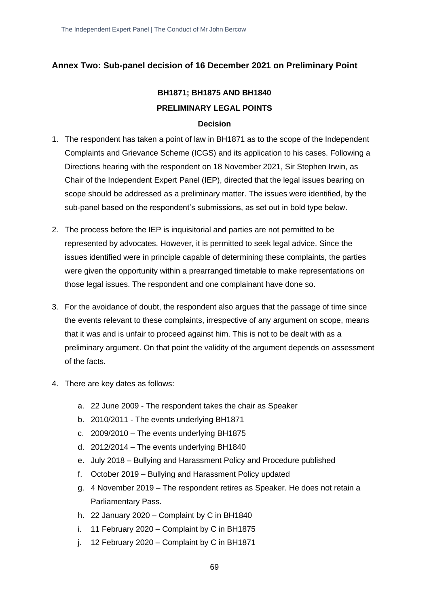## **Annex Two: Sub-panel decision of 16 December 2021 on Preliminary Point**

# **BH1871; BH1875 AND BH1840 PRELIMINARY LEGAL POINTS**

### **Decision**

- 1. The respondent has taken a point of law in BH1871 as to the scope of the Independent Complaints and Grievance Scheme (ICGS) and its application to his cases. Following a Directions hearing with the respondent on 18 November 2021, Sir Stephen Irwin, as Chair of the Independent Expert Panel (IEP), directed that the legal issues bearing on scope should be addressed as a preliminary matter. The issues were identified, by the sub-panel based on the respondent's submissions, as set out in bold type below.
- 2. The process before the IEP is inquisitorial and parties are not permitted to be represented by advocates. However, it is permitted to seek legal advice. Since the issues identified were in principle capable of determining these complaints, the parties were given the opportunity within a prearranged timetable to make representations on those legal issues. The respondent and one complainant have done so.
- 3. For the avoidance of doubt, the respondent also argues that the passage of time since the events relevant to these complaints, irrespective of any argument on scope, means that it was and is unfair to proceed against him. This is not to be dealt with as a preliminary argument. On that point the validity of the argument depends on assessment of the facts.
- 4. There are key dates as follows:
	- a. 22 June 2009 The respondent takes the chair as Speaker
	- b. 2010/2011 The events underlying BH1871
	- c. 2009/2010 The events underlying BH1875
	- d. 2012/2014 The events underlying BH1840
	- e. July 2018 Bullying and Harassment Policy and Procedure published
	- f. October 2019 Bullying and Harassment Policy updated
	- g. 4 November 2019 The respondent retires as Speaker. He does not retain a Parliamentary Pass.
	- h. 22 January 2020 Complaint by C in BH1840
	- i. 11 February 2020 Complaint by C in BH1875
	- j. 12 February 2020 Complaint by C in BH1871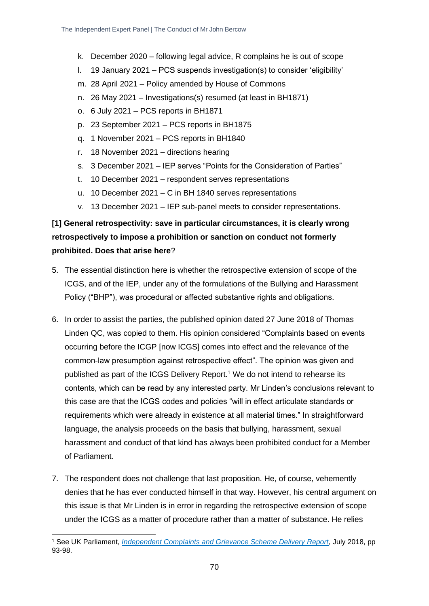- k. December 2020 following legal advice, R complains he is out of scope
- l. 19 January 2021 PCS suspends investigation(s) to consider 'eligibility'
- m. 28 April 2021 Policy amended by House of Commons
- n. 26 May 2021 Investigations(s) resumed (at least in BH1871)
- o. 6 July 2021 PCS reports in BH1871
- p. 23 September 2021 PCS reports in BH1875
- q. 1 November 2021 PCS reports in BH1840
- r. 18 November 2021 directions hearing
- s. 3 December 2021 IEP serves "Points for the Consideration of Parties"
- t. 10 December 2021 respondent serves representations
- u. 10 December 2021 C in BH 1840 serves representations
- v. 13 December 2021 IEP sub-panel meets to consider representations.

# **[1] General retrospectivity: save in particular circumstances, it is clearly wrong retrospectively to impose a prohibition or sanction on conduct not formerly prohibited. Does that arise here**?

- 5. The essential distinction here is whether the retrospective extension of scope of the ICGS, and of the IEP, under any of the formulations of the Bullying and Harassment Policy ("BHP"), was procedural or affected substantive rights and obligations.
- 6. In order to assist the parties, the published opinion dated 27 June 2018 of Thomas Linden QC, was copied to them. His opinion considered "Complaints based on events occurring before the ICGP [now ICGS] comes into effect and the relevance of the common-law presumption against retrospective effect". The opinion was given and published as part of the ICGS Delivery Report.<sup>1</sup> We do not intend to rehearse its contents, which can be read by any interested party. Mr Linden's conclusions relevant to this case are that the ICGS codes and policies "will in effect articulate standards or requirements which were already in existence at all material times." In straightforward language, the analysis proceeds on the basis that bullying, harassment, sexual harassment and conduct of that kind has always been prohibited conduct for a Member of Parliament.
- 7. The respondent does not challenge that last proposition. He, of course, vehemently denies that he has ever conducted himself in that way. However, his central argument on this issue is that Mr Linden is in error in regarding the retrospective extension of scope under the ICGS as a matter of procedure rather than a matter of substance. He relies

<sup>1</sup> See UK Parliament, *[Independent Complaints and Grievance Scheme Delivery Report](https://www.parliament.uk/globalassets/documents/news/2018/1-ICGP-Delivery-Report.pdf)*, July 2018, pp 93-98.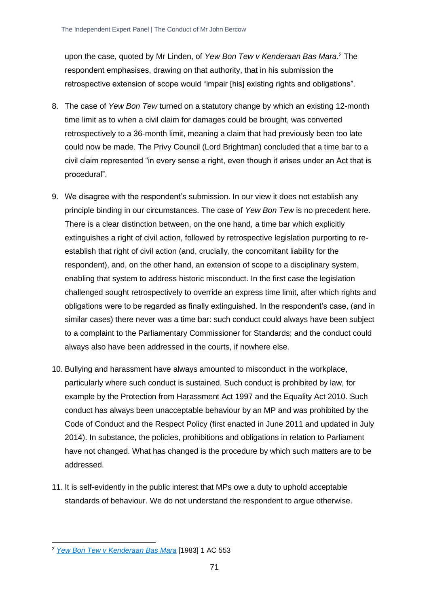upon the case, quoted by Mr Linden, of *Yew Bon Tew v Kenderaan Bas Mara*. <sup>2</sup> The respondent emphasises, drawing on that authority, that in his submission the retrospective extension of scope would "impair [his] existing rights and obligations".

- 8. The case of *Yew Bon Tew* turned on a statutory change by which an existing 12-month time limit as to when a civil claim for damages could be brought, was converted retrospectively to a 36-month limit, meaning a claim that had previously been too late could now be made. The Privy Council (Lord Brightman) concluded that a time bar to a civil claim represented "in every sense a right, even though it arises under an Act that is procedural".
- 9. We disagree with the respondent's submission. In our view it does not establish any principle binding in our circumstances. The case of *Yew Bon Tew* is no precedent here. There is a clear distinction between, on the one hand, a time bar which explicitly extinguishes a right of civil action, followed by retrospective legislation purporting to reestablish that right of civil action (and, crucially, the concomitant liability for the respondent), and, on the other hand, an extension of scope to a disciplinary system, enabling that system to address historic misconduct. In the first case the legislation challenged sought retrospectively to override an express time limit, after which rights and obligations were to be regarded as finally extinguished. In the respondent's case, (and in similar cases) there never was a time bar: such conduct could always have been subject to a complaint to the Parliamentary Commissioner for Standards; and the conduct could always also have been addressed in the courts, if nowhere else.
- 10. Bullying and harassment have always amounted to misconduct in the workplace, particularly where such conduct is sustained. Such conduct is prohibited by law, for example by the Protection from Harassment Act 1997 and the Equality Act 2010. Such conduct has always been unacceptable behaviour by an MP and was prohibited by the Code of Conduct and the Respect Policy (first enacted in June 2011 and updated in July 2014). In substance, the policies, prohibitions and obligations in relation to Parliament have not changed. What has changed is the procedure by which such matters are to be addressed.
- 11. It is self-evidently in the public interest that MPs owe a duty to uphold acceptable standards of behaviour. We do not understand the respondent to argue otherwise.

<sup>2</sup> *[Yew Bon Tew v Kenderaan Bas Mara](https://www.bailii.org/uk/cases/UKPC/1982/1982_35.html)* [1983] 1 AC 553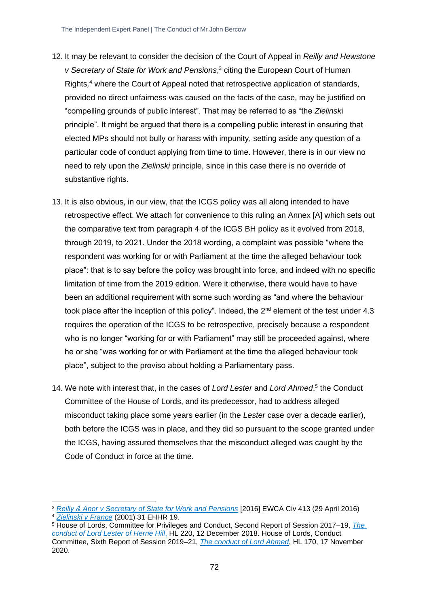- 12. It may be relevant to consider the decision of the Court of Appeal in *Reilly and Hewstone v Secretary of State for Work and Pensions*, <sup>3</sup> citing the European Court of Human Rights*,* <sup>4</sup> where the Court of Appeal noted that retrospective application of standards, provided no direct unfairness was caused on the facts of the case, may be justified on "compelling grounds of public interest". That may be referred to as "the *Zielinsk*i principle". It might be argued that there is a compelling public interest in ensuring that elected MPs should not bully or harass with impunity, setting aside any question of a particular code of conduct applying from time to time. However, there is in our view no need to rely upon the *Zielinski* principle, since in this case there is no override of substantive rights.
- 13. It is also obvious, in our view, that the ICGS policy was all along intended to have retrospective effect. We attach for convenience to this ruling an Annex [A] which sets out the comparative text from paragraph 4 of the ICGS BH policy as it evolved from 2018, through 2019, to 2021. Under the 2018 wording, a complaint was possible "where the respondent was working for or with Parliament at the time the alleged behaviour took place": that is to say before the policy was brought into force, and indeed with no specific limitation of time from the 2019 edition. Were it otherwise, there would have to have been an additional requirement with some such wording as "and where the behaviour took place after the inception of this policy". Indeed, the  $2<sup>nd</sup>$  element of the test under 4.3 requires the operation of the ICGS to be retrospective, precisely because a respondent who is no longer "working for or with Parliament" may still be proceeded against, where he or she "was working for or with Parliament at the time the alleged behaviour took place", subject to the proviso about holding a Parliamentary pass.
- 14. We note with interest that, in the cases of Lord Lester and Lord Ahmed,<sup>5</sup> the Conduct Committee of the House of Lords, and its predecessor, had to address alleged misconduct taking place some years earlier (in the *Lester* case over a decade earlier), both before the ICGS was in place, and they did so pursuant to the scope granted under the ICGS, having assured themselves that the misconduct alleged was caught by the Code of Conduct in force at the time.

<sup>3</sup> *[Reilly & Anor v Secretary of State for Work and Pensions](https://www.bailii.org/ew/cases/EWCA/Civ/2016/413.html#para77)* [2016] EWCA Civ 413 (29 April 2016) <sup>4</sup> *Zielinski v France* [\(2001\) 31 EHHR 19.](https://www.bailii.org/eu/cases/ECHR/1999/108.html)

<sup>5</sup> House of Lords, Committee for Privileges and Conduct, Second Report of Session 2017–19, *[The](https://publications.parliament.uk/pa/ld201719/ldselect/ldprivi/220/220.pdf)  [conduct of Lord Lester of Herne Hill](https://publications.parliament.uk/pa/ld201719/ldselect/ldprivi/220/220.pdf)*, HL 220, 12 December 2018. House of Lords, Conduct Committee, Sixth Report of Session 2019–21, *[The conduct of Lord Ahmed](https://publications.parliament.uk/pa/ld5801/ldselect/ldcond/170/170.pdf)*, HL 170, 17 November 2020.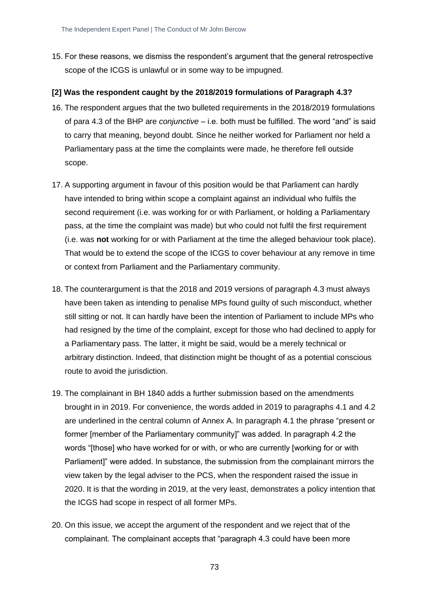15. For these reasons, we dismiss the respondent's argument that the general retrospective scope of the ICGS is unlawful or in some way to be impugned.

#### **[2] Was the respondent caught by the 2018/2019 formulations of Paragraph 4.3?**

- 16. The respondent argues that the two bulleted requirements in the 2018/2019 formulations of para 4.3 of the BHP are *conjunctive* – i.e. both must be fulfilled. The word "and" is said to carry that meaning, beyond doubt. Since he neither worked for Parliament nor held a Parliamentary pass at the time the complaints were made, he therefore fell outside scope.
- 17. A supporting argument in favour of this position would be that Parliament can hardly have intended to bring within scope a complaint against an individual who fulfils the second requirement (i.e. was working for or with Parliament, or holding a Parliamentary pass, at the time the complaint was made) but who could not fulfil the first requirement (i.e. was **not** working for or with Parliament at the time the alleged behaviour took place). That would be to extend the scope of the ICGS to cover behaviour at any remove in time or context from Parliament and the Parliamentary community.
- 18. The counterargument is that the 2018 and 2019 versions of paragraph 4.3 must always have been taken as intending to penalise MPs found guilty of such misconduct, whether still sitting or not. It can hardly have been the intention of Parliament to include MPs who had resigned by the time of the complaint, except for those who had declined to apply for a Parliamentary pass. The latter, it might be said, would be a merely technical or arbitrary distinction. Indeed, that distinction might be thought of as a potential conscious route to avoid the jurisdiction.
- 19. The complainant in BH 1840 adds a further submission based on the amendments brought in in 2019. For convenience, the words added in 2019 to paragraphs 4.1 and 4.2 are underlined in the central column of Annex A. In paragraph 4.1 the phrase "present or former [member of the Parliamentary community]" was added. In paragraph 4.2 the words "[those] who have worked for or with, or who are currently [working for or with Parliament]" were added. In substance, the submission from the complainant mirrors the view taken by the legal adviser to the PCS, when the respondent raised the issue in 2020. It is that the wording in 2019, at the very least, demonstrates a policy intention that the ICGS had scope in respect of all former MPs.
- 20. On this issue, we accept the argument of the respondent and we reject that of the complainant. The complainant accepts that "paragraph 4.3 could have been more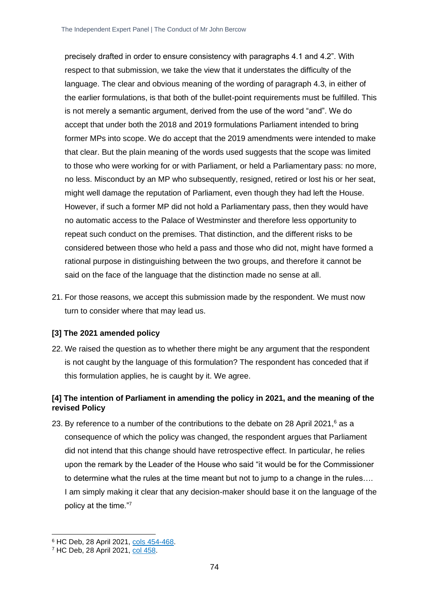precisely drafted in order to ensure consistency with paragraphs 4.1 and 4.2". With respect to that submission, we take the view that it understates the difficulty of the language. The clear and obvious meaning of the wording of paragraph 4.3, in either of the earlier formulations, is that both of the bullet-point requirements must be fulfilled. This is not merely a semantic argument, derived from the use of the word "and". We do accept that under both the 2018 and 2019 formulations Parliament intended to bring former MPs into scope. We do accept that the 2019 amendments were intended to make that clear. But the plain meaning of the words used suggests that the scope was limited to those who were working for or with Parliament, or held a Parliamentary pass: no more, no less. Misconduct by an MP who subsequently, resigned, retired or lost his or her seat, might well damage the reputation of Parliament, even though they had left the House. However, if such a former MP did not hold a Parliamentary pass, then they would have no automatic access to the Palace of Westminster and therefore less opportunity to repeat such conduct on the premises. That distinction, and the different risks to be considered between those who held a pass and those who did not, might have formed a rational purpose in distinguishing between the two groups, and therefore it cannot be said on the face of the language that the distinction made no sense at all.

21. For those reasons, we accept this submission made by the respondent. We must now turn to consider where that may lead us.

#### **[3] The 2021 amended policy**

22. We raised the question as to whether there might be any argument that the respondent is not caught by the language of this formulation? The respondent has conceded that if this formulation applies, he is caught by it. We agree.

## **[4] The intention of Parliament in amending the policy in 2021, and the meaning of the revised Policy**

23. By reference to a number of the contributions to the debate on 28 April 2021, $6$  as a consequence of which the policy was changed, the respondent argues that Parliament did not intend that this change should have retrospective effect. In particular, he relies upon the remark by the Leader of the House who said "it would be for the Commissioner to determine what the rules at the time meant but not to jump to a change in the rules…. I am simply making it clear that any decision-maker should base it on the language of the policy at the time."<sup>7</sup>

<sup>6</sup> HC Deb, 28 April 2021, cols [454-468.](https://hansard.parliament.uk/Commons/2021-04-28/debates/279F7631-D9EC-46D6-AA62-C0AB4A48438B/AmendmentsToTheIndependentComplaintsAndGrievanceScheme)

<sup>7</sup> HC Deb, 28 April 2021, [col 458.](https://hansard.parliament.uk/Commons/2021-04-28/debates/279F7631-D9EC-46D6-AA62-C0AB4A48438B/AmendmentsToTheIndependentComplaintsAndGrievanceScheme)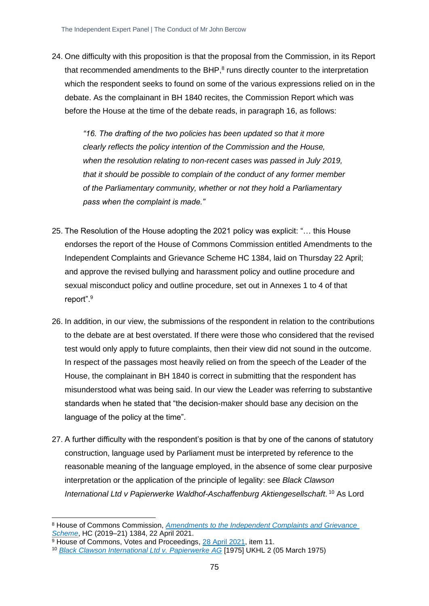24. One difficulty with this proposition is that the proposal from the Commission, in its Report that recommended amendments to the BHP, $<sup>8</sup>$  runs directly counter to the interpretation</sup> which the respondent seeks to found on some of the various expressions relied on in the debate. As the complainant in BH 1840 recites, the Commission Report which was before the House at the time of the debate reads, in paragraph 16, as follows:

*"16. The drafting of the two policies has been updated so that it more clearly reflects the policy intention of the Commission and the House, when the resolution relating to non-recent cases was passed in July 2019, that it should be possible to complain of the conduct of any former member of the Parliamentary community, whether or not they hold a Parliamentary pass when the complaint is made."*

- 25. The Resolution of the House adopting the 2021 policy was explicit: "… this House endorses the report of the House of Commons Commission entitled Amendments to the Independent Complaints and Grievance Scheme HC 1384, laid on Thursday 22 April; and approve the revised bullying and harassment policy and outline procedure and sexual misconduct policy and outline procedure, set out in Annexes 1 to 4 of that report".<sup>9</sup>
- 26. In addition, in our view, the submissions of the respondent in relation to the contributions to the debate are at best overstated. If there were those who considered that the revised test would only apply to future complaints, then their view did not sound in the outcome. In respect of the passages most heavily relied on from the speech of the Leader of the House, the complainant in BH 1840 is correct in submitting that the respondent has misunderstood what was being said. In our view the Leader was referring to substantive standards when he stated that "the decision-maker should base any decision on the language of the policy at the time".
- 27. A further difficulty with the respondent's position is that by one of the canons of statutory construction, language used by Parliament must be interpreted by reference to the reasonable meaning of the language employed, in the absence of some clear purposive interpretation or the application of the principle of legality: see *Black Clawson*  International Ltd v Papierwerke Waldhof-Aschaffenburg Aktiengesellschaft.<sup>10</sup> As Lord

<sup>8</sup> House of Commons Commission, *[Amendments to the Independent Complaints and Grievance](https://committees.parliament.uk/publications/5594/documents/55318/default/)  [Scheme](https://committees.parliament.uk/publications/5594/documents/55318/default/)*, HC (2019–21) 1384, 22 April 2021.

 $9$  House of Commons, Votes and Proceedings, [28 April 2021,](https://commonsbusiness.parliament.uk/document/47300/html) item 11.

<sup>10</sup> *[Black Clawson International Ltd v. Papierwerke AG](https://www.bailii.org/cgi-bin/format.cgi?doc=/uk/cases/UKHL/1975/2.html&query=(Black)+AND+(Clawson)+AND+(International))* [1975] UKHL 2 (05 March 1975)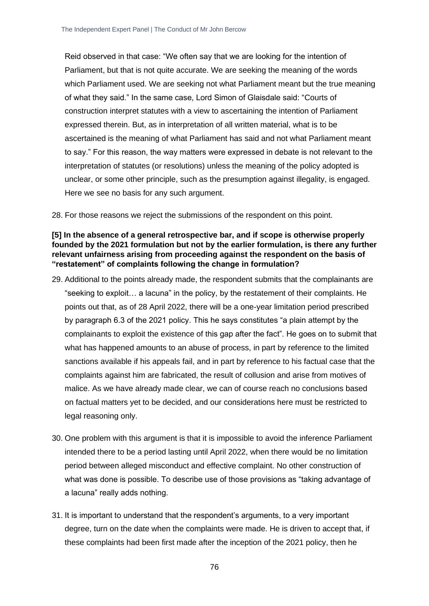Reid observed in that case: "We often say that we are looking for the intention of Parliament, but that is not quite accurate. We are seeking the meaning of the words which Parliament used. We are seeking not what Parliament meant but the true meaning of what they said." In the same case, Lord Simon of Glaisdale said: "Courts of construction interpret statutes with a view to ascertaining the intention of Parliament expressed therein. But, as in interpretation of all written material, what is to be ascertained is the meaning of what Parliament has said and not what Parliament meant to say." For this reason, the way matters were expressed in debate is not relevant to the interpretation of statutes (or resolutions) unless the meaning of the policy adopted is unclear, or some other principle, such as the presumption against illegality, is engaged. Here we see no basis for any such argument.

28. For those reasons we reject the submissions of the respondent on this point.

#### **[5] In the absence of a general retrospective bar, and if scope is otherwise properly founded by the 2021 formulation but not by the earlier formulation, is there any further relevant unfairness arising from proceeding against the respondent on the basis of "restatement" of complaints following the change in formulation?**

- 29. Additional to the points already made, the respondent submits that the complainants are "seeking to exploit… a lacuna" in the policy, by the restatement of their complaints. He points out that, as of 28 April 2022, there will be a one-year limitation period prescribed by paragraph 6.3 of the 2021 policy. This he says constitutes "a plain attempt by the complainants to exploit the existence of this gap after the fact". He goes on to submit that what has happened amounts to an abuse of process, in part by reference to the limited sanctions available if his appeals fail, and in part by reference to his factual case that the complaints against him are fabricated, the result of collusion and arise from motives of malice. As we have already made clear, we can of course reach no conclusions based on factual matters yet to be decided, and our considerations here must be restricted to legal reasoning only.
- 30. One problem with this argument is that it is impossible to avoid the inference Parliament intended there to be a period lasting until April 2022, when there would be no limitation period between alleged misconduct and effective complaint. No other construction of what was done is possible. To describe use of those provisions as "taking advantage of a lacuna" really adds nothing.
- 31. It is important to understand that the respondent's arguments, to a very important degree, turn on the date when the complaints were made. He is driven to accept that, if these complaints had been first made after the inception of the 2021 policy, then he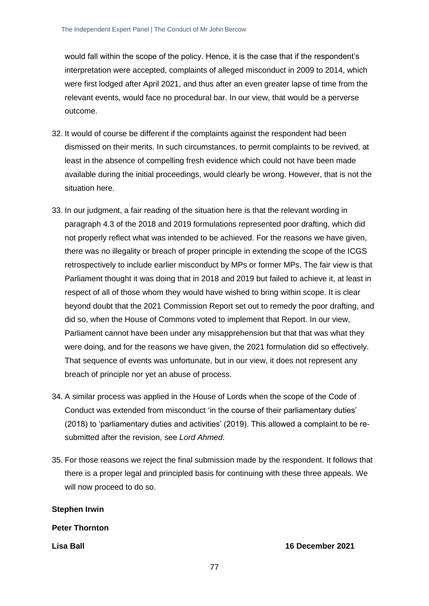would fall within the scope of the policy. Hence, it is the case that if the respondent's interpretation were accepted, complaints of alleged misconduct in 2009 to 2014, which were first lodged after April 2021, and thus after an even greater lapse of time from the relevant events, would face no procedural bar. In our view, that would be a perverse outcome.

- 32. It would of course be different if the complaints against the respondent had been dismissed on their merits. In such circumstances, to permit complaints to be revived, at least in the absence of compelling fresh evidence which could not have been made available during the initial proceedings, would clearly be wrong. However, that is not the situation here.
- 33. In our judgment, a fair reading of the situation here is that the relevant wording in paragraph 4.3 of the 2018 and 2019 formulations represented poor drafting, which did not properly reflect what was intended to be achieved. For the reasons we have given, there was no illegality or breach of proper principle in extending the scope of the ICGS retrospectively to include earlier misconduct by MPs or former MPs. The fair view is that Parliament thought it was doing that in 2018 and 2019 but failed to achieve it, at least in respect of all of those whom they would have wished to bring within scope. It is clear beyond doubt that the 2021 Commission Report set out to remedy the poor drafting, and did so, when the House of Commons voted to implement that Report. In our view, Parliament cannot have been under any misapprehension but that that was what they were doing, and for the reasons we have given, the 2021 formulation did so effectively. That sequence of events was unfortunate, but in our view, it does not represent any breach of principle nor yet an abuse of process.
- 34. A similar process was applied in the House of Lords when the scope of the Code of Conduct was extended from misconduct 'in the course of their parliamentary duties' (2018) to 'parliamentary duties and activities' (2019). This allowed a complaint to be resubmitted after the revision, see *Lord Ahmed*.
- 35. For those reasons we reject the final submission made by the respondent. It follows that there is a proper legal and principled basis for continuing with these three appeals. We will now proceed to do so.

**Stephen Irwin**

**Peter Thornton**

**Lisa Ball 16 December 2021**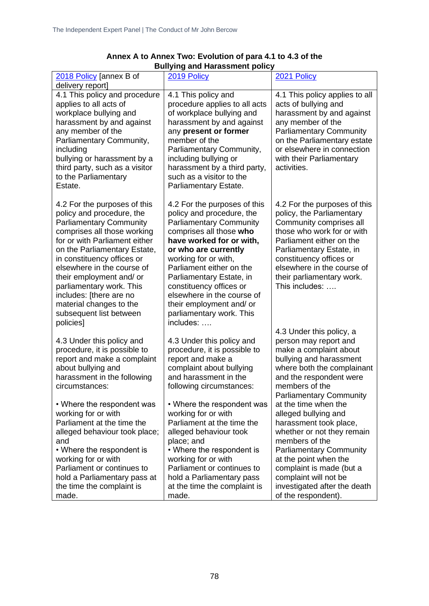| 2018 Policy [annex B of<br>delivery report]                                                                                                                                                                                                                                                                                                                                                                   | 2019 Policy                                                                                                                                                                                                                                                                                                                                                                              | 2021 Policy                                                                                                                                                                                                                                                                        |
|---------------------------------------------------------------------------------------------------------------------------------------------------------------------------------------------------------------------------------------------------------------------------------------------------------------------------------------------------------------------------------------------------------------|------------------------------------------------------------------------------------------------------------------------------------------------------------------------------------------------------------------------------------------------------------------------------------------------------------------------------------------------------------------------------------------|------------------------------------------------------------------------------------------------------------------------------------------------------------------------------------------------------------------------------------------------------------------------------------|
| 4.1 This policy and procedure<br>applies to all acts of<br>workplace bullying and<br>harassment by and against<br>any member of the<br>Parliamentary Community,<br>including<br>bullying or harassment by a<br>third party, such as a visitor<br>to the Parliamentary<br>Estate.                                                                                                                              | 4.1 This policy and<br>procedure applies to all acts<br>of workplace bullying and<br>harassment by and against<br>any present or former<br>member of the<br>Parliamentary Community,<br>including bullying or<br>harassment by a third party,<br>such as a visitor to the<br>Parliamentary Estate.                                                                                       | 4.1 This policy applies to all<br>acts of bullying and<br>harassment by and against<br>any member of the<br><b>Parliamentary Community</b><br>on the Parliamentary estate<br>or elsewhere in connection<br>with their Parliamentary<br>activities.                                 |
| 4.2 For the purposes of this<br>policy and procedure, the<br><b>Parliamentary Community</b><br>comprises all those working<br>for or with Parliament either<br>on the Parliamentary Estate,<br>in constituency offices or<br>elsewhere in the course of<br>their employment and/ or<br>parliamentary work. This<br>includes: [there are no<br>material changes to the<br>subsequent list between<br>policies] | 4.2 For the purposes of this<br>policy and procedure, the<br><b>Parliamentary Community</b><br>comprises all those who<br>have worked for or with,<br>or who are currently<br>working for or with,<br>Parliament either on the<br>Parliamentary Estate, in<br>constituency offices or<br>elsewhere in the course of<br>their employment and/ or<br>parliamentary work. This<br>includes: | 4.2 For the purposes of this<br>policy, the Parliamentary<br>Community comprises all<br>those who work for or with<br>Parliament either on the<br>Parliamentary Estate, in<br>constituency offices or<br>elsewhere in the course of<br>their parliamentary work.<br>This includes: |
| 4.3 Under this policy and<br>procedure, it is possible to<br>report and make a complaint<br>about bullying and<br>harassment in the following<br>circumstances:<br>• Where the respondent was                                                                                                                                                                                                                 | 4.3 Under this policy and<br>procedure, it is possible to<br>report and make a<br>complaint about bullying<br>and harassment in the<br>following circumstances:<br>• Where the respondent was                                                                                                                                                                                            | 4.3 Under this policy, a<br>person may report and<br>make a complaint about<br>bullying and harassment<br>where both the complainant<br>and the respondent were<br>members of the<br><b>Parliamentary Community</b><br>at the time when the                                        |
| working for or with<br>Parliament at the time the<br>alleged behaviour took place;<br>and<br>• Where the respondent is<br>working for or with<br>Parliament or continues to<br>hold a Parliamentary pass at<br>the time the complaint is<br>made.                                                                                                                                                             | working for or with<br>Parliament at the time the<br>alleged behaviour took<br>place; and<br>• Where the respondent is<br>working for or with<br>Parliament or continues to<br>hold a Parliamentary pass<br>at the time the complaint is<br>made.                                                                                                                                        | alleged bullying and<br>harassment took place,<br>whether or not they remain<br>members of the<br><b>Parliamentary Community</b><br>at the point when the<br>complaint is made (but a<br>complaint will not be<br>investigated after the death<br>of the respondent).              |

### **Annex A to Annex Two: Evolution of para 4.1 to 4.3 of the Bullying and Harassment policy**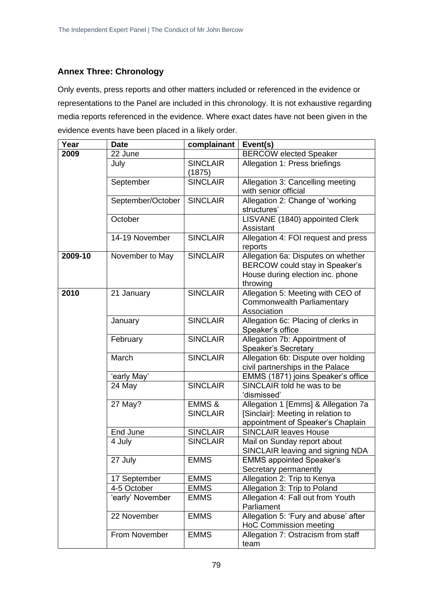## **Annex Three: Chronology**

Only events, press reports and other matters included or referenced in the evidence or representations to the Panel are included in this chronology. It is not exhaustive regarding media reports referenced in the evidence. Where exact dates have not been given in the evidence events have been placed in a likely order.

| Year    | <b>Date</b>       | complainant                          | Event(s)                                                                                                             |
|---------|-------------------|--------------------------------------|----------------------------------------------------------------------------------------------------------------------|
| 2009    | 22 June           |                                      | <b>BERCOW elected Speaker</b>                                                                                        |
|         | July              | <b>SINCLAIR</b><br>(1875)            | Allegation 1: Press briefings                                                                                        |
|         | September         | <b>SINCLAIR</b>                      | Allegation 3: Cancelling meeting<br>with senior official                                                             |
|         | September/October | <b>SINCLAIR</b>                      | Allegation 2: Change of 'working<br>structures'                                                                      |
|         | October           |                                      | LISVANE (1840) appointed Clerk<br>Assistant                                                                          |
|         | 14-19 November    | <b>SINCLAIR</b>                      | Allegation 4: FOI request and press<br>reports                                                                       |
| 2009-10 | November to May   | <b>SINCLAIR</b>                      | Allegation 6a: Disputes on whether<br>BERCOW could stay in Speaker's<br>House during election inc. phone<br>throwing |
| 2010    | 21 January        | <b>SINCLAIR</b>                      | Allegation 5: Meeting with CEO of<br>Commonwealth Parliamentary<br>Association                                       |
|         | January           | <b>SINCLAIR</b>                      | Allegation 6c: Placing of clerks in<br>Speaker's office                                                              |
|         | February          | <b>SINCLAIR</b>                      | Allegation 7b: Appointment of<br>Speaker's Secretary                                                                 |
|         | March             | <b>SINCLAIR</b>                      | Allegation 6b: Dispute over holding<br>civil partnerships in the Palace                                              |
|         | 'early May'       |                                      | EMMS (1871) joins Speaker's office                                                                                   |
|         | 24 May            | <b>SINCLAIR</b>                      | SINCLAIR told he was to be<br>'dismissed'                                                                            |
|         | 27 May?           | <b>EMMS &amp;</b><br><b>SINCLAIR</b> | Allegation 1 [Emms] & Allegation 7a<br>[Sinclair]: Meeting in relation to<br>appointment of Speaker's Chaplain       |
|         | End June          | <b>SINCLAIR</b>                      | <b>SINCLAIR leaves House</b>                                                                                         |
|         | 4 July            | <b>SINCLAIR</b>                      | Mail on Sunday report about<br>SINCLAIR leaving and signing NDA                                                      |
|         | 27 July           | <b>EMMS</b>                          | <b>EMMS appointed Speaker's</b><br>Secretary permanently                                                             |
|         | 17 September      | <b>EMMS</b>                          | Allegation 2: Trip to Kenya                                                                                          |
|         | 4-5 October       | <b>EMMS</b>                          | Allegation 3: Trip to Poland                                                                                         |
|         | 'early' November  | <b>EMMS</b>                          | Allegation 4: Fall out from Youth<br>Parliament                                                                      |
|         | 22 November       | <b>EMMS</b>                          | Allegation 5: 'Fury and abuse' after<br><b>HoC Commission meeting</b>                                                |
|         | From November     | <b>EMMS</b>                          | Allegation 7: Ostracism from staff<br>team                                                                           |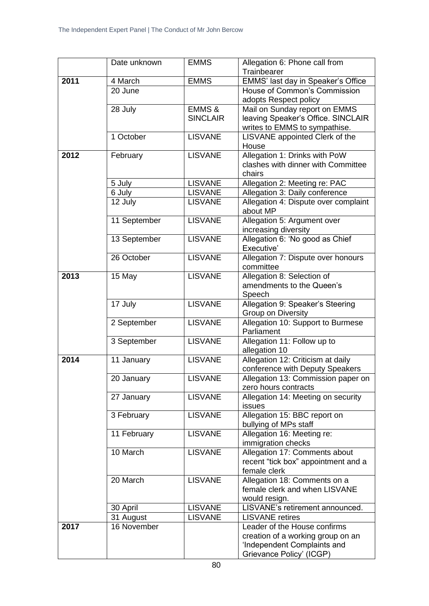|      | Date unknown | <b>EMMS</b>       | Allegation 6: Phone call from                       |
|------|--------------|-------------------|-----------------------------------------------------|
|      |              |                   | Trainbearer                                         |
| 2011 | 4 March      | <b>EMMS</b>       | EMMS' last day in Speaker's Office                  |
|      | 20 June      |                   | House of Common's Commission                        |
|      |              |                   | adopts Respect policy                               |
|      | 28 July      | <b>EMMS &amp;</b> | Mail on Sunday report on EMMS                       |
|      |              | <b>SINCLAIR</b>   | leaving Speaker's Office. SINCLAIR                  |
|      |              |                   | writes to EMMS to sympathise.                       |
|      | 1 October    | <b>LISVANE</b>    | LISVANE appointed Clerk of the<br>House             |
| 2012 | February     | <b>LISVANE</b>    | Allegation 1: Drinks with PoW                       |
|      |              |                   | clashes with dinner with Committee                  |
|      |              |                   | chairs                                              |
|      | 5 July       | <b>LISVANE</b>    | Allegation 2: Meeting re: PAC                       |
|      | 6 July       | <b>LISVANE</b>    | Allegation 3: Daily conference                      |
|      | 12 July      | <b>LISVANE</b>    | Allegation 4: Dispute over complaint<br>about MP    |
|      | 11 September | <b>LISVANE</b>    | Allegation 5: Argument over                         |
|      |              |                   | increasing diversity                                |
|      | 13 September | <b>LISVANE</b>    | Allegation 6: 'No good as Chief                     |
|      |              |                   | Executive'                                          |
|      | 26 October   | <b>LISVANE</b>    | Allegation 7: Dispute over honours                  |
|      |              |                   | committee                                           |
| 2013 | 15 May       | <b>LISVANE</b>    | Allegation 8: Selection of                          |
|      |              |                   | amendments to the Queen's                           |
|      |              |                   | Speech                                              |
|      | 17 July      | <b>LISVANE</b>    | Allegation 9: Speaker's Steering                    |
|      |              |                   | Group on Diversity                                  |
|      | 2 September  | <b>LISVANE</b>    | Allegation 10: Support to Burmese<br>Parliament     |
|      | 3 September  | <b>LISVANE</b>    | Allegation 11: Follow up to                         |
|      |              |                   | allegation 10                                       |
| 2014 | 11 January   | <b>LISVANE</b>    | Allegation 12: Criticism at daily                   |
|      |              |                   | conference with Deputy Speakers                     |
|      | 20 January   | <b>LISVANE</b>    | Allegation 13: Commission paper on                  |
|      |              |                   | zero hours contracts                                |
|      | 27 January   | <b>LISVANE</b>    | Allegation 14: Meeting on security                  |
|      |              |                   | issues                                              |
|      | 3 February   | <b>LISVANE</b>    | Allegation 15: BBC report on                        |
|      |              |                   | bullying of MPs staff                               |
|      | 11 February  | <b>LISVANE</b>    | Allegation 16: Meeting re:                          |
|      |              |                   | immigration checks                                  |
|      | 10 March     | <b>LISVANE</b>    | Allegation 17: Comments about                       |
|      |              |                   | recent "tick box" appointment and a<br>female clerk |
|      | 20 March     | <b>LISVANE</b>    | Allegation 18: Comments on a                        |
|      |              |                   | female clerk and when LISVANE                       |
|      |              |                   | would resign.                                       |
|      | 30 April     | <b>LISVANE</b>    | LISVANE's retirement announced.                     |
|      | 31 August    | <b>LISVANE</b>    | <b>LISVANE</b> retires                              |
| 2017 | 16 November  |                   | Leader of the House confirms                        |
|      |              |                   | creation of a working group on an                   |
|      |              |                   | 'Independent Complaints and                         |
|      |              |                   | Grievance Policy' (ICGP)                            |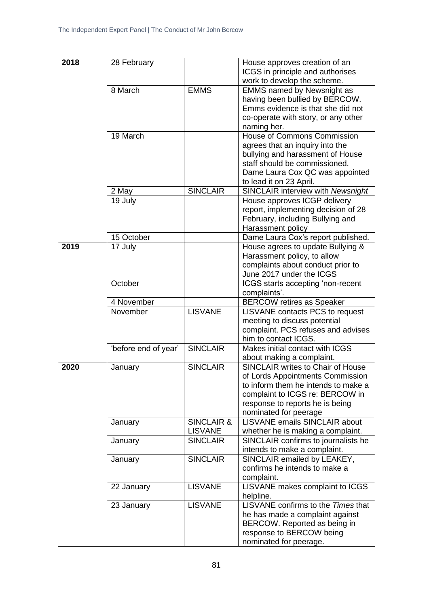| ICGS in principle and authorises<br>work to develop the scheme.<br>8 March<br><b>EMMS</b><br><b>EMMS named by Newsnight as</b><br>having been bullied by BERCOW.<br>Emms evidence is that she did not<br>co-operate with story, or any other<br>naming her.<br><b>House of Commons Commission</b><br>19 March<br>agrees that an inquiry into the<br>bullying and harassment of House<br>staff should be commissioned.<br>Dame Laura Cox QC was appointed<br>to lead it on 23 April.<br><b>SINCLAIR</b><br><b>SINCLAIR interview with Newsnight</b><br>2 May<br>House approves ICGP delivery<br>19 July<br>report, implementing decision of 28<br>February, including Bullying and<br>Harassment policy<br>Dame Laura Cox's report published.<br>15 October<br>2019<br>House agrees to update Bullying &<br>17 July<br>Harassment policy, to allow<br>complaints about conduct prior to<br>June 2017 under the ICGS<br>October<br>ICGS starts accepting 'non-recent<br>complaints'.<br>4 November<br><b>BERCOW retires as Speaker</b><br>November<br><b>LISVANE</b><br>LISVANE contacts PCS to request<br>meeting to discuss potential<br>complaint. PCS refuses and advises<br>him to contact ICGS.<br><b>SINCLAIR</b><br>'before end of year'<br>Makes initial contact with ICGS<br>about making a complaint.<br><b>SINCLAIR</b><br><b>SINCLAIR writes to Chair of House</b><br>2020<br>January<br>of Lords Appointments Commission<br>to inform them he intends to make a<br>complaint to ICGS re: BERCOW in<br>response to reports he is being<br>nominated for peerage<br><b>LISVANE emails SINCLAIR about</b><br><b>SINCLAIR &amp;</b><br>January<br><b>LISVANE</b><br>whether he is making a complaint.<br><b>SINCLAIR</b><br>SINCLAIR confirms to journalists he<br>January<br>intends to make a complaint.<br><b>SINCLAIR</b><br>SINCLAIR emailed by LEAKEY,<br>January<br>confirms he intends to make a<br>complaint.<br><b>LISVANE</b><br>LISVANE makes complaint to ICGS<br>22 January<br>helpline.<br>LISVANE confirms to the Times that<br><b>LISVANE</b><br>23 January<br>he has made a complaint against<br>BERCOW. Reported as being in<br>response to BERCOW being |      |             |                               |
|-------------------------------------------------------------------------------------------------------------------------------------------------------------------------------------------------------------------------------------------------------------------------------------------------------------------------------------------------------------------------------------------------------------------------------------------------------------------------------------------------------------------------------------------------------------------------------------------------------------------------------------------------------------------------------------------------------------------------------------------------------------------------------------------------------------------------------------------------------------------------------------------------------------------------------------------------------------------------------------------------------------------------------------------------------------------------------------------------------------------------------------------------------------------------------------------------------------------------------------------------------------------------------------------------------------------------------------------------------------------------------------------------------------------------------------------------------------------------------------------------------------------------------------------------------------------------------------------------------------------------------------------------------------------------------------------------------------------------------------------------------------------------------------------------------------------------------------------------------------------------------------------------------------------------------------------------------------------------------------------------------------------------------------------------------------------------------------------------------------------------------------------------------------------------------------|------|-------------|-------------------------------|
|                                                                                                                                                                                                                                                                                                                                                                                                                                                                                                                                                                                                                                                                                                                                                                                                                                                                                                                                                                                                                                                                                                                                                                                                                                                                                                                                                                                                                                                                                                                                                                                                                                                                                                                                                                                                                                                                                                                                                                                                                                                                                                                                                                                     | 2018 | 28 February | House approves creation of an |
|                                                                                                                                                                                                                                                                                                                                                                                                                                                                                                                                                                                                                                                                                                                                                                                                                                                                                                                                                                                                                                                                                                                                                                                                                                                                                                                                                                                                                                                                                                                                                                                                                                                                                                                                                                                                                                                                                                                                                                                                                                                                                                                                                                                     |      |             |                               |
|                                                                                                                                                                                                                                                                                                                                                                                                                                                                                                                                                                                                                                                                                                                                                                                                                                                                                                                                                                                                                                                                                                                                                                                                                                                                                                                                                                                                                                                                                                                                                                                                                                                                                                                                                                                                                                                                                                                                                                                                                                                                                                                                                                                     |      |             |                               |
|                                                                                                                                                                                                                                                                                                                                                                                                                                                                                                                                                                                                                                                                                                                                                                                                                                                                                                                                                                                                                                                                                                                                                                                                                                                                                                                                                                                                                                                                                                                                                                                                                                                                                                                                                                                                                                                                                                                                                                                                                                                                                                                                                                                     |      |             |                               |
|                                                                                                                                                                                                                                                                                                                                                                                                                                                                                                                                                                                                                                                                                                                                                                                                                                                                                                                                                                                                                                                                                                                                                                                                                                                                                                                                                                                                                                                                                                                                                                                                                                                                                                                                                                                                                                                                                                                                                                                                                                                                                                                                                                                     |      |             |                               |
|                                                                                                                                                                                                                                                                                                                                                                                                                                                                                                                                                                                                                                                                                                                                                                                                                                                                                                                                                                                                                                                                                                                                                                                                                                                                                                                                                                                                                                                                                                                                                                                                                                                                                                                                                                                                                                                                                                                                                                                                                                                                                                                                                                                     |      |             |                               |
|                                                                                                                                                                                                                                                                                                                                                                                                                                                                                                                                                                                                                                                                                                                                                                                                                                                                                                                                                                                                                                                                                                                                                                                                                                                                                                                                                                                                                                                                                                                                                                                                                                                                                                                                                                                                                                                                                                                                                                                                                                                                                                                                                                                     |      |             |                               |
|                                                                                                                                                                                                                                                                                                                                                                                                                                                                                                                                                                                                                                                                                                                                                                                                                                                                                                                                                                                                                                                                                                                                                                                                                                                                                                                                                                                                                                                                                                                                                                                                                                                                                                                                                                                                                                                                                                                                                                                                                                                                                                                                                                                     |      |             |                               |
|                                                                                                                                                                                                                                                                                                                                                                                                                                                                                                                                                                                                                                                                                                                                                                                                                                                                                                                                                                                                                                                                                                                                                                                                                                                                                                                                                                                                                                                                                                                                                                                                                                                                                                                                                                                                                                                                                                                                                                                                                                                                                                                                                                                     |      |             |                               |
|                                                                                                                                                                                                                                                                                                                                                                                                                                                                                                                                                                                                                                                                                                                                                                                                                                                                                                                                                                                                                                                                                                                                                                                                                                                                                                                                                                                                                                                                                                                                                                                                                                                                                                                                                                                                                                                                                                                                                                                                                                                                                                                                                                                     |      |             |                               |
|                                                                                                                                                                                                                                                                                                                                                                                                                                                                                                                                                                                                                                                                                                                                                                                                                                                                                                                                                                                                                                                                                                                                                                                                                                                                                                                                                                                                                                                                                                                                                                                                                                                                                                                                                                                                                                                                                                                                                                                                                                                                                                                                                                                     |      |             |                               |
|                                                                                                                                                                                                                                                                                                                                                                                                                                                                                                                                                                                                                                                                                                                                                                                                                                                                                                                                                                                                                                                                                                                                                                                                                                                                                                                                                                                                                                                                                                                                                                                                                                                                                                                                                                                                                                                                                                                                                                                                                                                                                                                                                                                     |      |             |                               |
|                                                                                                                                                                                                                                                                                                                                                                                                                                                                                                                                                                                                                                                                                                                                                                                                                                                                                                                                                                                                                                                                                                                                                                                                                                                                                                                                                                                                                                                                                                                                                                                                                                                                                                                                                                                                                                                                                                                                                                                                                                                                                                                                                                                     |      |             |                               |
|                                                                                                                                                                                                                                                                                                                                                                                                                                                                                                                                                                                                                                                                                                                                                                                                                                                                                                                                                                                                                                                                                                                                                                                                                                                                                                                                                                                                                                                                                                                                                                                                                                                                                                                                                                                                                                                                                                                                                                                                                                                                                                                                                                                     |      |             |                               |
|                                                                                                                                                                                                                                                                                                                                                                                                                                                                                                                                                                                                                                                                                                                                                                                                                                                                                                                                                                                                                                                                                                                                                                                                                                                                                                                                                                                                                                                                                                                                                                                                                                                                                                                                                                                                                                                                                                                                                                                                                                                                                                                                                                                     |      |             |                               |
|                                                                                                                                                                                                                                                                                                                                                                                                                                                                                                                                                                                                                                                                                                                                                                                                                                                                                                                                                                                                                                                                                                                                                                                                                                                                                                                                                                                                                                                                                                                                                                                                                                                                                                                                                                                                                                                                                                                                                                                                                                                                                                                                                                                     |      |             |                               |
|                                                                                                                                                                                                                                                                                                                                                                                                                                                                                                                                                                                                                                                                                                                                                                                                                                                                                                                                                                                                                                                                                                                                                                                                                                                                                                                                                                                                                                                                                                                                                                                                                                                                                                                                                                                                                                                                                                                                                                                                                                                                                                                                                                                     |      |             |                               |
|                                                                                                                                                                                                                                                                                                                                                                                                                                                                                                                                                                                                                                                                                                                                                                                                                                                                                                                                                                                                                                                                                                                                                                                                                                                                                                                                                                                                                                                                                                                                                                                                                                                                                                                                                                                                                                                                                                                                                                                                                                                                                                                                                                                     |      |             |                               |
|                                                                                                                                                                                                                                                                                                                                                                                                                                                                                                                                                                                                                                                                                                                                                                                                                                                                                                                                                                                                                                                                                                                                                                                                                                                                                                                                                                                                                                                                                                                                                                                                                                                                                                                                                                                                                                                                                                                                                                                                                                                                                                                                                                                     |      |             |                               |
|                                                                                                                                                                                                                                                                                                                                                                                                                                                                                                                                                                                                                                                                                                                                                                                                                                                                                                                                                                                                                                                                                                                                                                                                                                                                                                                                                                                                                                                                                                                                                                                                                                                                                                                                                                                                                                                                                                                                                                                                                                                                                                                                                                                     |      |             |                               |
|                                                                                                                                                                                                                                                                                                                                                                                                                                                                                                                                                                                                                                                                                                                                                                                                                                                                                                                                                                                                                                                                                                                                                                                                                                                                                                                                                                                                                                                                                                                                                                                                                                                                                                                                                                                                                                                                                                                                                                                                                                                                                                                                                                                     |      |             |                               |
|                                                                                                                                                                                                                                                                                                                                                                                                                                                                                                                                                                                                                                                                                                                                                                                                                                                                                                                                                                                                                                                                                                                                                                                                                                                                                                                                                                                                                                                                                                                                                                                                                                                                                                                                                                                                                                                                                                                                                                                                                                                                                                                                                                                     |      |             |                               |
|                                                                                                                                                                                                                                                                                                                                                                                                                                                                                                                                                                                                                                                                                                                                                                                                                                                                                                                                                                                                                                                                                                                                                                                                                                                                                                                                                                                                                                                                                                                                                                                                                                                                                                                                                                                                                                                                                                                                                                                                                                                                                                                                                                                     |      |             |                               |
|                                                                                                                                                                                                                                                                                                                                                                                                                                                                                                                                                                                                                                                                                                                                                                                                                                                                                                                                                                                                                                                                                                                                                                                                                                                                                                                                                                                                                                                                                                                                                                                                                                                                                                                                                                                                                                                                                                                                                                                                                                                                                                                                                                                     |      |             |                               |
|                                                                                                                                                                                                                                                                                                                                                                                                                                                                                                                                                                                                                                                                                                                                                                                                                                                                                                                                                                                                                                                                                                                                                                                                                                                                                                                                                                                                                                                                                                                                                                                                                                                                                                                                                                                                                                                                                                                                                                                                                                                                                                                                                                                     |      |             |                               |
|                                                                                                                                                                                                                                                                                                                                                                                                                                                                                                                                                                                                                                                                                                                                                                                                                                                                                                                                                                                                                                                                                                                                                                                                                                                                                                                                                                                                                                                                                                                                                                                                                                                                                                                                                                                                                                                                                                                                                                                                                                                                                                                                                                                     |      |             |                               |
|                                                                                                                                                                                                                                                                                                                                                                                                                                                                                                                                                                                                                                                                                                                                                                                                                                                                                                                                                                                                                                                                                                                                                                                                                                                                                                                                                                                                                                                                                                                                                                                                                                                                                                                                                                                                                                                                                                                                                                                                                                                                                                                                                                                     |      |             |                               |
|                                                                                                                                                                                                                                                                                                                                                                                                                                                                                                                                                                                                                                                                                                                                                                                                                                                                                                                                                                                                                                                                                                                                                                                                                                                                                                                                                                                                                                                                                                                                                                                                                                                                                                                                                                                                                                                                                                                                                                                                                                                                                                                                                                                     |      |             |                               |
|                                                                                                                                                                                                                                                                                                                                                                                                                                                                                                                                                                                                                                                                                                                                                                                                                                                                                                                                                                                                                                                                                                                                                                                                                                                                                                                                                                                                                                                                                                                                                                                                                                                                                                                                                                                                                                                                                                                                                                                                                                                                                                                                                                                     |      |             |                               |
|                                                                                                                                                                                                                                                                                                                                                                                                                                                                                                                                                                                                                                                                                                                                                                                                                                                                                                                                                                                                                                                                                                                                                                                                                                                                                                                                                                                                                                                                                                                                                                                                                                                                                                                                                                                                                                                                                                                                                                                                                                                                                                                                                                                     |      |             |                               |
|                                                                                                                                                                                                                                                                                                                                                                                                                                                                                                                                                                                                                                                                                                                                                                                                                                                                                                                                                                                                                                                                                                                                                                                                                                                                                                                                                                                                                                                                                                                                                                                                                                                                                                                                                                                                                                                                                                                                                                                                                                                                                                                                                                                     |      |             |                               |
|                                                                                                                                                                                                                                                                                                                                                                                                                                                                                                                                                                                                                                                                                                                                                                                                                                                                                                                                                                                                                                                                                                                                                                                                                                                                                                                                                                                                                                                                                                                                                                                                                                                                                                                                                                                                                                                                                                                                                                                                                                                                                                                                                                                     |      |             |                               |
|                                                                                                                                                                                                                                                                                                                                                                                                                                                                                                                                                                                                                                                                                                                                                                                                                                                                                                                                                                                                                                                                                                                                                                                                                                                                                                                                                                                                                                                                                                                                                                                                                                                                                                                                                                                                                                                                                                                                                                                                                                                                                                                                                                                     |      |             |                               |
|                                                                                                                                                                                                                                                                                                                                                                                                                                                                                                                                                                                                                                                                                                                                                                                                                                                                                                                                                                                                                                                                                                                                                                                                                                                                                                                                                                                                                                                                                                                                                                                                                                                                                                                                                                                                                                                                                                                                                                                                                                                                                                                                                                                     |      |             |                               |
|                                                                                                                                                                                                                                                                                                                                                                                                                                                                                                                                                                                                                                                                                                                                                                                                                                                                                                                                                                                                                                                                                                                                                                                                                                                                                                                                                                                                                                                                                                                                                                                                                                                                                                                                                                                                                                                                                                                                                                                                                                                                                                                                                                                     |      |             |                               |
|                                                                                                                                                                                                                                                                                                                                                                                                                                                                                                                                                                                                                                                                                                                                                                                                                                                                                                                                                                                                                                                                                                                                                                                                                                                                                                                                                                                                                                                                                                                                                                                                                                                                                                                                                                                                                                                                                                                                                                                                                                                                                                                                                                                     |      |             |                               |
|                                                                                                                                                                                                                                                                                                                                                                                                                                                                                                                                                                                                                                                                                                                                                                                                                                                                                                                                                                                                                                                                                                                                                                                                                                                                                                                                                                                                                                                                                                                                                                                                                                                                                                                                                                                                                                                                                                                                                                                                                                                                                                                                                                                     |      |             |                               |
|                                                                                                                                                                                                                                                                                                                                                                                                                                                                                                                                                                                                                                                                                                                                                                                                                                                                                                                                                                                                                                                                                                                                                                                                                                                                                                                                                                                                                                                                                                                                                                                                                                                                                                                                                                                                                                                                                                                                                                                                                                                                                                                                                                                     |      |             |                               |
|                                                                                                                                                                                                                                                                                                                                                                                                                                                                                                                                                                                                                                                                                                                                                                                                                                                                                                                                                                                                                                                                                                                                                                                                                                                                                                                                                                                                                                                                                                                                                                                                                                                                                                                                                                                                                                                                                                                                                                                                                                                                                                                                                                                     |      |             |                               |
|                                                                                                                                                                                                                                                                                                                                                                                                                                                                                                                                                                                                                                                                                                                                                                                                                                                                                                                                                                                                                                                                                                                                                                                                                                                                                                                                                                                                                                                                                                                                                                                                                                                                                                                                                                                                                                                                                                                                                                                                                                                                                                                                                                                     |      |             |                               |
|                                                                                                                                                                                                                                                                                                                                                                                                                                                                                                                                                                                                                                                                                                                                                                                                                                                                                                                                                                                                                                                                                                                                                                                                                                                                                                                                                                                                                                                                                                                                                                                                                                                                                                                                                                                                                                                                                                                                                                                                                                                                                                                                                                                     |      |             |                               |
|                                                                                                                                                                                                                                                                                                                                                                                                                                                                                                                                                                                                                                                                                                                                                                                                                                                                                                                                                                                                                                                                                                                                                                                                                                                                                                                                                                                                                                                                                                                                                                                                                                                                                                                                                                                                                                                                                                                                                                                                                                                                                                                                                                                     |      |             |                               |
|                                                                                                                                                                                                                                                                                                                                                                                                                                                                                                                                                                                                                                                                                                                                                                                                                                                                                                                                                                                                                                                                                                                                                                                                                                                                                                                                                                                                                                                                                                                                                                                                                                                                                                                                                                                                                                                                                                                                                                                                                                                                                                                                                                                     |      |             |                               |
|                                                                                                                                                                                                                                                                                                                                                                                                                                                                                                                                                                                                                                                                                                                                                                                                                                                                                                                                                                                                                                                                                                                                                                                                                                                                                                                                                                                                                                                                                                                                                                                                                                                                                                                                                                                                                                                                                                                                                                                                                                                                                                                                                                                     |      |             |                               |
|                                                                                                                                                                                                                                                                                                                                                                                                                                                                                                                                                                                                                                                                                                                                                                                                                                                                                                                                                                                                                                                                                                                                                                                                                                                                                                                                                                                                                                                                                                                                                                                                                                                                                                                                                                                                                                                                                                                                                                                                                                                                                                                                                                                     |      |             |                               |
|                                                                                                                                                                                                                                                                                                                                                                                                                                                                                                                                                                                                                                                                                                                                                                                                                                                                                                                                                                                                                                                                                                                                                                                                                                                                                                                                                                                                                                                                                                                                                                                                                                                                                                                                                                                                                                                                                                                                                                                                                                                                                                                                                                                     |      |             |                               |
|                                                                                                                                                                                                                                                                                                                                                                                                                                                                                                                                                                                                                                                                                                                                                                                                                                                                                                                                                                                                                                                                                                                                                                                                                                                                                                                                                                                                                                                                                                                                                                                                                                                                                                                                                                                                                                                                                                                                                                                                                                                                                                                                                                                     |      |             |                               |
|                                                                                                                                                                                                                                                                                                                                                                                                                                                                                                                                                                                                                                                                                                                                                                                                                                                                                                                                                                                                                                                                                                                                                                                                                                                                                                                                                                                                                                                                                                                                                                                                                                                                                                                                                                                                                                                                                                                                                                                                                                                                                                                                                                                     |      |             |                               |
|                                                                                                                                                                                                                                                                                                                                                                                                                                                                                                                                                                                                                                                                                                                                                                                                                                                                                                                                                                                                                                                                                                                                                                                                                                                                                                                                                                                                                                                                                                                                                                                                                                                                                                                                                                                                                                                                                                                                                                                                                                                                                                                                                                                     |      |             |                               |
|                                                                                                                                                                                                                                                                                                                                                                                                                                                                                                                                                                                                                                                                                                                                                                                                                                                                                                                                                                                                                                                                                                                                                                                                                                                                                                                                                                                                                                                                                                                                                                                                                                                                                                                                                                                                                                                                                                                                                                                                                                                                                                                                                                                     |      |             |                               |
|                                                                                                                                                                                                                                                                                                                                                                                                                                                                                                                                                                                                                                                                                                                                                                                                                                                                                                                                                                                                                                                                                                                                                                                                                                                                                                                                                                                                                                                                                                                                                                                                                                                                                                                                                                                                                                                                                                                                                                                                                                                                                                                                                                                     |      |             |                               |
|                                                                                                                                                                                                                                                                                                                                                                                                                                                                                                                                                                                                                                                                                                                                                                                                                                                                                                                                                                                                                                                                                                                                                                                                                                                                                                                                                                                                                                                                                                                                                                                                                                                                                                                                                                                                                                                                                                                                                                                                                                                                                                                                                                                     |      |             |                               |
|                                                                                                                                                                                                                                                                                                                                                                                                                                                                                                                                                                                                                                                                                                                                                                                                                                                                                                                                                                                                                                                                                                                                                                                                                                                                                                                                                                                                                                                                                                                                                                                                                                                                                                                                                                                                                                                                                                                                                                                                                                                                                                                                                                                     |      |             |                               |
|                                                                                                                                                                                                                                                                                                                                                                                                                                                                                                                                                                                                                                                                                                                                                                                                                                                                                                                                                                                                                                                                                                                                                                                                                                                                                                                                                                                                                                                                                                                                                                                                                                                                                                                                                                                                                                                                                                                                                                                                                                                                                                                                                                                     |      |             |                               |
|                                                                                                                                                                                                                                                                                                                                                                                                                                                                                                                                                                                                                                                                                                                                                                                                                                                                                                                                                                                                                                                                                                                                                                                                                                                                                                                                                                                                                                                                                                                                                                                                                                                                                                                                                                                                                                                                                                                                                                                                                                                                                                                                                                                     |      |             | nominated for peerage.        |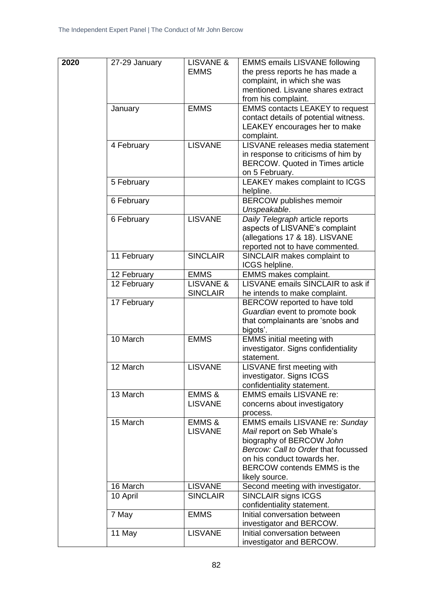| 2020 | 27-29 January | LISVANE &            | <b>EMMS emails LISVANE following</b>   |
|------|---------------|----------------------|----------------------------------------|
|      |               | <b>EMMS</b>          | the press reports he has made a        |
|      |               |                      | complaint, in which she was            |
|      |               |                      | mentioned. Lisvane shares extract      |
|      |               |                      |                                        |
|      |               |                      | from his complaint.                    |
|      | January       | <b>EMMS</b>          | <b>EMMS contacts LEAKEY to request</b> |
|      |               |                      | contact details of potential witness.  |
|      |               |                      | LEAKEY encourages her to make          |
|      |               |                      | complaint.                             |
|      | 4 February    | <b>LISVANE</b>       | LISVANE releases media statement       |
|      |               |                      | in response to criticisms of him by    |
|      |               |                      | <b>BERCOW.</b> Quoted in Times article |
|      |               |                      | on 5 February.                         |
|      | 5 February    |                      | LEAKEY makes complaint to ICGS         |
|      |               |                      | helpline.                              |
|      | 6 February    |                      | <b>BERCOW</b> publishes memoir         |
|      |               |                      | Unspeakable.                           |
|      | 6 February    | <b>LISVANE</b>       | Daily Telegraph article reports        |
|      |               |                      | aspects of LISVANE's complaint         |
|      |               |                      | (allegations 17 & 18). LISVANE         |
|      |               |                      | reported not to have commented.        |
|      | 11 February   | <b>SINCLAIR</b>      | SINCLAIR makes complaint to            |
|      |               |                      |                                        |
|      |               |                      | ICGS helpline.                         |
|      | 12 February   | <b>EMMS</b>          | <b>EMMS makes complaint.</b>           |
|      | 12 February   | <b>LISVANE &amp;</b> | LISVANE emails SINCLAIR to ask if      |
|      |               | <b>SINCLAIR</b>      | he intends to make complaint.          |
|      | 17 February   |                      | BERCOW reported to have told           |
|      |               |                      | Guardian event to promote book         |
|      |               |                      | that complainants are 'snobs and       |
|      |               |                      | bigots'.                               |
|      | 10 March      | <b>EMMS</b>          | <b>EMMS</b> initial meeting with       |
|      |               |                      | investigator. Signs confidentiality    |
|      |               |                      | statement.                             |
|      | 12 March      | <b>LISVANE</b>       | LISVANE first meeting with             |
|      |               |                      | investigator. Signs ICGS               |
|      |               |                      | confidentiality statement.             |
|      | 13 March      | EMMS &               | <b>EMMS emails LISVANE re:</b>         |
|      |               | <b>LISVANE</b>       | concerns about investigatory           |
|      |               |                      | process.                               |
|      | 15 March      | <b>EMMS &amp;</b>    | <b>EMMS emails LISVANE re: Sunday</b>  |
|      |               | <b>LISVANE</b>       | Mail report on Seb Whale's             |
|      |               |                      | biography of BERCOW John               |
|      |               |                      | Bercow: Call to Order that focussed    |
|      |               |                      | on his conduct towards her.            |
|      |               |                      | <b>BERCOW contends EMMS is the</b>     |
|      |               |                      | likely source.                         |
|      | 16 March      | <b>LISVANE</b>       | Second meeting with investigator.      |
|      | 10 April      | <b>SINCLAIR</b>      | SINCLAIR signs ICGS                    |
|      |               |                      | confidentiality statement.             |
|      | 7 May         | <b>EMMS</b>          | Initial conversation between           |
|      |               |                      |                                        |
|      |               |                      | investigator and BERCOW.               |
|      | 11 May        | <b>LISVANE</b>       | Initial conversation between           |
|      |               |                      | investigator and BERCOW.               |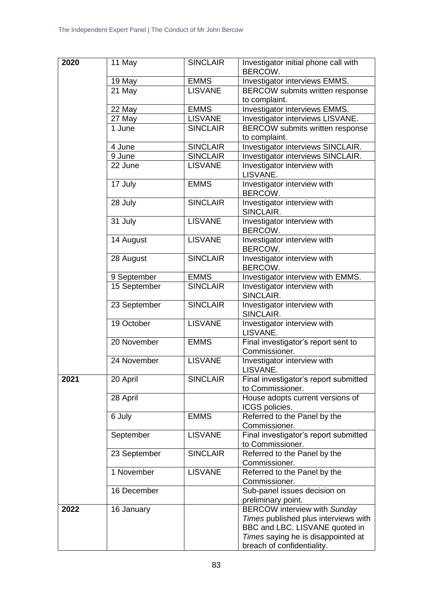| 2020 | 11 May       | <b>SINCLAIR</b> | Investigator initial phone call with<br>BERCOW.           |
|------|--------------|-----------------|-----------------------------------------------------------|
|      | 19 May       | <b>EMMS</b>     | Investigator interviews EMMS.                             |
|      | 21 May       | <b>LISVANE</b>  | BERCOW submits written response<br>to complaint.          |
|      | 22 May       | <b>EMMS</b>     | Investigator interviews EMMS.                             |
|      | 27 May       | <b>LISVANE</b>  | Investigator interviews LISVANE.                          |
|      | 1 June       | <b>SINCLAIR</b> | BERCOW submits written response                           |
|      |              |                 | to complaint.                                             |
|      | 4 June       | <b>SINCLAIR</b> | Investigator interviews SINCLAIR.                         |
|      | 9 June       | <b>SINCLAIR</b> | Investigator interviews SINCLAIR.                         |
|      | 22 June      | <b>LISVANE</b>  | Investigator interview with<br>LISVANE.                   |
|      | 17 July      | <b>EMMS</b>     | Investigator interview with<br>BERCOW.                    |
|      | 28 July      | <b>SINCLAIR</b> | Investigator interview with<br>SINCLAIR.                  |
|      | 31 July      | <b>LISVANE</b>  | Investigator interview with<br>BERCOW.                    |
|      | 14 August    | <b>LISVANE</b>  | Investigator interview with<br>BERCOW.                    |
|      | 28 August    | <b>SINCLAIR</b> | Investigator interview with<br>BERCOW.                    |
|      | 9 September  | <b>EMMS</b>     | Investigator interview with EMMS.                         |
|      | 15 September | <b>SINCLAIR</b> | Investigator interview with<br>SINCLAIR.                  |
|      | 23 September | <b>SINCLAIR</b> | Investigator interview with<br>SINCLAIR.                  |
|      | 19 October   | <b>LISVANE</b>  | Investigator interview with<br>LISVANE.                   |
|      | 20 November  | <b>EMMS</b>     | Final investigator's report sent to<br>Commissioner.      |
|      | 24 November  | <b>LISVANE</b>  | Investigator interview with<br>LISVANE.                   |
| 2021 | 20 April     | <b>SINCLAIR</b> | Final investigator's report submitted<br>to Commissioner. |
|      | 28 April     |                 | House adopts current versions of<br>ICGS policies.        |
|      | 6 July       | <b>EMMS</b>     | Referred to the Panel by the<br>Commissioner.             |
|      | September    | <b>LISVANE</b>  | Final investigator's report submitted<br>to Commissioner. |
|      | 23 September | <b>SINCLAIR</b> | Referred to the Panel by the<br>Commissioner.             |
|      | 1 November   | <b>LISVANE</b>  | Referred to the Panel by the<br>Commissioner.             |
|      | 16 December  |                 | Sub-panel issues decision on<br>preliminary point.        |
| 2022 | 16 January   |                 | <b>BERCOW</b> interview with Sunday                       |
|      |              |                 | Times published plus interviews with                      |
|      |              |                 | BBC and LBC. LISVANE quoted in                            |
|      |              |                 | Times saying he is disappointed at                        |
|      |              |                 | breach of confidentiality.                                |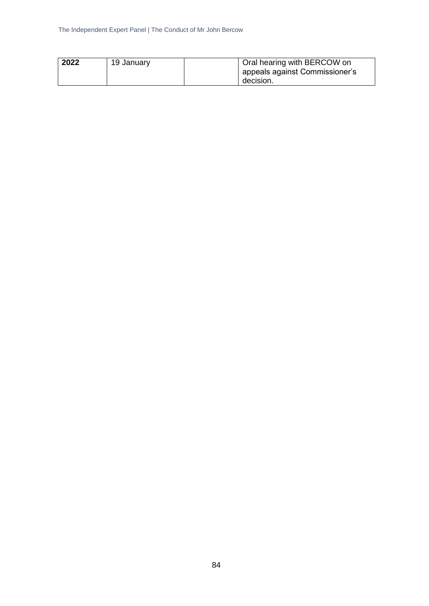| 2022 | 19 January | <sup>1</sup> Oral hearing with BERCOW on |
|------|------------|------------------------------------------|
|      |            | I appeals against Commissioner's         |
|      |            | decision.                                |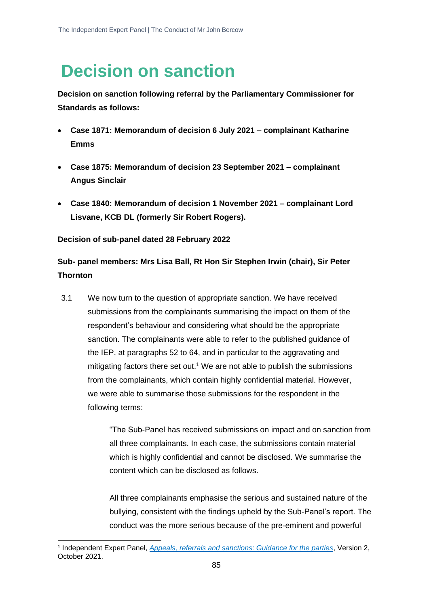# **Decision on sanction**

**Decision on sanction following referral by the Parliamentary Commissioner for Standards as follows:**

- **Case 1871: Memorandum of decision 6 July 2021 – complainant Katharine Emms**
- **Case 1875: Memorandum of decision 23 September 2021 – complainant Angus Sinclair**
- **Case 1840: Memorandum of decision 1 November 2021 – complainant Lord Lisvane, KCB DL (formerly Sir Robert Rogers).**

#### **Decision of sub-panel dated 28 February 2022**

# **Sub- panel members: Mrs Lisa Ball, Rt Hon Sir Stephen Irwin (chair), Sir Peter Thornton**

3.1 We now turn to the question of appropriate sanction. We have received submissions from the complainants summarising the impact on them of the respondent's behaviour and considering what should be the appropriate sanction. The complainants were able to refer to the published guidance of the IEP, at paragraphs 52 to 64, and in particular to the aggravating and mitigating factors there set out.<sup>1</sup> We are not able to publish the submissions from the complainants, which contain highly confidential material. However, we were able to summarise those submissions for the respondent in the following terms:

> "The Sub-Panel has received submissions on impact and on sanction from all three complainants. In each case, the submissions contain material which is highly confidential and cannot be disclosed. We summarise the content which can be disclosed as follows.

> All three complainants emphasise the serious and sustained nature of the bullying, consistent with the findings upheld by the Sub-Panel's report. The conduct was the more serious because of the pre-eminent and powerful

<sup>1</sup> Independent Expert Panel, *[Appeals, referrals and sanctions: Guidance for the parties](https://www.parliament.uk/globalassets/mps-lords--offices/standards-and-financial-interests/independent-expert-panel/guidance-for-parties-on-appeals-referrals-and-sanctions-revised-october-2021.pdf)*, Version 2, October 2021.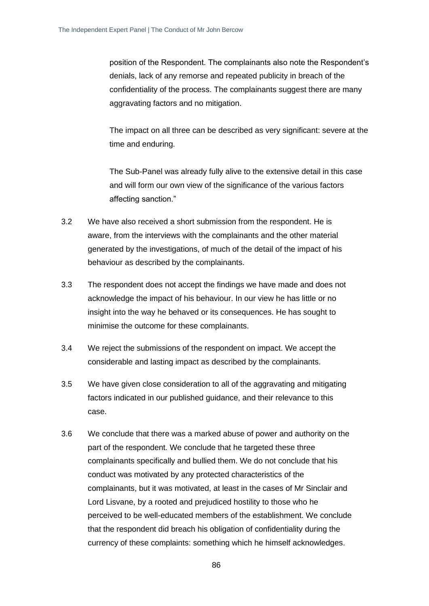position of the Respondent. The complainants also note the Respondent's denials, lack of any remorse and repeated publicity in breach of the confidentiality of the process. The complainants suggest there are many aggravating factors and no mitigation.

The impact on all three can be described as very significant: severe at the time and enduring.

The Sub-Panel was already fully alive to the extensive detail in this case and will form our own view of the significance of the various factors affecting sanction."

- 3.2 We have also received a short submission from the respondent. He is aware, from the interviews with the complainants and the other material generated by the investigations, of much of the detail of the impact of his behaviour as described by the complainants.
- 3.3 The respondent does not accept the findings we have made and does not acknowledge the impact of his behaviour. In our view he has little or no insight into the way he behaved or its consequences. He has sought to minimise the outcome for these complainants.
- 3.4 We reject the submissions of the respondent on impact. We accept the considerable and lasting impact as described by the complainants.
- 3.5 We have given close consideration to all of the aggravating and mitigating factors indicated in our published guidance, and their relevance to this case.
- 3.6 We conclude that there was a marked abuse of power and authority on the part of the respondent. We conclude that he targeted these three complainants specifically and bullied them. We do not conclude that his conduct was motivated by any protected characteristics of the complainants, but it was motivated, at least in the cases of Mr Sinclair and Lord Lisvane, by a rooted and prejudiced hostility to those who he perceived to be well-educated members of the establishment. We conclude that the respondent did breach his obligation of confidentiality during the currency of these complaints: something which he himself acknowledges.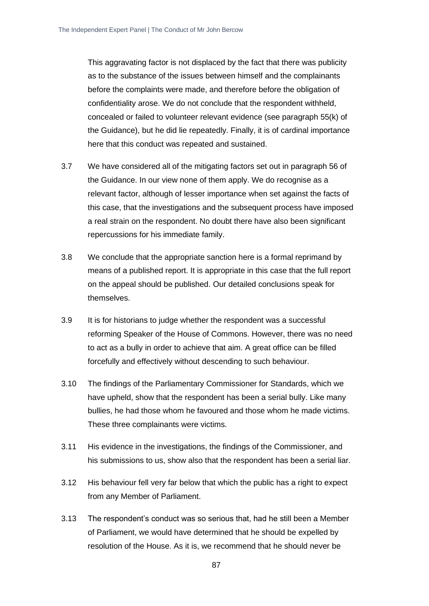This aggravating factor is not displaced by the fact that there was publicity as to the substance of the issues between himself and the complainants before the complaints were made, and therefore before the obligation of confidentiality arose. We do not conclude that the respondent withheld, concealed or failed to volunteer relevant evidence (see paragraph 55(k) of the Guidance), but he did lie repeatedly. Finally, it is of cardinal importance here that this conduct was repeated and sustained.

- 3.7 We have considered all of the mitigating factors set out in paragraph 56 of the Guidance. In our view none of them apply. We do recognise as a relevant factor, although of lesser importance when set against the facts of this case, that the investigations and the subsequent process have imposed a real strain on the respondent. No doubt there have also been significant repercussions for his immediate family.
- 3.8 We conclude that the appropriate sanction here is a formal reprimand by means of a published report. It is appropriate in this case that the full report on the appeal should be published. Our detailed conclusions speak for themselves.
- 3.9 It is for historians to judge whether the respondent was a successful reforming Speaker of the House of Commons. However, there was no need to act as a bully in order to achieve that aim. A great office can be filled forcefully and effectively without descending to such behaviour.
- 3.10 The findings of the Parliamentary Commissioner for Standards, which we have upheld, show that the respondent has been a serial bully. Like many bullies, he had those whom he favoured and those whom he made victims. These three complainants were victims.
- 3.11 His evidence in the investigations, the findings of the Commissioner, and his submissions to us, show also that the respondent has been a serial liar.
- 3.12 His behaviour fell very far below that which the public has a right to expect from any Member of Parliament.
- 3.13 The respondent's conduct was so serious that, had he still been a Member of Parliament, we would have determined that he should be expelled by resolution of the House. As it is, we recommend that he should never be

87